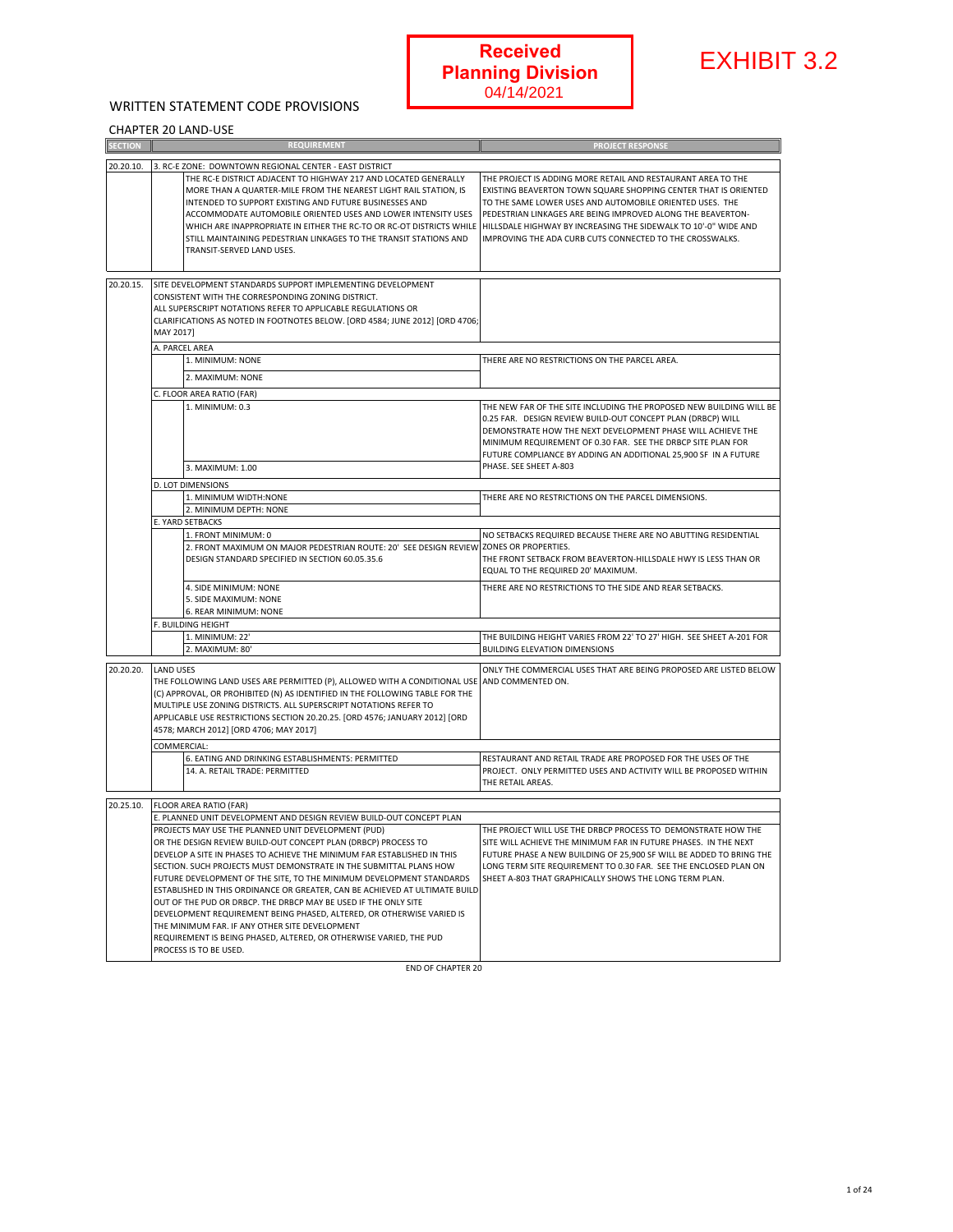#### WRITTEN STATEMENT CODE PROVISIONS

#### CHAPTER 20 LAND-USE

|                |                                                                                                                                                                                                                                                                                                                                                                                                                                                                                                                                                                                                                                                                                                                                                                                                     |                          | <b>Received</b><br><b>Planning Division</b><br>04/14/2021                                                                                                                                                                                                                                                                                                                                 | <b>EXHIBIT 3.2</b> |
|----------------|-----------------------------------------------------------------------------------------------------------------------------------------------------------------------------------------------------------------------------------------------------------------------------------------------------------------------------------------------------------------------------------------------------------------------------------------------------------------------------------------------------------------------------------------------------------------------------------------------------------------------------------------------------------------------------------------------------------------------------------------------------------------------------------------------------|--------------------------|-------------------------------------------------------------------------------------------------------------------------------------------------------------------------------------------------------------------------------------------------------------------------------------------------------------------------------------------------------------------------------------------|--------------------|
|                | WRITTEN STATEMENT CODE PROVISIONS                                                                                                                                                                                                                                                                                                                                                                                                                                                                                                                                                                                                                                                                                                                                                                   |                          |                                                                                                                                                                                                                                                                                                                                                                                           |                    |
| <b>SECTION</b> | <b>CHAPTER 20 LAND-USE</b><br><b>REQUIREMENT</b>                                                                                                                                                                                                                                                                                                                                                                                                                                                                                                                                                                                                                                                                                                                                                    |                          | <b>PROJECT RESPONSE</b>                                                                                                                                                                                                                                                                                                                                                                   |                    |
|                |                                                                                                                                                                                                                                                                                                                                                                                                                                                                                                                                                                                                                                                                                                                                                                                                     |                          |                                                                                                                                                                                                                                                                                                                                                                                           |                    |
| 20.20.10.      | 3. RC-E ZONE: DOWNTOWN REGIONAL CENTER - EAST DISTRICT<br>THE RC-E DISTRICT ADJACENT TO HIGHWAY 217 AND LOCATED GENERALLY<br>MORE THAN A QUARTER-MILE FROM THE NEAREST LIGHT RAIL STATION, IS<br>INTENDED TO SUPPORT EXISTING AND FUTURE BUSINESSES AND<br>ACCOMMODATE AUTOMOBILE ORIENTED USES AND LOWER INTENSITY USES<br>WHICH ARE INAPPROPRIATE IN EITHER THE RC-TO OR RC-OT DISTRICTS WHILE<br>STILL MAINTAINING PEDESTRIAN LINKAGES TO THE TRANSIT STATIONS AND<br>TRANSIT-SERVED LAND USES.                                                                                                                                                                                                                                                                                                  |                          | THE PROJECT IS ADDING MORE RETAIL AND RESTAURANT AREA TO THE<br>EXISTING BEAVERTON TOWN SQUARE SHOPPING CENTER THAT IS ORIENTED<br>TO THE SAME LOWER USES AND AUTOMOBILE ORIENTED USES. THE<br>PEDESTRIAN LINKAGES ARE BEING IMPROVED ALONG THE BEAVERTON-<br>HILLSDALE HIGHWAY BY INCREASING THE SIDEWALK TO 10'-0" WIDE AND<br>IMPROVING THE ADA CURB CUTS CONNECTED TO THE CROSSWALKS. |                    |
| 20.20.15.      | SITE DEVELOPMENT STANDARDS SUPPORT IMPLEMENTING DEVELOPMENT<br>CONSISTENT WITH THE CORRESPONDING ZONING DISTRICT.<br>ALL SUPERSCRIPT NOTATIONS REFER TO APPLICABLE REGULATIONS OR<br>CLARIFICATIONS AS NOTED IN FOOTNOTES BELOW. [ORD 4584; JUNE 2012] [ORD 4706;<br>MAY 2017]                                                                                                                                                                                                                                                                                                                                                                                                                                                                                                                      |                          |                                                                                                                                                                                                                                                                                                                                                                                           |                    |
|                | A. PARCEL AREA                                                                                                                                                                                                                                                                                                                                                                                                                                                                                                                                                                                                                                                                                                                                                                                      |                          |                                                                                                                                                                                                                                                                                                                                                                                           |                    |
|                | 1. MINIMUM: NONE                                                                                                                                                                                                                                                                                                                                                                                                                                                                                                                                                                                                                                                                                                                                                                                    |                          | THERE ARE NO RESTRICTIONS ON THE PARCEL AREA.                                                                                                                                                                                                                                                                                                                                             |                    |
|                | 2. MAXIMUM: NONE                                                                                                                                                                                                                                                                                                                                                                                                                                                                                                                                                                                                                                                                                                                                                                                    |                          |                                                                                                                                                                                                                                                                                                                                                                                           |                    |
|                | C. FLOOR AREA RATIO (FAR)<br>1. MINIMUM: 0.3                                                                                                                                                                                                                                                                                                                                                                                                                                                                                                                                                                                                                                                                                                                                                        |                          | THE NEW FAR OF THE SITE INCLUDING THE PROPOSED NEW BUILDING WILL BE<br>0.25 FAR. DESIGN REVIEW BUILD-OUT CONCEPT PLAN (DRBCP) WILL<br>DEMONSTRATE HOW THE NEXT DEVELOPMENT PHASE WILL ACHIEVE THE<br>MINIMUM REQUIREMENT OF 0.30 FAR. SEE THE DRBCP SITE PLAN FOR<br>FUTURE COMPLIANCE BY ADDING AN ADDITIONAL 25,900 SF IN A FUTURE                                                      |                    |
|                | 3. MAXIMUM: 1.00                                                                                                                                                                                                                                                                                                                                                                                                                                                                                                                                                                                                                                                                                                                                                                                    |                          | PHASE. SEE SHEET A-803                                                                                                                                                                                                                                                                                                                                                                    |                    |
|                | D. LOT DIMENSIONS                                                                                                                                                                                                                                                                                                                                                                                                                                                                                                                                                                                                                                                                                                                                                                                   |                          |                                                                                                                                                                                                                                                                                                                                                                                           |                    |
|                | 1. MINIMUM WIDTH:NONE                                                                                                                                                                                                                                                                                                                                                                                                                                                                                                                                                                                                                                                                                                                                                                               |                          | THERE ARE NO RESTRICTIONS ON THE PARCEL DIMENSIONS.                                                                                                                                                                                                                                                                                                                                       |                    |
|                | 2. MINIMUM DEPTH: NONE<br>E. YARD SETBACKS                                                                                                                                                                                                                                                                                                                                                                                                                                                                                                                                                                                                                                                                                                                                                          |                          |                                                                                                                                                                                                                                                                                                                                                                                           |                    |
|                | 1. FRONT MINIMUM: 0<br>2. FRONT MAXIMUM ON MAJOR PEDESTRIAN ROUTE: 20' SEE DESIGN REVIEW<br>DESIGN STANDARD SPECIFIED IN SECTION 60.05.35.6                                                                                                                                                                                                                                                                                                                                                                                                                                                                                                                                                                                                                                                         |                          | NO SETBACKS REQUIRED BECAUSE THERE ARE NO ABUTTING RESIDENTIAL<br>ZONES OR PROPERTIES.<br>THE FRONT SETBACK FROM BEAVERTON-HILLSDALE HWY IS LESS THAN OR<br>EQUAL TO THE REQUIRED 20' MAXIMUM.                                                                                                                                                                                            |                    |
|                | 4. SIDE MINIMUM: NONE<br>5. SIDE MAXIMUM: NONE<br>6. REAR MINIMUM: NONE                                                                                                                                                                                                                                                                                                                                                                                                                                                                                                                                                                                                                                                                                                                             |                          | THERE ARE NO RESTRICTIONS TO THE SIDE AND REAR SETBACKS.                                                                                                                                                                                                                                                                                                                                  |                    |
|                | F. BUILDING HEIGHT<br>1. MINIMUM: 22'<br>2. MAXIMUM: 80'                                                                                                                                                                                                                                                                                                                                                                                                                                                                                                                                                                                                                                                                                                                                            |                          | THE BUILDING HEIGHT VARIES FROM 22' TO 27' HIGH. SEE SHEET A-201 FOR<br><b>BUILDING ELEVATION DIMENSIONS</b>                                                                                                                                                                                                                                                                              |                    |
| 20.20.20.      | <b>LAND USES</b><br>THE FOLLOWING LAND USES ARE PERMITTED (P), ALLOWED WITH A CONDITIONAL USE<br>(C) APPROVAL, OR PROHIBITED (N) AS IDENTIFIED IN THE FOLLOWING TABLE FOR THE<br>MULTIPLE USE ZONING DISTRICTS. ALL SUPERSCRIPT NOTATIONS REFER TO<br>APPLICABLE USE RESTRICTIONS SECTION 20.20.25. [ORD 4576; JANUARY 2012] [ORD<br>4578; MARCH 2012] [ORD 4706; MAY 2017]<br>COMMERCIAL:<br>6. EATING AND DRINKING ESTABLISHMENTS: PERMITTED                                                                                                                                                                                                                                                                                                                                                      |                          | ONLY THE COMMERCIAL USES THAT ARE BEING PROPOSED ARE LISTED BELOW<br>AND COMMENTED ON.<br>RESTAURANT AND RETAIL TRADE ARE PROPOSED FOR THE USES OF THE                                                                                                                                                                                                                                    |                    |
|                | 14. A. RETAIL TRADE: PERMITTED                                                                                                                                                                                                                                                                                                                                                                                                                                                                                                                                                                                                                                                                                                                                                                      |                          | PROJECT. ONLY PERMITTED USES AND ACTIVITY WILL BE PROPOSED WITHIN<br>THE RETAIL AREAS.                                                                                                                                                                                                                                                                                                    |                    |
| 20.25.10.      | <b>FLOOR AREA RATIO (FAR)</b>                                                                                                                                                                                                                                                                                                                                                                                                                                                                                                                                                                                                                                                                                                                                                                       |                          |                                                                                                                                                                                                                                                                                                                                                                                           |                    |
|                | E. PLANNED UNIT DEVELOPMENT AND DESIGN REVIEW BUILD-OUT CONCEPT PLAN<br>PROJECTS MAY USE THE PLANNED UNIT DEVELOPMENT (PUD)<br>OR THE DESIGN REVIEW BUILD-OUT CONCEPT PLAN (DRBCP) PROCESS TO<br>DEVELOP A SITE IN PHASES TO ACHIEVE THE MINIMUM FAR ESTABLISHED IN THIS<br>SECTION. SUCH PROJECTS MUST DEMONSTRATE IN THE SUBMITTAL PLANS HOW<br>FUTURE DEVELOPMENT OF THE SITE, TO THE MINIMUM DEVELOPMENT STANDARDS<br>ESTABLISHED IN THIS ORDINANCE OR GREATER, CAN BE ACHIEVED AT ULTIMATE BUILD<br>OUT OF THE PUD OR DRBCP. THE DRBCP MAY BE USED IF THE ONLY SITE<br>DEVELOPMENT REQUIREMENT BEING PHASED, ALTERED, OR OTHERWISE VARIED IS<br>THE MINIMUM FAR. IF ANY OTHER SITE DEVELOPMENT<br>REQUIREMENT IS BEING PHASED, ALTERED, OR OTHERWISE VARIED, THE PUD<br>PROCESS IS TO BE USED. |                          | THE PROJECT WILL USE THE DRBCP PROCESS TO DEMONSTRATE HOW THE<br>SITE WILL ACHIEVE THE MINIMUM FAR IN FUTURE PHASES. IN THE NEXT<br>FUTURE PHASE A NEW BUILDING OF 25,900 SF WILL BE ADDED TO BRING THE<br>LONG TERM SITE REQUIREMENT TO 0.30 FAR. SEE THE ENCLOSED PLAN ON<br>SHEET A-803 THAT GRAPHICALLY SHOWS THE LONG TERM PLAN.                                                     |                    |
|                |                                                                                                                                                                                                                                                                                                                                                                                                                                                                                                                                                                                                                                                                                                                                                                                                     | <b>END OF CHAPTER 20</b> |                                                                                                                                                                                                                                                                                                                                                                                           |                    |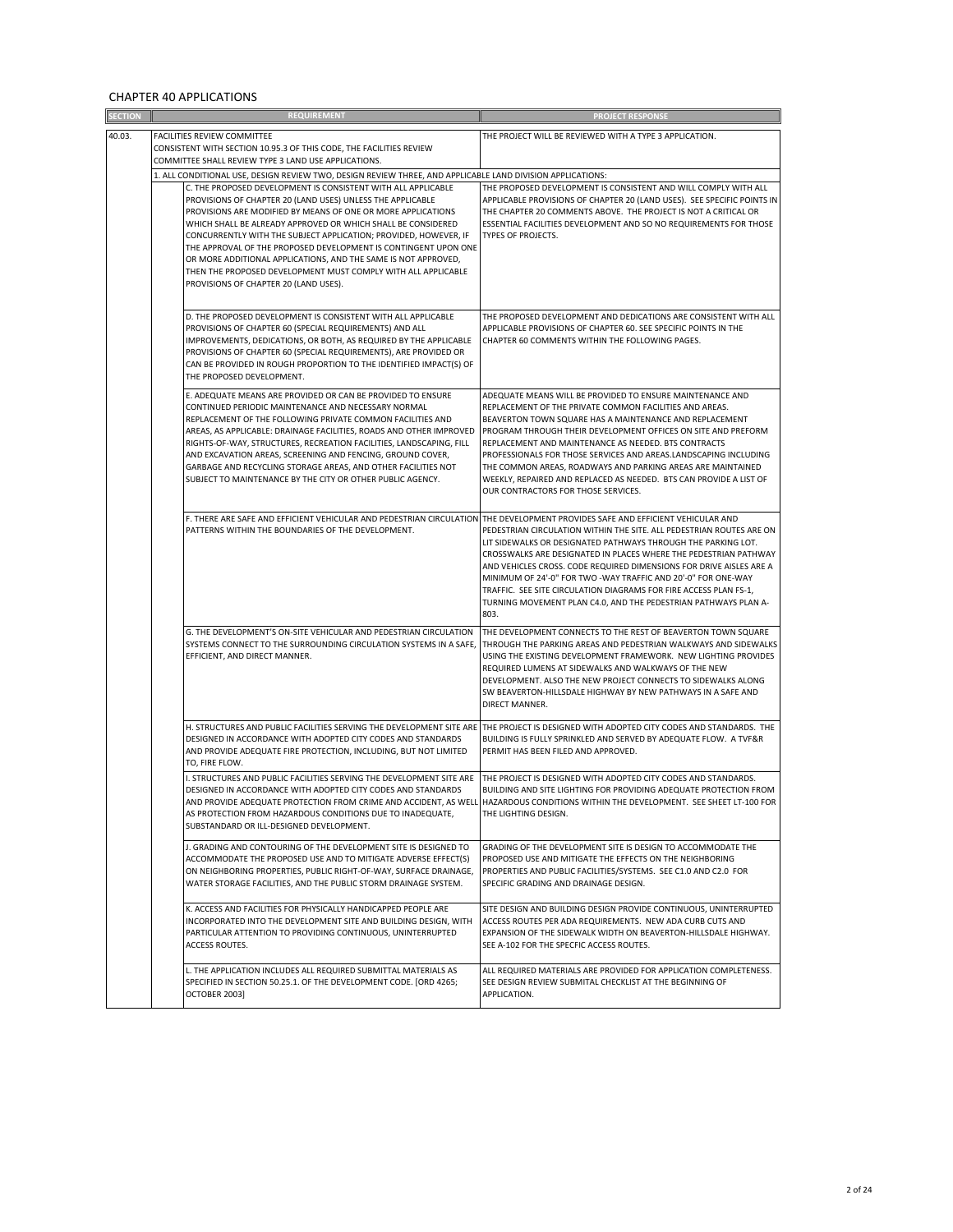#### CHAPTER 40 APPLICATIONS

| <b>SECTION</b> | <b>REQUIREMENT</b>                                                                                                                                                                                                                                                                                                                                                                                                                                                                                                          | <b>PROJECT RESPONSE</b>                                                                                                                                                                                                                                                                                                                                                                                                                                                                                                                                  |  |
|----------------|-----------------------------------------------------------------------------------------------------------------------------------------------------------------------------------------------------------------------------------------------------------------------------------------------------------------------------------------------------------------------------------------------------------------------------------------------------------------------------------------------------------------------------|----------------------------------------------------------------------------------------------------------------------------------------------------------------------------------------------------------------------------------------------------------------------------------------------------------------------------------------------------------------------------------------------------------------------------------------------------------------------------------------------------------------------------------------------------------|--|
| 40.03.         | FACILITIES REVIEW COMMITTEE<br>CONSISTENT WITH SECTION 10.95.3 OF THIS CODE, THE FACILITIES REVIEW                                                                                                                                                                                                                                                                                                                                                                                                                          | THE PROJECT WILL BE REVIEWED WITH A TYPE 3 APPLICATION.                                                                                                                                                                                                                                                                                                                                                                                                                                                                                                  |  |
|                | COMMITTEE SHALL REVIEW TYPE 3 LAND USE APPLICATIONS.                                                                                                                                                                                                                                                                                                                                                                                                                                                                        |                                                                                                                                                                                                                                                                                                                                                                                                                                                                                                                                                          |  |
|                | 1. ALL CONDITIONAL USE, DESIGN REVIEW TWO, DESIGN REVIEW THREE, AND APPLICABLE LAND DIVISION APPLICATIONS:<br>C. THE PROPOSED DEVELOPMENT IS CONSISTENT WITH ALL APPLICABLE                                                                                                                                                                                                                                                                                                                                                 | THE PROPOSED DEVELOPMENT IS CONSISTENT AND WILL COMPLY WITH ALL                                                                                                                                                                                                                                                                                                                                                                                                                                                                                          |  |
|                | PROVISIONS OF CHAPTER 20 (LAND USES) UNLESS THE APPLICABLE<br>PROVISIONS ARE MODIFIED BY MEANS OF ONE OR MORE APPLICATIONS<br>WHICH SHALL BE ALREADY APPROVED OR WHICH SHALL BE CONSIDERED<br>CONCURRENTLY WITH THE SUBJECT APPLICATION; PROVIDED, HOWEVER, IF<br>THE APPROVAL OF THE PROPOSED DEVELOPMENT IS CONTINGENT UPON ONE<br>OR MORE ADDITIONAL APPLICATIONS, AND THE SAME IS NOT APPROVED,<br>THEN THE PROPOSED DEVELOPMENT MUST COMPLY WITH ALL APPLICABLE<br>PROVISIONS OF CHAPTER 20 (LAND USES).               | APPLICABLE PROVISIONS OF CHAPTER 20 (LAND USES). SEE SPECIFIC POINTS IN<br>THE CHAPTER 20 COMMENTS ABOVE. THE PROJECT IS NOT A CRITICAL OR<br>ESSENTIAL FACILITIES DEVELOPMENT AND SO NO REQUIREMENTS FOR THOSE<br>TYPES OF PROJECTS.                                                                                                                                                                                                                                                                                                                    |  |
|                | D. THE PROPOSED DEVELOPMENT IS CONSISTENT WITH ALL APPLICABLE<br>PROVISIONS OF CHAPTER 60 (SPECIAL REQUIREMENTS) AND ALL<br>IMPROVEMENTS, DEDICATIONS, OR BOTH, AS REQUIRED BY THE APPLICABLE<br>PROVISIONS OF CHAPTER 60 (SPECIAL REQUIREMENTS), ARE PROVIDED OR<br>CAN BE PROVIDED IN ROUGH PROPORTION TO THE IDENTIFIED IMPACT(S) OF<br>THE PROPOSED DEVELOPMENT.                                                                                                                                                        | THE PROPOSED DEVELOPMENT AND DEDICATIONS ARE CONSISTENT WITH ALL<br>APPLICABLE PROVISIONS OF CHAPTER 60. SEE SPECIFIC POINTS IN THE<br>CHAPTER 60 COMMENTS WITHIN THE FOLLOWING PAGES.                                                                                                                                                                                                                                                                                                                                                                   |  |
|                | E. ADEQUATE MEANS ARE PROVIDED OR CAN BE PROVIDED TO ENSURE<br>CONTINUED PERIODIC MAINTENANCE AND NECESSARY NORMAL<br>REPLACEMENT OF THE FOLLOWING PRIVATE COMMON FACILITIES AND<br>AREAS, AS APPLICABLE: DRAINAGE FACILITIES, ROADS AND OTHER IMPROVED<br>RIGHTS-OF-WAY, STRUCTURES, RECREATION FACILITIES, LANDSCAPING, FILL<br>AND EXCAVATION AREAS, SCREENING AND FENCING, GROUND COVER,<br>GARBAGE AND RECYCLING STORAGE AREAS, AND OTHER FACILITIES NOT<br>SUBJECT TO MAINTENANCE BY THE CITY OR OTHER PUBLIC AGENCY. | ADEQUATE MEANS WILL BE PROVIDED TO ENSURE MAINTENANCE AND<br>REPLACEMENT OF THE PRIVATE COMMON FACILITIES AND AREAS.<br>BEAVERTON TOWN SQUARE HAS A MAINTENANCE AND REPLACEMENT<br>PROGRAM THROUGH THEIR DEVELOPMENT OFFICES ON SITE AND PREFORM<br>REPLACEMENT AND MAINTENANCE AS NEEDED. BTS CONTRACTS<br>PROFESSIONALS FOR THOSE SERVICES AND AREAS.LANDSCAPING INCLUDING<br>THE COMMON AREAS, ROADWAYS AND PARKING AREAS ARE MAINTAINED<br>WEEKLY, REPAIRED AND REPLACED AS NEEDED. BTS CAN PROVIDE A LIST OF<br>OUR CONTRACTORS FOR THOSE SERVICES. |  |
|                | F. THERE ARE SAFE AND EFFICIENT VEHICULAR AND PEDESTRIAN CIRCULATION THE DEVELOPMENT PROVIDES SAFE AND EFFICIENT VEHICULAR AND<br>PATTERNS WITHIN THE BOUNDARIES OF THE DEVELOPMENT.                                                                                                                                                                                                                                                                                                                                        | PEDESTRIAN CIRCULATION WITHIN THE SITE. ALL PEDESTRIAN ROUTES ARE ON<br>LIT SIDEWALKS OR DESIGNATED PATHWAYS THROUGH THE PARKING LOT.<br>CROSSWALKS ARE DESIGNATED IN PLACES WHERE THE PEDESTRIAN PATHWAY<br>AND VEHICLES CROSS. CODE REQUIRED DIMENSIONS FOR DRIVE AISLES ARE A<br>MINIMUM OF 24'-0" FOR TWO -WAY TRAFFIC AND 20'-0" FOR ONE-WAY<br>TRAFFIC. SEE SITE CIRCULATION DIAGRAMS FOR FIRE ACCESS PLAN FS-1,<br>TURNING MOVEMENT PLAN C4.0, AND THE PEDESTRIAN PATHWAYS PLAN A-<br>803.                                                        |  |
|                | G. THE DEVELOPMENT'S ON-SITE VEHICULAR AND PEDESTRIAN CIRCULATION<br>SYSTEMS CONNECT TO THE SURROUNDING CIRCULATION SYSTEMS IN A SAFE,<br>EFFICIENT, AND DIRECT MANNER.                                                                                                                                                                                                                                                                                                                                                     | THE DEVELOPMENT CONNECTS TO THE REST OF BEAVERTON TOWN SQUARE<br>THROUGH THE PARKING AREAS AND PEDESTRIAN WALKWAYS AND SIDEWALKS<br>USING THE EXISTING DEVELOPMENT FRAMEWORK. NEW LIGHTING PROVIDES<br>REQUIRED LUMENS AT SIDEWALKS AND WALKWAYS OF THE NEW<br>DEVELOPMENT. ALSO THE NEW PROJECT CONNECTS TO SIDEWALKS ALONG<br>SW BEAVERTON-HILLSDALE HIGHWAY BY NEW PATHWAYS IN A SAFE AND<br>DIRECT MANNER.                                                                                                                                           |  |
|                | H. STRUCTURES AND PUBLIC FACILITIES SERVING THE DEVELOPMENT SITE ARE<br>DESIGNED IN ACCORDANCE WITH ADOPTED CITY CODES AND STANDARDS<br>AND PROVIDE ADEQUATE FIRE PROTECTION, INCLUDING, BUT NOT LIMITED<br>TO, FIRE FLOW.                                                                                                                                                                                                                                                                                                  | THE PROJECT IS DESIGNED WITH ADOPTED CITY CODES AND STANDARDS. THE<br>BUILDING IS FULLY SPRINKLED AND SERVED BY ADEQUATE FLOW. A TVF&R<br>PERMIT HAS BEEN FILED AND APPROVED.                                                                                                                                                                                                                                                                                                                                                                            |  |
|                | I. STRUCTURES AND PUBLIC FACILITIES SERVING THE DEVELOPMENT SITE ARE<br>DESIGNED IN ACCORDANCE WITH ADOPTED CITY CODES AND STANDARDS<br>AS PROTECTION FROM HAZARDOUS CONDITIONS DUE TO INADEQUATE,<br>SUBSTANDARD OR ILL-DESIGNED DEVELOPMENT.                                                                                                                                                                                                                                                                              | THE PROJECT IS DESIGNED WITH ADOPTED CITY CODES AND STANDARDS.<br>BUILDING AND SITE LIGHTING FOR PROVIDING ADEQUATE PROTECTION FROM<br>AND PROVIDE ADEQUATE PROTECTION FROM CRIME AND ACCIDENT, AS WELL HAZARDOUS CONDITIONS WITHIN THE DEVELOPMENT. SEE SHEET LT-100 FOR<br>THE LIGHTING DESIGN.                                                                                                                                                                                                                                                        |  |
|                | J. GRADING AND CONTOURING OF THE DEVELOPMENT SITE IS DESIGNED TO<br>ACCOMMODATE THE PROPOSED USE AND TO MITIGATE ADVERSE EFFECT(S)<br>ON NEIGHBORING PROPERTIES, PUBLIC RIGHT-OF-WAY, SURFACE DRAINAGE,<br>WATER STORAGE FACILITIES, AND THE PUBLIC STORM DRAINAGE SYSTEM.                                                                                                                                                                                                                                                  | GRADING OF THE DEVELOPMENT SITE IS DESIGN TO ACCOMMODATE THE<br>PROPOSED USE AND MITIGATE THE EFFECTS ON THE NEIGHBORING<br>PROPERTIES AND PUBLIC FACILITIES/SYSTEMS. SEE C1.0 AND C2.0 FOR<br>SPECIFIC GRADING AND DRAINAGE DESIGN.                                                                                                                                                                                                                                                                                                                     |  |
|                | K. ACCESS AND FACILITIES FOR PHYSICALLY HANDICAPPED PEOPLE ARE<br>INCORPORATED INTO THE DEVELOPMENT SITE AND BUILDING DESIGN, WITH<br>PARTICULAR ATTENTION TO PROVIDING CONTINUOUS, UNINTERRUPTED<br>ACCESS ROUTES.                                                                                                                                                                                                                                                                                                         | SITE DESIGN AND BUILDING DESIGN PROVIDE CONTINUOUS, UNINTERRUPTED<br>ACCESS ROUTES PER ADA REQUIREMENTS. NEW ADA CURB CUTS AND<br>EXPANSION OF THE SIDEWALK WIDTH ON BEAVERTON-HILLSDALE HIGHWAY.<br>SEE A-102 FOR THE SPECFIC ACCESS ROUTES.                                                                                                                                                                                                                                                                                                            |  |
|                | L. THE APPLICATION INCLUDES ALL REQUIRED SUBMITTAL MATERIALS AS<br>SPECIFIED IN SECTION 50.25.1. OF THE DEVELOPMENT CODE. [ORD 4265;<br>OCTOBER 2003]                                                                                                                                                                                                                                                                                                                                                                       | ALL REQUIRED MATERIALS ARE PROVIDED FOR APPLICATION COMPLETENESS.<br>SEE DESIGN REVIEW SUBMITAL CHECKLIST AT THE BEGINNING OF<br>APPLICATION.                                                                                                                                                                                                                                                                                                                                                                                                            |  |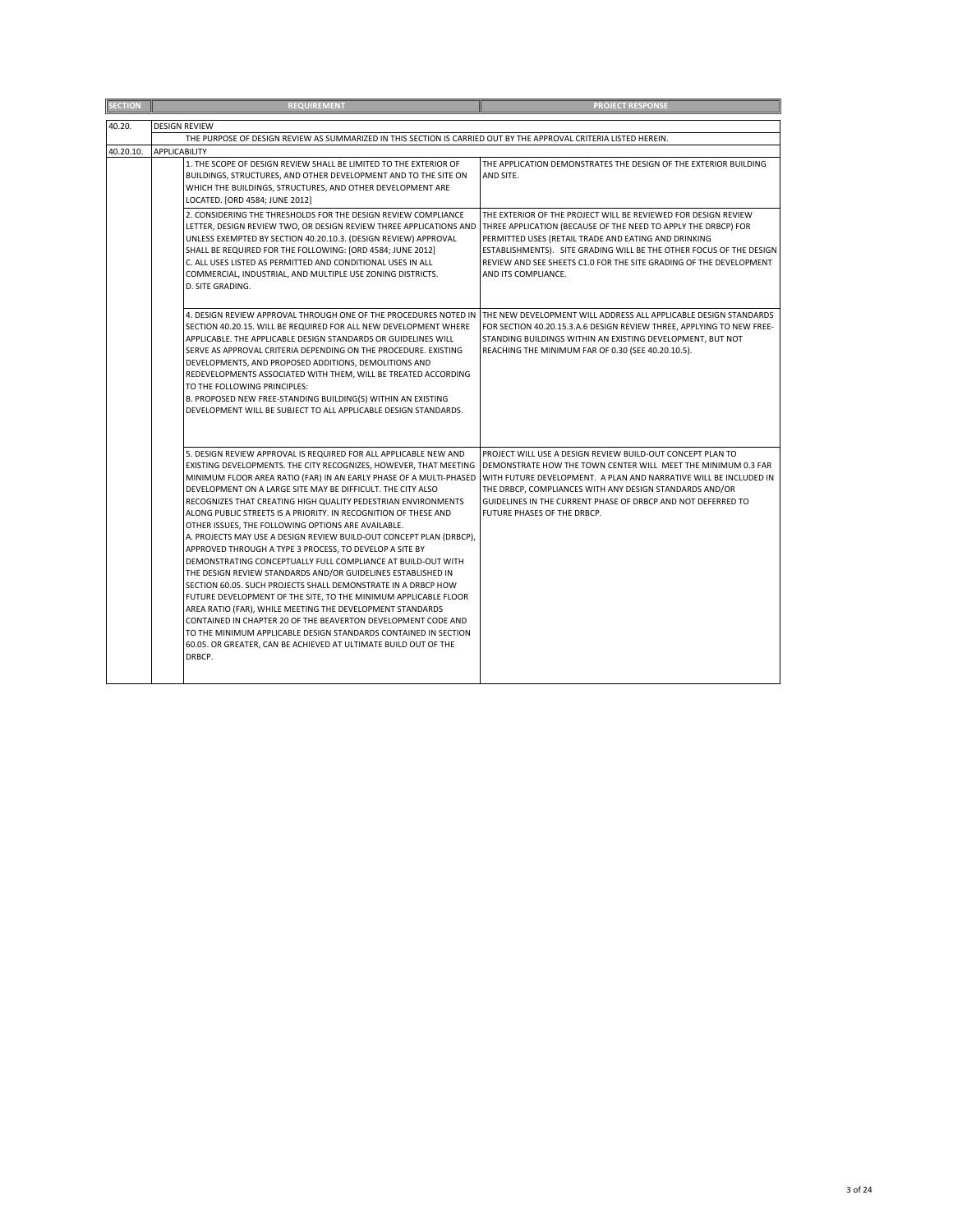| <b>SECTION</b> | <b>REQUIREMENT</b>                                                                                                                        | <b>PROJECT RESPONSE</b>                                                                                                          |  |  |  |
|----------------|-------------------------------------------------------------------------------------------------------------------------------------------|----------------------------------------------------------------------------------------------------------------------------------|--|--|--|
| 40.20.         |                                                                                                                                           |                                                                                                                                  |  |  |  |
|                | <b>DESIGN REVIEW</b>                                                                                                                      |                                                                                                                                  |  |  |  |
| 40.20.10.      | THE PURPOSE OF DESIGN REVIEW AS SUMMARIZED IN THIS SECTION IS CARRIED OUT BY THE APPROVAL CRITERIA LISTED HEREIN.<br><b>APPLICABILITY</b> |                                                                                                                                  |  |  |  |
|                |                                                                                                                                           |                                                                                                                                  |  |  |  |
|                | 1. THE SCOPE OF DESIGN REVIEW SHALL BE LIMITED TO THE EXTERIOR OF<br>BUILDINGS, STRUCTURES, AND OTHER DEVELOPMENT AND TO THE SITE ON      | THE APPLICATION DEMONSTRATES THE DESIGN OF THE EXTERIOR BUILDING<br>AND SITE.                                                    |  |  |  |
|                | WHICH THE BUILDINGS, STRUCTURES, AND OTHER DEVELOPMENT ARE                                                                                |                                                                                                                                  |  |  |  |
|                | LOCATED. [ORD 4584; JUNE 2012]                                                                                                            |                                                                                                                                  |  |  |  |
|                |                                                                                                                                           |                                                                                                                                  |  |  |  |
|                | 2. CONSIDERING THE THRESHOLDS FOR THE DESIGN REVIEW COMPLIANCE<br>LETTER, DESIGN REVIEW TWO, OR DESIGN REVIEW THREE APPLICATIONS AND      | THE EXTERIOR OF THE PROJECT WILL BE REVIEWED FOR DESIGN REVIEW<br>THREE APPLICATION (BECAUSE OF THE NEED TO APPLY THE DRBCP) FOR |  |  |  |
|                | UNLESS EXEMPTED BY SECTION 40.20.10.3. (DESIGN REVIEW) APPROVAL                                                                           | PERMITTED USES (RETAIL TRADE AND EATING AND DRINKING                                                                             |  |  |  |
|                | SHALL BE REQUIRED FOR THE FOLLOWING: [ORD 4584; JUNE 2012]                                                                                | ESTABLISHMENTS). SITE GRADING WILL BE THE OTHER FOCUS OF THE DESIGN                                                              |  |  |  |
|                | C. ALL USES LISTED AS PERMITTED AND CONDITIONAL USES IN ALL                                                                               | REVIEW AND SEE SHEETS C1.0 FOR THE SITE GRADING OF THE DEVELOPMENT                                                               |  |  |  |
|                | COMMERCIAL, INDUSTRIAL, AND MULTIPLE USE ZONING DISTRICTS.                                                                                | AND ITS COMPLIANCE.                                                                                                              |  |  |  |
|                | D. SITE GRADING.                                                                                                                          |                                                                                                                                  |  |  |  |
|                |                                                                                                                                           |                                                                                                                                  |  |  |  |
|                | 4. DESIGN REVIEW APPROVAL THROUGH ONE OF THE PROCEDURES NOTED IN                                                                          | THE NEW DEVELOPMENT WILL ADDRESS ALL APPLICABLE DESIGN STANDARDS                                                                 |  |  |  |
|                | SECTION 40.20.15. WILL BE REQUIRED FOR ALL NEW DEVELOPMENT WHERE                                                                          | FOR SECTION 40.20.15.3.A.6 DESIGN REVIEW THREE, APPLYING TO NEW FREE-                                                            |  |  |  |
|                | APPLICABLE. THE APPLICABLE DESIGN STANDARDS OR GUIDELINES WILL                                                                            | STANDING BUILDINGS WITHIN AN EXISTING DEVELOPMENT, BUT NOT                                                                       |  |  |  |
|                | SERVE AS APPROVAL CRITERIA DEPENDING ON THE PROCEDURE. EXISTING                                                                           | REACHING THE MINIMUM FAR OF 0.30 (SEE 40.20.10.5).                                                                               |  |  |  |
|                | DEVELOPMENTS, AND PROPOSED ADDITIONS, DEMOLITIONS AND                                                                                     |                                                                                                                                  |  |  |  |
|                | REDEVELOPMENTS ASSOCIATED WITH THEM, WILL BE TREATED ACCORDING                                                                            |                                                                                                                                  |  |  |  |
|                | TO THE FOLLOWING PRINCIPLES:                                                                                                              |                                                                                                                                  |  |  |  |
|                | B. PROPOSED NEW FREE-STANDING BUILDING(S) WITHIN AN EXISTING                                                                              |                                                                                                                                  |  |  |  |
|                | DEVELOPMENT WILL BE SUBJECT TO ALL APPLICABLE DESIGN STANDARDS.                                                                           |                                                                                                                                  |  |  |  |
|                |                                                                                                                                           |                                                                                                                                  |  |  |  |
|                |                                                                                                                                           |                                                                                                                                  |  |  |  |
|                | 5. DESIGN REVIEW APPROVAL IS REQUIRED FOR ALL APPLICABLE NEW AND                                                                          | PROJECT WILL USE A DESIGN REVIEW BUILD-OUT CONCEPT PLAN TO                                                                       |  |  |  |
|                | EXISTING DEVELOPMENTS. THE CITY RECOGNIZES, HOWEVER, THAT MEETING                                                                         | DEMONSTRATE HOW THE TOWN CENTER WILL MEET THE MINIMUM 0.3 FAR                                                                    |  |  |  |
|                | MINIMUM FLOOR AREA RATIO (FAR) IN AN EARLY PHASE OF A MULTI-PHASED                                                                        | WITH FUTURE DEVELOPMENT. A PLAN AND NARRATIVE WILL BE INCLUDED IN                                                                |  |  |  |
|                | DEVELOPMENT ON A LARGE SITE MAY BE DIFFICULT. THE CITY ALSO                                                                               | THE DRBCP, COMPLIANCES WITH ANY DESIGN STANDARDS AND/OR                                                                          |  |  |  |
|                | RECOGNIZES THAT CREATING HIGH QUALITY PEDESTRIAN ENVIRONMENTS                                                                             | GUIDELINES IN THE CURRENT PHASE OF DRBCP AND NOT DEFERRED TO                                                                     |  |  |  |
|                | ALONG PUBLIC STREETS IS A PRIORITY. IN RECOGNITION OF THESE AND                                                                           | FUTURE PHASES OF THE DRBCP.                                                                                                      |  |  |  |
|                | OTHER ISSUES, THE FOLLOWING OPTIONS ARE AVAILABLE.                                                                                        |                                                                                                                                  |  |  |  |
|                | A. PROJECTS MAY USE A DESIGN REVIEW BUILD-OUT CONCEPT PLAN (DRBCP),                                                                       |                                                                                                                                  |  |  |  |
|                | APPROVED THROUGH A TYPE 3 PROCESS, TO DEVELOP A SITE BY                                                                                   |                                                                                                                                  |  |  |  |
|                | DEMONSTRATING CONCEPTUALLY FULL COMPLIANCE AT BUILD-OUT WITH                                                                              |                                                                                                                                  |  |  |  |
|                | THE DESIGN REVIEW STANDARDS AND/OR GUIDELINES ESTABLISHED IN                                                                              |                                                                                                                                  |  |  |  |
|                | SECTION 60.05. SUCH PROJECTS SHALL DEMONSTRATE IN A DRBCP HOW<br>FUTURE DEVELOPMENT OF THE SITE, TO THE MINIMUM APPLICABLE FLOOR          |                                                                                                                                  |  |  |  |
|                | AREA RATIO (FAR), WHILE MEETING THE DEVELOPMENT STANDARDS                                                                                 |                                                                                                                                  |  |  |  |
|                | CONTAINED IN CHAPTER 20 OF THE BEAVERTON DEVELOPMENT CODE AND                                                                             |                                                                                                                                  |  |  |  |
|                | TO THE MINIMUM APPLICABLE DESIGN STANDARDS CONTAINED IN SECTION                                                                           |                                                                                                                                  |  |  |  |
|                | 60.05. OR GREATER, CAN BE ACHIEVED AT ULTIMATE BUILD OUT OF THE                                                                           |                                                                                                                                  |  |  |  |
|                | DRBCP.                                                                                                                                    |                                                                                                                                  |  |  |  |
|                |                                                                                                                                           |                                                                                                                                  |  |  |  |
|                |                                                                                                                                           |                                                                                                                                  |  |  |  |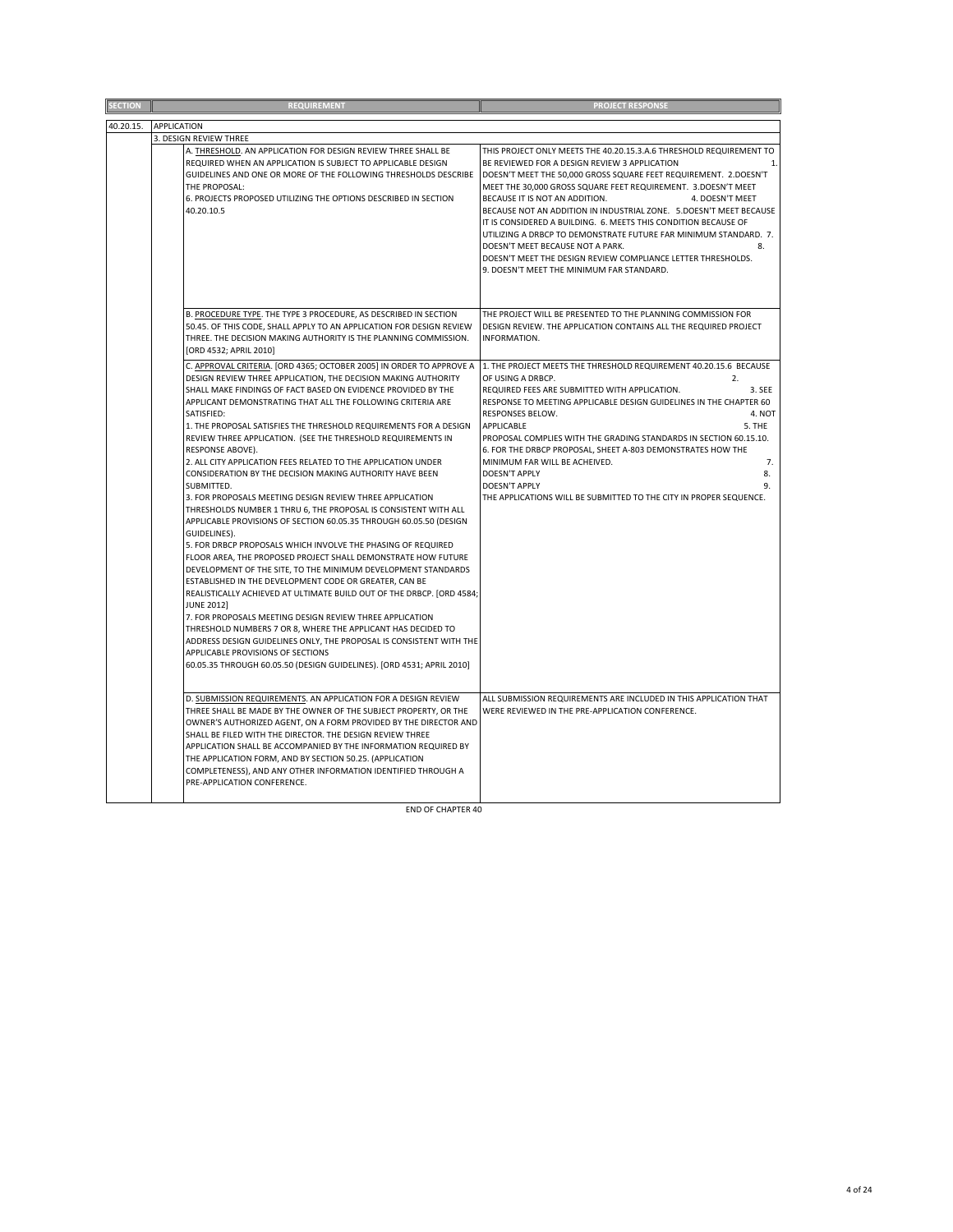| <b>SECTION</b> | <b>REQUIREMENT</b>                                                                                                                                                                                                                                                                                                                                                                                                                                                                                                                                                                                                                                                                                                                                                                                                                                                                                                                                                                                                                                                                                                                                                                                                                                                                                                                                                                                                                                                                       | <b>PROJECT RESPONSE</b>                                                                                                                                                                                                                                                                                                                                                                                                                                                                                                                                                                                                                                                            |
|----------------|------------------------------------------------------------------------------------------------------------------------------------------------------------------------------------------------------------------------------------------------------------------------------------------------------------------------------------------------------------------------------------------------------------------------------------------------------------------------------------------------------------------------------------------------------------------------------------------------------------------------------------------------------------------------------------------------------------------------------------------------------------------------------------------------------------------------------------------------------------------------------------------------------------------------------------------------------------------------------------------------------------------------------------------------------------------------------------------------------------------------------------------------------------------------------------------------------------------------------------------------------------------------------------------------------------------------------------------------------------------------------------------------------------------------------------------------------------------------------------------|------------------------------------------------------------------------------------------------------------------------------------------------------------------------------------------------------------------------------------------------------------------------------------------------------------------------------------------------------------------------------------------------------------------------------------------------------------------------------------------------------------------------------------------------------------------------------------------------------------------------------------------------------------------------------------|
| 40.20.15.      | <b>APPLICATION</b>                                                                                                                                                                                                                                                                                                                                                                                                                                                                                                                                                                                                                                                                                                                                                                                                                                                                                                                                                                                                                                                                                                                                                                                                                                                                                                                                                                                                                                                                       |                                                                                                                                                                                                                                                                                                                                                                                                                                                                                                                                                                                                                                                                                    |
|                | 3. DESIGN REVIEW THREE                                                                                                                                                                                                                                                                                                                                                                                                                                                                                                                                                                                                                                                                                                                                                                                                                                                                                                                                                                                                                                                                                                                                                                                                                                                                                                                                                                                                                                                                   |                                                                                                                                                                                                                                                                                                                                                                                                                                                                                                                                                                                                                                                                                    |
|                | A. THRESHOLD. AN APPLICATION FOR DESIGN REVIEW THREE SHALL BE<br>REQUIRED WHEN AN APPLICATION IS SUBJECT TO APPLICABLE DESIGN<br>GUIDELINES AND ONE OR MORE OF THE FOLLOWING THRESHOLDS DESCRIBE<br>THE PROPOSAL:<br>6. PROJECTS PROPOSED UTILIZING THE OPTIONS DESCRIBED IN SECTION<br>40.20.10.5                                                                                                                                                                                                                                                                                                                                                                                                                                                                                                                                                                                                                                                                                                                                                                                                                                                                                                                                                                                                                                                                                                                                                                                       | THIS PROJECT ONLY MEETS THE 40.20.15.3.A.6 THRESHOLD REQUIREMENT TO<br>BE REVIEWED FOR A DESIGN REVIEW 3 APPLICATION<br>DOESN'T MEET THE 50,000 GROSS SQUARE FEET REQUIREMENT. 2.DOESN'T<br>MEET THE 30,000 GROSS SQUARE FEET REQUIREMENT. 3.DOESN'T MEET<br>BECAUSE IT IS NOT AN ADDITION.<br>4. DOESN'T MEET<br>BECAUSE NOT AN ADDITION IN INDUSTRIAL ZONE. 5.DOESN'T MEET BECAUSE<br>IT IS CONSIDERED A BUILDING. 6. MEETS THIS CONDITION BECAUSE OF<br>UTILIZING A DRBCP TO DEMONSTRATE FUTURE FAR MINIMUM STANDARD. 7.<br>DOESN'T MEET BECAUSE NOT A PARK.<br>8.<br>DOESN'T MEET THE DESIGN REVIEW COMPLIANCE LETTER THRESHOLDS.<br>9. DOESN'T MEET THE MINIMUM FAR STANDARD. |
|                | B. PROCEDURE TYPE. THE TYPE 3 PROCEDURE, AS DESCRIBED IN SECTION<br>50.45. OF THIS CODE, SHALL APPLY TO AN APPLICATION FOR DESIGN REVIEW<br>THREE. THE DECISION MAKING AUTHORITY IS THE PLANNING COMMISSION.<br>[ORD 4532; APRIL 2010]                                                                                                                                                                                                                                                                                                                                                                                                                                                                                                                                                                                                                                                                                                                                                                                                                                                                                                                                                                                                                                                                                                                                                                                                                                                   | THE PROJECT WILL BE PRESENTED TO THE PLANNING COMMISSION FOR<br>DESIGN REVIEW. THE APPLICATION CONTAINS ALL THE REQUIRED PROJECT<br>INFORMATION.                                                                                                                                                                                                                                                                                                                                                                                                                                                                                                                                   |
|                | C. APPROVAL CRITERIA. [ORD 4365; OCTOBER 2005] IN ORDER TO APPROVE A<br>DESIGN REVIEW THREE APPLICATION, THE DECISION MAKING AUTHORITY<br>SHALL MAKE FINDINGS OF FACT BASED ON EVIDENCE PROVIDED BY THE<br>APPLICANT DEMONSTRATING THAT ALL THE FOLLOWING CRITERIA ARE<br>SATISFIED:<br>1. THE PROPOSAL SATISFIES THE THRESHOLD REQUIREMENTS FOR A DESIGN<br>REVIEW THREE APPLICATION. (SEE THE THRESHOLD REQUIREMENTS IN<br>RESPONSE ABOVE).<br>2. ALL CITY APPLICATION FEES RELATED TO THE APPLICATION UNDER<br>CONSIDERATION BY THE DECISION MAKING AUTHORITY HAVE BEEN<br>SUBMITTED.<br>3. FOR PROPOSALS MEETING DESIGN REVIEW THREE APPLICATION<br>THRESHOLDS NUMBER 1 THRU 6, THE PROPOSAL IS CONSISTENT WITH ALL<br>APPLICABLE PROVISIONS OF SECTION 60.05.35 THROUGH 60.05.50 (DESIGN<br>GUIDELINES).<br>5. FOR DRBCP PROPOSALS WHICH INVOLVE THE PHASING OF REQUIRED<br>FLOOR AREA, THE PROPOSED PROJECT SHALL DEMONSTRATE HOW FUTURE<br>DEVELOPMENT OF THE SITE, TO THE MINIMUM DEVELOPMENT STANDARDS<br>ESTABLISHED IN THE DEVELOPMENT CODE OR GREATER, CAN BE<br>REALISTICALLY ACHIEVED AT ULTIMATE BUILD OUT OF THE DRBCP. [ORD 4584;<br><b>JUNE 2012]</b><br>7. FOR PROPOSALS MEETING DESIGN REVIEW THREE APPLICATION<br>THRESHOLD NUMBERS 7 OR 8, WHERE THE APPLICANT HAS DECIDED TO<br>ADDRESS DESIGN GUIDELINES ONLY, THE PROPOSAL IS CONSISTENT WITH THE<br>APPLICABLE PROVISIONS OF SECTIONS<br>60.05.35 THROUGH 60.05.50 (DESIGN GUIDELINES). [ORD 4531; APRIL 2010] | 1. THE PROJECT MEETS THE THRESHOLD REQUIREMENT 40.20.15.6 BECAUSE<br>OF USING A DRBCP.<br>2.<br>REQUIRED FEES ARE SUBMITTED WITH APPLICATION.<br>3. SEE<br>RESPONSE TO MEETING APPLICABLE DESIGN GUIDELINES IN THE CHAPTER 60<br>RESPONSES BELOW.<br>4. NOT<br>APPLICABLE<br>5. THE<br>PROPOSAL COMPLIES WITH THE GRADING STANDARDS IN SECTION 60.15.10.<br>6. FOR THE DRBCP PROPOSAL, SHEET A-803 DEMONSTRATES HOW THE<br>MINIMUM FAR WILL BE ACHEIVED.<br>7.<br>DOESN'T APPLY<br>8.<br>DOESN'T APPLY<br>9.<br>THE APPLICATIONS WILL BE SUBMITTED TO THE CITY IN PROPER SEQUENCE.                                                                                                 |
|                | D. SUBMISSION REQUIREMENTS. AN APPLICATION FOR A DESIGN REVIEW<br>THREE SHALL BE MADE BY THE OWNER OF THE SUBJECT PROPERTY, OR THE<br>OWNER'S AUTHORIZED AGENT, ON A FORM PROVIDED BY THE DIRECTOR AND<br>SHALL BE FILED WITH THE DIRECTOR. THE DESIGN REVIEW THREE<br>APPLICATION SHALL BE ACCOMPANIED BY THE INFORMATION REQUIRED BY<br>THE APPLICATION FORM, AND BY SECTION 50.25. (APPLICATION<br>COMPLETENESS), AND ANY OTHER INFORMATION IDENTIFIED THROUGH A<br>PRE-APPLICATION CONFERENCE.                                                                                                                                                                                                                                                                                                                                                                                                                                                                                                                                                                                                                                                                                                                                                                                                                                                                                                                                                                                       | ALL SUBMISSION REQUIREMENTS ARE INCLUDED IN THIS APPLICATION THAT<br>WERE REVIEWED IN THE PRE-APPLICATION CONFERENCE.                                                                                                                                                                                                                                                                                                                                                                                                                                                                                                                                                              |

END OF CHAPTER 40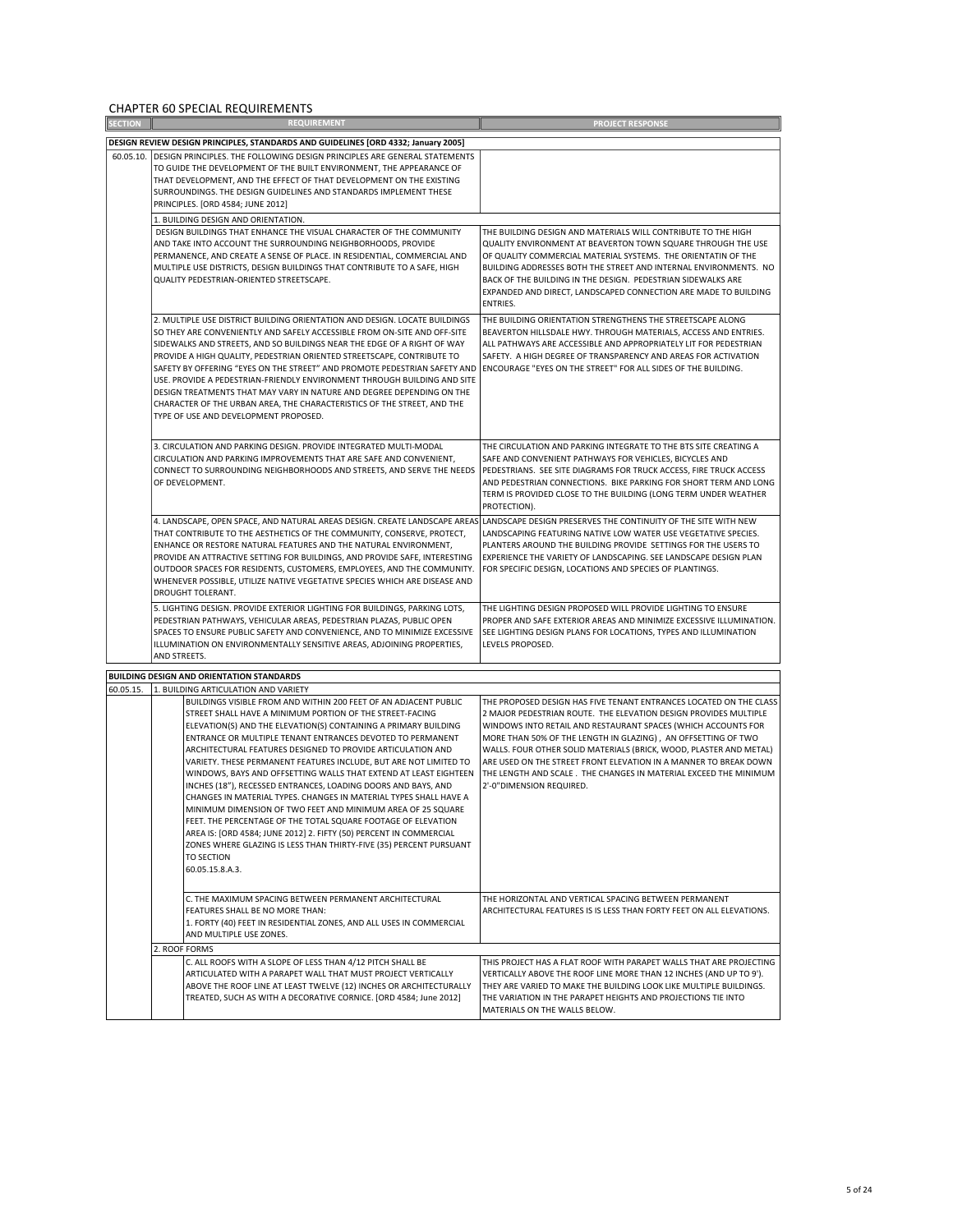CHAPTER 60 SPECIAL REQUIREMENTS

| <b>SECTION</b> | <b>REQUIREMENT</b>                                                                                                                                                                                                                                                                                                                                                                                                                                                                                                                                                                                                                                                                                                                                                                                                                                                                                                       | <b>PROJECT RESPONSE</b>                                                                                                                                                                                                                                                                                                                                                                                                                                                                                             |
|----------------|--------------------------------------------------------------------------------------------------------------------------------------------------------------------------------------------------------------------------------------------------------------------------------------------------------------------------------------------------------------------------------------------------------------------------------------------------------------------------------------------------------------------------------------------------------------------------------------------------------------------------------------------------------------------------------------------------------------------------------------------------------------------------------------------------------------------------------------------------------------------------------------------------------------------------|---------------------------------------------------------------------------------------------------------------------------------------------------------------------------------------------------------------------------------------------------------------------------------------------------------------------------------------------------------------------------------------------------------------------------------------------------------------------------------------------------------------------|
|                | DESIGN REVIEW DESIGN PRINCIPLES, STANDARDS AND GUIDELINES [ORD 4332; January 2005]                                                                                                                                                                                                                                                                                                                                                                                                                                                                                                                                                                                                                                                                                                                                                                                                                                       |                                                                                                                                                                                                                                                                                                                                                                                                                                                                                                                     |
|                | 60.05.10. DESIGN PRINCIPLES. THE FOLLOWING DESIGN PRINCIPLES ARE GENERAL STATEMENTS<br>TO GUIDE THE DEVELOPMENT OF THE BUILT ENVIRONMENT, THE APPEARANCE OF<br>THAT DEVELOPMENT, AND THE EFFECT OF THAT DEVELOPMENT ON THE EXISTING<br>SURROUNDINGS. THE DESIGN GUIDELINES AND STANDARDS IMPLEMENT THESE<br>PRINCIPLES. [ORD 4584; JUNE 2012]                                                                                                                                                                                                                                                                                                                                                                                                                                                                                                                                                                            |                                                                                                                                                                                                                                                                                                                                                                                                                                                                                                                     |
|                | 1. BUILDING DESIGN AND ORIENTATION.                                                                                                                                                                                                                                                                                                                                                                                                                                                                                                                                                                                                                                                                                                                                                                                                                                                                                      |                                                                                                                                                                                                                                                                                                                                                                                                                                                                                                                     |
|                | DESIGN BUILDINGS THAT ENHANCE THE VISUAL CHARACTER OF THE COMMUNITY<br>AND TAKE INTO ACCOUNT THE SURROUNDING NEIGHBORHOODS, PROVIDE<br>PERMANENCE, AND CREATE A SENSE OF PLACE. IN RESIDENTIAL, COMMERCIAL AND<br>MULTIPLE USE DISTRICTS, DESIGN BUILDINGS THAT CONTRIBUTE TO A SAFE, HIGH<br>QUALITY PEDESTRIAN-ORIENTED STREETSCAPE.                                                                                                                                                                                                                                                                                                                                                                                                                                                                                                                                                                                   | THE BUILDING DESIGN AND MATERIALS WILL CONTRIBUTE TO THE HIGH<br>QUALITY ENVIRONMENT AT BEAVERTON TOWN SQUARE THROUGH THE USE<br>OF QUALITY COMMERCIAL MATERIAL SYSTEMS. THE ORIENTATIN OF THE<br>BUILDING ADDRESSES BOTH THE STREET AND INTERNAL ENVIRONMENTS. NO<br>BACK OF THE BUILDING IN THE DESIGN. PEDESTRIAN SIDEWALKS ARE<br>EXPANDED AND DIRECT, LANDSCAPED CONNECTION ARE MADE TO BUILDING<br>ENTRIES.                                                                                                   |
|                | 2. MULTIPLE USE DISTRICT BUILDING ORIENTATION AND DESIGN. LOCATE BUILDINGS<br>SO THEY ARE CONVENIENTLY AND SAFELY ACCESSIBLE FROM ON-SITE AND OFF-SITE<br>SIDEWALKS AND STREETS, AND SO BUILDINGS NEAR THE EDGE OF A RIGHT OF WAY<br>PROVIDE A HIGH QUALITY, PEDESTRIAN ORIENTED STREETSCAPE, CONTRIBUTE TO<br>SAFETY BY OFFERING "EYES ON THE STREET" AND PROMOTE PEDESTRIAN SAFETY AND<br>USE. PROVIDE A PEDESTRIAN-FRIENDLY ENVIRONMENT THROUGH BUILDING AND SITE<br>DESIGN TREATMENTS THAT MAY VARY IN NATURE AND DEGREE DEPENDING ON THE<br>CHARACTER OF THE URBAN AREA, THE CHARACTERISTICS OF THE STREET, AND THE<br>TYPE OF USE AND DEVELOPMENT PROPOSED.                                                                                                                                                                                                                                                        | THE BUILDING ORIENTATION STRENGTHENS THE STREETSCAPE ALONG<br>BEAVERTON HILLSDALE HWY. THROUGH MATERIALS, ACCESS AND ENTRIES.<br>ALL PATHWAYS ARE ACCESSIBLE AND APPROPRIATELY LIT FOR PEDESTRIAN<br>SAFETY. A HIGH DEGREE OF TRANSPARENCY AND AREAS FOR ACTIVATION<br>ENCOURAGE "EYES ON THE STREET" FOR ALL SIDES OF THE BUILDING.                                                                                                                                                                                |
|                | 3. CIRCULATION AND PARKING DESIGN. PROVIDE INTEGRATED MULTI-MODAL<br>CIRCULATION AND PARKING IMPROVEMENTS THAT ARE SAFE AND CONVENIENT,<br>CONNECT TO SURROUNDING NEIGHBORHOODS AND STREETS, AND SERVE THE NEEDS<br>OF DEVELOPMENT.                                                                                                                                                                                                                                                                                                                                                                                                                                                                                                                                                                                                                                                                                      | THE CIRCULATION AND PARKING INTEGRATE TO THE BTS SITE CREATING A<br>SAFE AND CONVENIENT PATHWAYS FOR VEHICLES, BICYCLES AND<br>PEDESTRIANS. SEE SITE DIAGRAMS FOR TRUCK ACCESS, FIRE TRUCK ACCESS<br>AND PEDESTRIAN CONNECTIONS. BIKE PARKING FOR SHORT TERM AND LONG<br>TERM IS PROVIDED CLOSE TO THE BUILDING (LONG TERM UNDER WEATHER<br>PROTECTION).                                                                                                                                                            |
|                | 4. LANDSCAPE, OPEN SPACE, AND NATURAL AREAS DESIGN. CREATE LANDSCAPE AREAS<br>THAT CONTRIBUTE TO THE AESTHETICS OF THE COMMUNITY, CONSERVE, PROTECT,<br>ENHANCE OR RESTORE NATURAL FEATURES AND THE NATURAL ENVIRONMENT,<br>PROVIDE AN ATTRACTIVE SETTING FOR BUILDINGS, AND PROVIDE SAFE, INTERESTING<br>OUTDOOR SPACES FOR RESIDENTS, CUSTOMERS, EMPLOYEES, AND THE COMMUNITY.<br>WHENEVER POSSIBLE, UTILIZE NATIVE VEGETATIVE SPECIES WHICH ARE DISEASE AND<br>DROUGHT TOLERANT.                                                                                                                                                                                                                                                                                                                                                                                                                                      | LANDSCAPE DESIGN PRESERVES THE CONTINUITY OF THE SITE WITH NEW<br>LANDSCAPING FEATURING NATIVE LOW WATER USE VEGETATIVE SPECIES.<br>PLANTERS AROUND THE BUILDING PROVIDE SETTINGS FOR THE USERS TO<br>EXPERIENCE THE VARIETY OF LANDSCAPING. SEE LANDSCAPE DESIGN PLAN<br>FOR SPECIFIC DESIGN, LOCATIONS AND SPECIES OF PLANTINGS.                                                                                                                                                                                  |
|                | 5. LIGHTING DESIGN. PROVIDE EXTERIOR LIGHTING FOR BUILDINGS, PARKING LOTS,<br>PEDESTRIAN PATHWAYS, VEHICULAR AREAS, PEDESTRIAN PLAZAS, PUBLIC OPEN<br>SPACES TO ENSURE PUBLIC SAFETY AND CONVENIENCE, AND TO MINIMIZE EXCESSIVE<br>ILLUMINATION ON ENVIRONMENTALLY SENSITIVE AREAS, ADJOINING PROPERTIES,<br>AND STREETS.                                                                                                                                                                                                                                                                                                                                                                                                                                                                                                                                                                                                | THE LIGHTING DESIGN PROPOSED WILL PROVIDE LIGHTING TO ENSURE<br>PROPER AND SAFE EXTERIOR AREAS AND MINIMIZE EXCESSIVE ILLUMINATION.<br>SEE LIGHTING DESIGN PLANS FOR LOCATIONS, TYPES AND ILLUMINATION<br>LEVELS PROPOSED.                                                                                                                                                                                                                                                                                          |
|                | <b>BUILDING DESIGN AND ORIENTATION STANDARDS</b>                                                                                                                                                                                                                                                                                                                                                                                                                                                                                                                                                                                                                                                                                                                                                                                                                                                                         |                                                                                                                                                                                                                                                                                                                                                                                                                                                                                                                     |
| 60.05.15.      | 1. BUILDING ARTICULATION AND VARIETY                                                                                                                                                                                                                                                                                                                                                                                                                                                                                                                                                                                                                                                                                                                                                                                                                                                                                     |                                                                                                                                                                                                                                                                                                                                                                                                                                                                                                                     |
|                | BUILDINGS VISIBLE FROM AND WITHIN 200 FEET OF AN ADJACENT PUBLIC<br>STREET SHALL HAVE A MINIMUM PORTION OF THE STREET-FACING<br>ELEVATION(S) AND THE ELEVATION(S) CONTAINING A PRIMARY BUILDING<br>ENTRANCE OR MULTIPLE TENANT ENTRANCES DEVOTED TO PERMANENT<br>ARCHITECTURAL FEATURES DESIGNED TO PROVIDE ARTICULATION AND<br>VARIETY. THESE PERMANENT FEATURES INCLUDE, BUT ARE NOT LIMITED TO<br>WINDOWS, BAYS AND OFFSETTING WALLS THAT EXTEND AT LEAST EIGHTEEN<br>INCHES (18"), RECESSED ENTRANCES, LOADING DOORS AND BAYS, AND<br>CHANGES IN MATERIAL TYPES. CHANGES IN MATERIAL TYPES SHALL HAVE A<br>MINIMUM DIMENSION OF TWO FEET AND MINIMUM AREA OF 25 SQUARE<br>FEET. THE PERCENTAGE OF THE TOTAL SQUARE FOOTAGE OF ELEVATION<br>AREA IS: [ORD 4584; JUNE 2012] 2. FIFTY (50) PERCENT IN COMMERCIAL<br>ZONES WHERE GLAZING IS LESS THAN THIRTY-FIVE (35) PERCENT PURSUANT<br>TO SECTION<br>60.05.15.8.A.3. | THE PROPOSED DESIGN HAS FIVE TENANT ENTRANCES LOCATED ON THE CLASS<br>2 MAJOR PEDESTRIAN ROUTE. THE ELEVATION DESIGN PROVIDES MULTIPLE<br>WINDOWS INTO RETAIL AND RESTAURANT SPACES (WHICH ACCOUNTS FOR<br>MORE THAN 50% OF THE LENGTH IN GLAZING), AN OFFSETTING OF TWO<br>WALLS. FOUR OTHER SOLID MATERIALS (BRICK, WOOD, PLASTER AND METAL)<br>ARE USED ON THE STREET FRONT ELEVATION IN A MANNER TO BREAK DOWN<br>THE LENGTH AND SCALE . THE CHANGES IN MATERIAL EXCEED THE MINIMUM<br>2'-0"DIMENSION REQUIRED. |
|                | C. THE MAXIMUM SPACING BETWEEN PERMANENT ARCHITECTURAL<br>FEATURES SHALL BE NO MORE THAN:<br>1. FORTY (40) FEET IN RESIDENTIAL ZONES, AND ALL USES IN COMMERCIAL<br>AND MULTIPLE USE ZONES.                                                                                                                                                                                                                                                                                                                                                                                                                                                                                                                                                                                                                                                                                                                              | THE HORIZONTAL AND VERTICAL SPACING BETWEEN PERMANENT<br>ARCHITECTURAL FEATURES IS IS LESS THAN FORTY FEET ON ALL ELEVATIONS.                                                                                                                                                                                                                                                                                                                                                                                       |
|                | 2. ROOF FORMS                                                                                                                                                                                                                                                                                                                                                                                                                                                                                                                                                                                                                                                                                                                                                                                                                                                                                                            |                                                                                                                                                                                                                                                                                                                                                                                                                                                                                                                     |
|                | C. ALL ROOFS WITH A SLOPE OF LESS THAN 4/12 PITCH SHALL BE<br>ARTICULATED WITH A PARAPET WALL THAT MUST PROJECT VERTICALLY<br>ABOVE THE ROOF LINE AT LEAST TWELVE (12) INCHES OR ARCHITECTURALLY<br>TREATED, SUCH AS WITH A DECORATIVE CORNICE. [ORD 4584; June 2012]                                                                                                                                                                                                                                                                                                                                                                                                                                                                                                                                                                                                                                                    | THIS PROJECT HAS A FLAT ROOF WITH PARAPET WALLS THAT ARE PROJECTING<br>VERTICALLY ABOVE THE ROOF LINE MORE THAN 12 INCHES (AND UP TO 9').<br>THEY ARE VARIED TO MAKE THE BUILDING LOOK LIKE MULTIPLE BUILDINGS.<br>THE VARIATION IN THE PARAPET HEIGHTS AND PROJECTIONS TIE INTO<br>MATERIALS ON THE WALLS BELOW.                                                                                                                                                                                                   |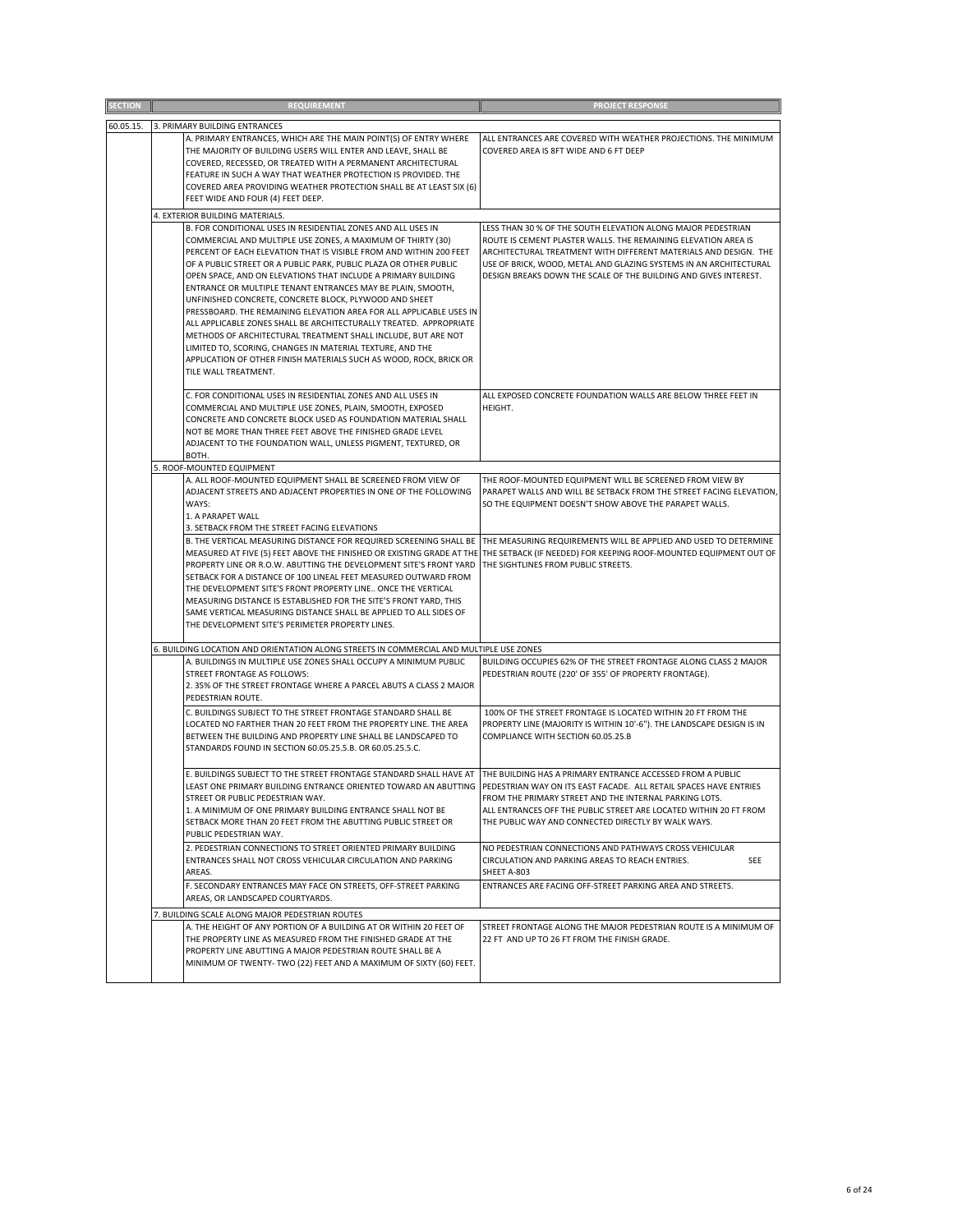| ECTION    | <b>REQUIREMENT</b>                                                                                                                                                                                                                                                                                                                                                                                                                                                                                                                                                                                                                                                                                                                                                                                                                        | <b>PROJECT RESPONSE</b>                                                                                                                                                                                                                                                                                                                     |
|-----------|-------------------------------------------------------------------------------------------------------------------------------------------------------------------------------------------------------------------------------------------------------------------------------------------------------------------------------------------------------------------------------------------------------------------------------------------------------------------------------------------------------------------------------------------------------------------------------------------------------------------------------------------------------------------------------------------------------------------------------------------------------------------------------------------------------------------------------------------|---------------------------------------------------------------------------------------------------------------------------------------------------------------------------------------------------------------------------------------------------------------------------------------------------------------------------------------------|
| 60.05.15. | 3. PRIMARY BUILDING ENTRANCES                                                                                                                                                                                                                                                                                                                                                                                                                                                                                                                                                                                                                                                                                                                                                                                                             |                                                                                                                                                                                                                                                                                                                                             |
|           | A. PRIMARY ENTRANCES, WHICH ARE THE MAIN POINT(S) OF ENTRY WHERE<br>THE MAJORITY OF BUILDING USERS WILL ENTER AND LEAVE, SHALL BE<br>COVERED, RECESSED, OR TREATED WITH A PERMANENT ARCHITECTURAL<br>FEATURE IN SUCH A WAY THAT WEATHER PROTECTION IS PROVIDED. THE<br>COVERED AREA PROVIDING WEATHER PROTECTION SHALL BE AT LEAST SIX (6)<br>FEET WIDE AND FOUR (4) FEET DEEP.                                                                                                                                                                                                                                                                                                                                                                                                                                                           | ALL ENTRANCES ARE COVERED WITH WEATHER PROJECTIONS. THE MINIMUM<br>COVERED AREA IS 8FT WIDE AND 6 FT DEEP                                                                                                                                                                                                                                   |
|           | 4. EXTERIOR BUILDING MATERIALS.                                                                                                                                                                                                                                                                                                                                                                                                                                                                                                                                                                                                                                                                                                                                                                                                           |                                                                                                                                                                                                                                                                                                                                             |
|           | B. FOR CONDITIONAL USES IN RESIDENTIAL ZONES AND ALL USES IN<br>COMMERCIAL AND MULTIPLE USE ZONES, A MAXIMUM OF THIRTY (30)<br>PERCENT OF EACH ELEVATION THAT IS VISIBLE FROM AND WITHIN 200 FEET<br>OF A PUBLIC STREET OR A PUBLIC PARK, PUBLIC PLAZA OR OTHER PUBLIC<br>OPEN SPACE, AND ON ELEVATIONS THAT INCLUDE A PRIMARY BUILDING<br>ENTRANCE OR MULTIPLE TENANT ENTRANCES MAY BE PLAIN, SMOOTH,<br>UNFINISHED CONCRETE, CONCRETE BLOCK, PLYWOOD AND SHEET<br>PRESSBOARD. THE REMAINING ELEVATION AREA FOR ALL APPLICABLE USES IN<br>ALL APPLICABLE ZONES SHALL BE ARCHITECTURALLY TREATED. APPROPRIATE<br>METHODS OF ARCHITECTURAL TREATMENT SHALL INCLUDE, BUT ARE NOT<br>LIMITED TO, SCORING, CHANGES IN MATERIAL TEXTURE, AND THE<br>APPLICATION OF OTHER FINISH MATERIALS SUCH AS WOOD, ROCK, BRICK OR<br>TILE WALL TREATMENT. | LESS THAN 30 % OF THE SOUTH ELEVATION ALONG MAJOR PEDESTRIAN<br>ROUTE IS CEMENT PLASTER WALLS. THE REMAINING ELEVATION AREA IS<br>ARCHITECTURAL TREATMENT WITH DIFFERENT MATERIALS AND DESIGN. THE<br>USE OF BRICK, WOOD, METAL AND GLAZING SYSTEMS IN AN ARCHITECTURAL<br>DESIGN BREAKS DOWN THE SCALE OF THE BUILDING AND GIVES INTEREST. |
|           | C. FOR CONDITIONAL USES IN RESIDENTIAL ZONES AND ALL USES IN<br>COMMERCIAL AND MULTIPLE USE ZONES, PLAIN, SMOOTH, EXPOSED<br>CONCRETE AND CONCRETE BLOCK USED AS FOUNDATION MATERIAL SHALL<br>NOT BE MORE THAN THREE FEET ABOVE THE FINISHED GRADE LEVEL                                                                                                                                                                                                                                                                                                                                                                                                                                                                                                                                                                                  | ALL EXPOSED CONCRETE FOUNDATION WALLS ARE BELOW THREE FEET IN<br>HEIGHT.                                                                                                                                                                                                                                                                    |
|           | ADJACENT TO THE FOUNDATION WALL, UNLESS PIGMENT, TEXTURED, OR<br>BOTH.                                                                                                                                                                                                                                                                                                                                                                                                                                                                                                                                                                                                                                                                                                                                                                    |                                                                                                                                                                                                                                                                                                                                             |
|           | 5. ROOF-MOUNTED EQUIPMENT                                                                                                                                                                                                                                                                                                                                                                                                                                                                                                                                                                                                                                                                                                                                                                                                                 |                                                                                                                                                                                                                                                                                                                                             |
|           | A. ALL ROOF-MOUNTED EQUIPMENT SHALL BE SCREENED FROM VIEW OF<br>ADJACENT STREETS AND ADJACENT PROPERTIES IN ONE OF THE FOLLOWING<br>WAYS:<br>1. A PARAPET WALL<br>3. SETBACK FROM THE STREET FACING ELEVATIONS                                                                                                                                                                                                                                                                                                                                                                                                                                                                                                                                                                                                                            | THE ROOF-MOUNTED EQUIPMENT WILL BE SCREENED FROM VIEW BY<br>PARAPET WALLS AND WILL BE SETBACK FROM THE STREET FACING ELEVATION,<br>SO THE EQUIPMENT DOESN'T SHOW ABOVE THE PARAPET WALLS.                                                                                                                                                   |
|           | B. THE VERTICAL MEASURING DISTANCE FOR REQUIRED SCREENING SHALL BE<br>MEASURED AT FIVE (5) FEET ABOVE THE FINISHED OR EXISTING GRADE AT THE THE SETBACK (IF NEEDED) FOR KEEPING ROOF-MOUNTED EQUIPMENT OUT OF<br>PROPERTY LINE OR R.O.W. ABUTTING THE DEVELOPMENT SITE'S FRONT YARD THE SIGHTLINES FROM PUBLIC STREETS.<br>SETBACK FOR A DISTANCE OF 100 LINEAL FEET MEASURED OUTWARD FROM<br>THE DEVELOPMENT SITE'S FRONT PROPERTY LINE ONCE THE VERTICAL<br>MEASURING DISTANCE IS ESTABLISHED FOR THE SITE'S FRONT YARD, THIS<br>SAME VERTICAL MEASURING DISTANCE SHALL BE APPLIED TO ALL SIDES OF<br>THE DEVELOPMENT SITE'S PERIMETER PROPERTY LINES.                                                                                                                                                                                  | THE MEASURING REQUIREMENTS WILL BE APPLIED AND USED TO DETERMINE                                                                                                                                                                                                                                                                            |
|           | 6. BUILDING LOCATION AND ORIENTATION ALONG STREETS IN COMMERCIAL AND MULTIPLE USE ZONES                                                                                                                                                                                                                                                                                                                                                                                                                                                                                                                                                                                                                                                                                                                                                   |                                                                                                                                                                                                                                                                                                                                             |
|           | A. BUILDINGS IN MULTIPLE USE ZONES SHALL OCCUPY A MINIMUM PUBLIC<br>STREET FRONTAGE AS FOLLOWS:<br>2. 35% OF THE STREET FRONTAGE WHERE A PARCEL ABUTS A CLASS 2 MAJOR<br>PEDESTRIAN ROUTE.                                                                                                                                                                                                                                                                                                                                                                                                                                                                                                                                                                                                                                                | BUILDING OCCUPIES 62% OF THE STREET FRONTAGE ALONG CLASS 2 MAJOR<br>PEDESTRIAN ROUTE (220' OF 355' OF PROPERTY FRONTAGE).                                                                                                                                                                                                                   |
|           | C. BUILDINGS SUBJECT TO THE STREET FRONTAGE STANDARD SHALL BE<br>LOCATED NO FARTHER THAN 20 FEET FROM THE PROPERTY LINE. THE AREA<br>BETWEEN THE BUILDING AND PROPERTY LINE SHALL BE LANDSCAPED TO<br>STANDARDS FOUND IN SECTION 60.05.25.5.B. OR 60.05.25.5.C.                                                                                                                                                                                                                                                                                                                                                                                                                                                                                                                                                                           | 100% OF THE STREET FRONTAGE IS LOCATED WITHIN 20 FT FROM THE<br>PROPERTY LINE (MAJORITY IS WITHIN 10'-6"). THE LANDSCAPE DESIGN IS IN<br>COMPLIANCE WITH SECTION 60.05.25.B                                                                                                                                                                 |
|           | E. BUILDINGS SUBJECT TO THE STREET FRONTAGE STANDARD SHALL HAVE AT<br>LEAST ONE PRIMARY BUILDING ENTRANCE ORIENTED TOWARD AN ABUTTING<br>STREET OR PUBLIC PEDESTRIAN WAY.<br>1. A MINIMUM OF ONE PRIMARY BUILDING ENTRANCE SHALL NOT BE<br>SETBACK MORE THAN 20 FEET FROM THE ABUTTING PUBLIC STREET OR<br>PUBLIC PEDESTRIAN WAY.                                                                                                                                                                                                                                                                                                                                                                                                                                                                                                         | THE BUILDING HAS A PRIMARY ENTRANCE ACCESSED FROM A PUBLIC<br>PEDESTRIAN WAY ON ITS EAST FACADE. ALL RETAIL SPACES HAVE ENTRIES<br>FROM THE PRIMARY STREET AND THE INTERNAL PARKING LOTS.<br>ALL ENTRANCES OFF THE PUBLIC STREET ARE LOCATED WITHIN 20 FT FROM<br>THE PUBLIC WAY AND CONNECTED DIRECTLY BY WALK WAYS.                       |
|           | 2. PEDESTRIAN CONNECTIONS TO STREET ORIENTED PRIMARY BUILDING<br>ENTRANCES SHALL NOT CROSS VEHICULAR CIRCULATION AND PARKING<br>AREAS.                                                                                                                                                                                                                                                                                                                                                                                                                                                                                                                                                                                                                                                                                                    | NO PEDESTRIAN CONNECTIONS AND PATHWAYS CROSS VEHICULAR<br>CIRCULATION AND PARKING AREAS TO REACH ENTRIES.<br>SEE<br>SHEET A-803                                                                                                                                                                                                             |
|           | F. SECONDARY ENTRANCES MAY FACE ON STREETS, OFF-STREET PARKING<br>AREAS, OR LANDSCAPED COURTYARDS.                                                                                                                                                                                                                                                                                                                                                                                                                                                                                                                                                                                                                                                                                                                                        | ENTRANCES ARE FACING OFF-STREET PARKING AREA AND STREETS.                                                                                                                                                                                                                                                                                   |
|           | 7. BUILDING SCALE ALONG MAJOR PEDESTRIAN ROUTES                                                                                                                                                                                                                                                                                                                                                                                                                                                                                                                                                                                                                                                                                                                                                                                           |                                                                                                                                                                                                                                                                                                                                             |
|           | A. THE HEIGHT OF ANY PORTION OF A BUILDING AT OR WITHIN 20 FEET OF<br>THE PROPERTY LINE AS MEASURED FROM THE FINISHED GRADE AT THE<br>PROPERTY LINE ABUTTING A MAJOR PEDESTRIAN ROUTE SHALL BE A                                                                                                                                                                                                                                                                                                                                                                                                                                                                                                                                                                                                                                          | STREET FRONTAGE ALONG THE MAJOR PEDESTRIAN ROUTE IS A MINIMUM OF<br>22 FT AND UP TO 26 FT FROM THE FINISH GRADE.                                                                                                                                                                                                                            |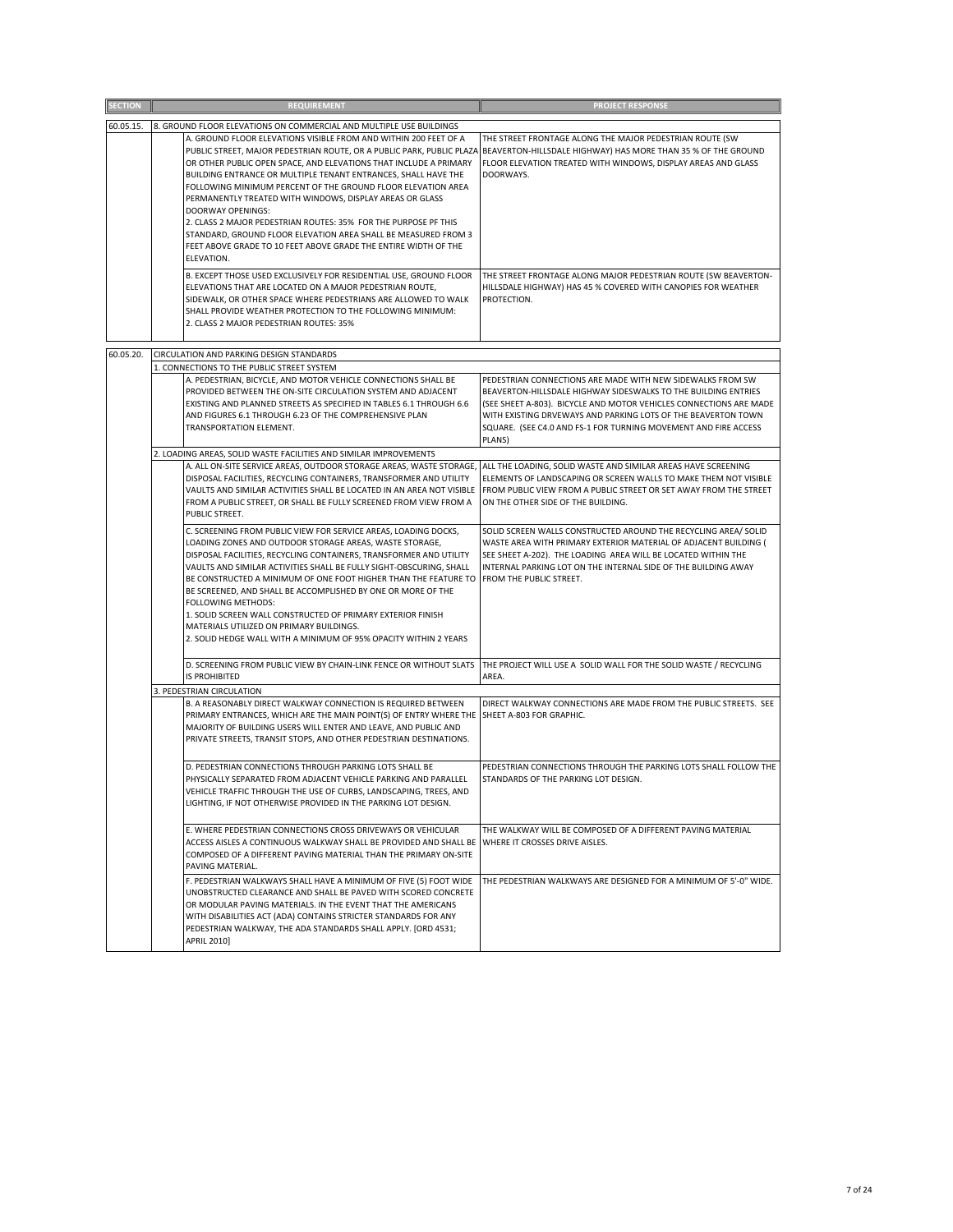|                | <b>REQUIREMENT</b>                                                                                                                                                                                                                                                                                                                                                                                                                                                                                                                                                                                                                                                                                                             | <b>PROJECT RESPONSE</b>                                                                                                                                                                                                                                                                                                                          |
|----------------|--------------------------------------------------------------------------------------------------------------------------------------------------------------------------------------------------------------------------------------------------------------------------------------------------------------------------------------------------------------------------------------------------------------------------------------------------------------------------------------------------------------------------------------------------------------------------------------------------------------------------------------------------------------------------------------------------------------------------------|--------------------------------------------------------------------------------------------------------------------------------------------------------------------------------------------------------------------------------------------------------------------------------------------------------------------------------------------------|
| <b>SECTION</b> |                                                                                                                                                                                                                                                                                                                                                                                                                                                                                                                                                                                                                                                                                                                                |                                                                                                                                                                                                                                                                                                                                                  |
| 60.05.15.      | 8. GROUND FLOOR ELEVATIONS ON COMMERCIAL AND MULTIPLE USE BUILDINGS<br>A. GROUND FLOOR ELEVATIONS VISIBLE FROM AND WITHIN 200 FEET OF A<br>PUBLIC STREET, MAJOR PEDESTRIAN ROUTE, OR A PUBLIC PARK, PUBLIC PLAZA<br>OR OTHER PUBLIC OPEN SPACE, AND ELEVATIONS THAT INCLUDE A PRIMARY<br>BUILDING ENTRANCE OR MULTIPLE TENANT ENTRANCES, SHALL HAVE THE<br>FOLLOWING MINIMUM PERCENT OF THE GROUND FLOOR ELEVATION AREA<br>PERMANENTLY TREATED WITH WINDOWS, DISPLAY AREAS OR GLASS<br>DOORWAY OPENINGS:<br>2. CLASS 2 MAJOR PEDESTRIAN ROUTES: 35% FOR THE PURPOSE PF THIS<br>STANDARD, GROUND FLOOR ELEVATION AREA SHALL BE MEASURED FROM 3<br>FEET ABOVE GRADE TO 10 FEET ABOVE GRADE THE ENTIRE WIDTH OF THE<br>ELEVATION. | THE STREET FRONTAGE ALONG THE MAJOR PEDESTRIAN ROUTE (SW<br>BEAVERTON-HILLSDALE HIGHWAY) HAS MORE THAN 35 % OF THE GROUND<br>FLOOR ELEVATION TREATED WITH WINDOWS, DISPLAY AREAS AND GLASS<br>DOORWAYS.                                                                                                                                          |
|                | B. EXCEPT THOSE USED EXCLUSIVELY FOR RESIDENTIAL USE, GROUND FLOOR<br>ELEVATIONS THAT ARE LOCATED ON A MAJOR PEDESTRIAN ROUTE,<br>SIDEWALK, OR OTHER SPACE WHERE PEDESTRIANS ARE ALLOWED TO WALK<br>SHALL PROVIDE WEATHER PROTECTION TO THE FOLLOWING MINIMUM:<br>2. CLASS 2 MAJOR PEDESTRIAN ROUTES: 35%                                                                                                                                                                                                                                                                                                                                                                                                                      | THE STREET FRONTAGE ALONG MAJOR PEDESTRIAN ROUTE (SW BEAVERTON-<br>HILLSDALE HIGHWAY) HAS 45 % COVERED WITH CANOPIES FOR WEATHER<br>PROTECTION.                                                                                                                                                                                                  |
| 60.05.20.      | CIRCULATION AND PARKING DESIGN STANDARDS                                                                                                                                                                                                                                                                                                                                                                                                                                                                                                                                                                                                                                                                                       |                                                                                                                                                                                                                                                                                                                                                  |
|                | 1. CONNECTIONS TO THE PUBLIC STREET SYSTEM<br>A. PEDESTRIAN, BICYCLE, AND MOTOR VEHICLE CONNECTIONS SHALL BE<br>PROVIDED BETWEEN THE ON-SITE CIRCULATION SYSTEM AND ADJACENT<br>EXISTING AND PLANNED STREETS AS SPECIFIED IN TABLES 6.1 THROUGH 6.6<br>AND FIGURES 6.1 THROUGH 6.23 OF THE COMPREHENSIVE PLAN<br>TRANSPORTATION ELEMENT.                                                                                                                                                                                                                                                                                                                                                                                       | PEDESTRIAN CONNECTIONS ARE MADE WITH NEW SIDEWALKS FROM SW<br>BEAVERTON-HILLSDALE HIGHWAY SIDESWALKS TO THE BUILDING ENTRIES<br>(SEE SHEET A-803). BICYCLE AND MOTOR VEHICLES CONNECTIONS ARE MADE<br>WITH EXISTING DRVEWAYS AND PARKING LOTS OF THE BEAVERTON TOWN<br>SQUARE. (SEE C4.0 AND FS-1 FOR TURNING MOVEMENT AND FIRE ACCESS<br>PLANS) |
|                | 2. LOADING AREAS, SOLID WASTE FACILITIES AND SIMILAR IMPROVEMENTS                                                                                                                                                                                                                                                                                                                                                                                                                                                                                                                                                                                                                                                              |                                                                                                                                                                                                                                                                                                                                                  |
|                | A. ALL ON-SITE SERVICE AREAS, OUTDOOR STORAGE AREAS, WASTE STORAGE,<br>DISPOSAL FACILITIES, RECYCLING CONTAINERS, TRANSFORMER AND UTILITY<br>VAULTS AND SIMILAR ACTIVITIES SHALL BE LOCATED IN AN AREA NOT VISIBLE<br>FROM A PUBLIC STREET, OR SHALL BE FULLY SCREENED FROM VIEW FROM A<br>PUBLIC STREET.                                                                                                                                                                                                                                                                                                                                                                                                                      | ALL THE LOADING, SOLID WASTE AND SIMILAR AREAS HAVE SCREENING<br>ELEMENTS OF LANDSCAPING OR SCREEN WALLS TO MAKE THEM NOT VISIBLE<br>FROM PUBLIC VIEW FROM A PUBLIC STREET OR SET AWAY FROM THE STREET<br>ON THE OTHER SIDE OF THE BUILDING.                                                                                                     |
|                | C. SCREENING FROM PUBLIC VIEW FOR SERVICE AREAS, LOADING DOCKS,<br>LOADING ZONES AND OUTDOOR STORAGE AREAS, WASTE STORAGE,<br>DISPOSAL FACILITIES, RECYCLING CONTAINERS, TRANSFORMER AND UTILITY<br>VAULTS AND SIMILAR ACTIVITIES SHALL BE FULLY SIGHT-OBSCURING, SHALL<br>BE CONSTRUCTED A MINIMUM OF ONE FOOT HIGHER THAN THE FEATURE TO FROM THE PUBLIC STREET.<br>BE SCREENED, AND SHALL BE ACCOMPLISHED BY ONE OR MORE OF THE<br>FOLLOWING METHODS:<br>1. SOLID SCREEN WALL CONSTRUCTED OF PRIMARY EXTERIOR FINISH<br>MATERIALS UTILIZED ON PRIMARY BUILDINGS.<br>2. SOLID HEDGE WALL WITH A MINIMUM OF 95% OPACITY WITHIN 2 YEARS                                                                                        | SOLID SCREEN WALLS CONSTRUCTED AROUND THE RECYCLING AREA/ SOLID<br>WASTE AREA WITH PRIMARY EXTERIOR MATERIAL OF ADJACENT BUILDING (<br>SEE SHEET A-202). THE LOADING AREA WILL BE LOCATED WITHIN THE<br>INTERNAL PARKING LOT ON THE INTERNAL SIDE OF THE BUILDING AWAY                                                                           |
|                | D. SCREENING FROM PUBLIC VIEW BY CHAIN-LINK FENCE OR WITHOUT SLATS<br><b>IS PROHIBITED</b>                                                                                                                                                                                                                                                                                                                                                                                                                                                                                                                                                                                                                                     | THE PROJECT WILL USE A SOLID WALL FOR THE SOLID WASTE / RECYCLING<br>AREA.                                                                                                                                                                                                                                                                       |
|                | 3. PEDESTRIAN CIRCULATION<br>B. A REASONABLY DIRECT WALKWAY CONNECTION IS REQUIRED BETWEEN<br>PRIMARY ENTRANCES, WHICH ARE THE MAIN POINT(S) OF ENTRY WHERE THE SHEET A-803 FOR GRAPHIC.<br>MAJORITY OF BUILDING USERS WILL ENTER AND LEAVE, AND PUBLIC AND<br>PRIVATE STREETS, TRANSIT STOPS, AND OTHER PEDESTRIAN DESTINATIONS.                                                                                                                                                                                                                                                                                                                                                                                              | DIRECT WALKWAY CONNECTIONS ARE MADE FROM THE PUBLIC STREETS. SEE                                                                                                                                                                                                                                                                                 |
|                | D. PEDESTRIAN CONNECTIONS THROUGH PARKING LOTS SHALL BE<br>PHYSICALLY SEPARATED FROM ADJACENT VEHICLE PARKING AND PARALLEL<br>VEHICLE TRAFFIC THROUGH THE USE OF CURBS, LANDSCAPING, TREES, AND<br>LIGHTING, IF NOT OTHERWISE PROVIDED IN THE PARKING LOT DESIGN.                                                                                                                                                                                                                                                                                                                                                                                                                                                              | PEDESTRIAN CONNECTIONS THROUGH THE PARKING LOTS SHALL FOLLOW THE<br>STANDARDS OF THE PARKING LOT DESIGN.                                                                                                                                                                                                                                         |
|                | E. WHERE PEDESTRIAN CONNECTIONS CROSS DRIVEWAYS OR VEHICULAR<br>ACCESS AISLES A CONTINUOUS WALKWAY SHALL BE PROVIDED AND SHALL BE WHERE IT CROSSES DRIVE AISLES.<br>COMPOSED OF A DIFFERENT PAVING MATERIAL THAN THE PRIMARY ON-SITE<br>PAVING MATERIAL.                                                                                                                                                                                                                                                                                                                                                                                                                                                                       | THE WALKWAY WILL BE COMPOSED OF A DIFFERENT PAVING MATERIAL                                                                                                                                                                                                                                                                                      |
|                | F. PEDESTRIAN WALKWAYS SHALL HAVE A MINIMUM OF FIVE (5) FOOT WIDE<br>UNOBSTRUCTED CLEARANCE AND SHALL BE PAVED WITH SCORED CONCRETE<br>OR MODULAR PAVING MATERIALS. IN THE EVENT THAT THE AMERICANS<br>WITH DISABILITIES ACT (ADA) CONTAINS STRICTER STANDARDS FOR ANY<br>PEDESTRIAN WALKWAY, THE ADA STANDARDS SHALL APPLY. [ORD 4531;<br><b>APRIL 2010]</b>                                                                                                                                                                                                                                                                                                                                                                  | THE PEDESTRIAN WALKWAYS ARE DESIGNED FOR A MINIMUM OF 5'-0" WIDE.                                                                                                                                                                                                                                                                                |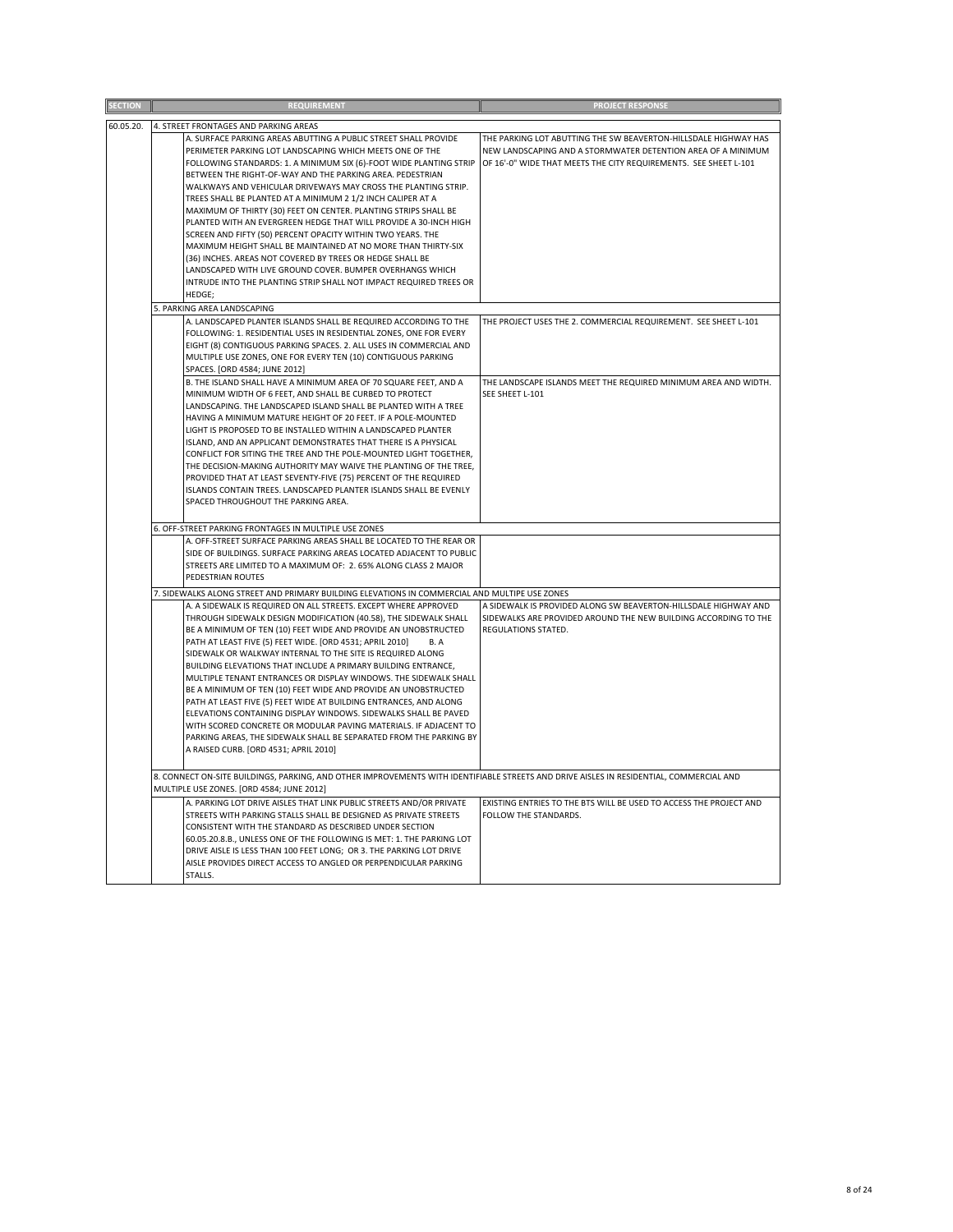| <b>SECTION</b> | <b>REQUIREMENT</b>                                                                                                                                                                                                                                                                                                                                                                                                                                                                                                                                                                                                                                                                                                                                                                                                                                                       | <b>PROJECT RESPONSE</b>                                                                                                                                                                             |
|----------------|--------------------------------------------------------------------------------------------------------------------------------------------------------------------------------------------------------------------------------------------------------------------------------------------------------------------------------------------------------------------------------------------------------------------------------------------------------------------------------------------------------------------------------------------------------------------------------------------------------------------------------------------------------------------------------------------------------------------------------------------------------------------------------------------------------------------------------------------------------------------------|-----------------------------------------------------------------------------------------------------------------------------------------------------------------------------------------------------|
| 60.05.20.      | 4. STREET FRONTAGES AND PARKING AREAS                                                                                                                                                                                                                                                                                                                                                                                                                                                                                                                                                                                                                                                                                                                                                                                                                                    |                                                                                                                                                                                                     |
|                | A. SURFACE PARKING AREAS ABUTTING A PUBLIC STREET SHALL PROVIDE<br>PERIMETER PARKING LOT LANDSCAPING WHICH MEETS ONE OF THE<br>FOLLOWING STANDARDS: 1. A MINIMUM SIX (6)-FOOT WIDE PLANTING STRIP<br>BETWEEN THE RIGHT-OF-WAY AND THE PARKING AREA. PEDESTRIAN<br>WALKWAYS AND VEHICULAR DRIVEWAYS MAY CROSS THE PLANTING STRIP.<br>TREES SHALL BE PLANTED AT A MINIMUM 2 1/2 INCH CALIPER AT A<br>MAXIMUM OF THIRTY (30) FEET ON CENTER. PLANTING STRIPS SHALL BE<br>PLANTED WITH AN EVERGREEN HEDGE THAT WILL PROVIDE A 30-INCH HIGH<br>SCREEN AND FIFTY (50) PERCENT OPACITY WITHIN TWO YEARS. THE<br>MAXIMUM HEIGHT SHALL BE MAINTAINED AT NO MORE THAN THIRTY-SIX<br>(36) INCHES. AREAS NOT COVERED BY TREES OR HEDGE SHALL BE<br>LANDSCAPED WITH LIVE GROUND COVER. BUMPER OVERHANGS WHICH<br>INTRUDE INTO THE PLANTING STRIP SHALL NOT IMPACT REQUIRED TREES OR   | THE PARKING LOT ABUTTING THE SW BEAVERTON-HILLSDALE HIGHWAY HAS<br>NEW LANDSCAPING AND A STORMWATER DETENTION AREA OF A MINIMUM<br>OF 16'-0" WIDE THAT MEETS THE CITY REQUIREMENTS. SEE SHEET L-101 |
|                | HEDGE:                                                                                                                                                                                                                                                                                                                                                                                                                                                                                                                                                                                                                                                                                                                                                                                                                                                                   |                                                                                                                                                                                                     |
|                | 5. PARKING AREA LANDSCAPING                                                                                                                                                                                                                                                                                                                                                                                                                                                                                                                                                                                                                                                                                                                                                                                                                                              |                                                                                                                                                                                                     |
|                | A. LANDSCAPED PLANTER ISLANDS SHALL BE REQUIRED ACCORDING TO THE<br>FOLLOWING: 1. RESIDENTIAL USES IN RESIDENTIAL ZONES, ONE FOR EVERY<br>EIGHT (8) CONTIGUOUS PARKING SPACES. 2. ALL USES IN COMMERCIAL AND<br>MULTIPLE USE ZONES, ONE FOR EVERY TEN (10) CONTIGUOUS PARKING<br>SPACES. [ORD 4584; JUNE 2012]                                                                                                                                                                                                                                                                                                                                                                                                                                                                                                                                                           | THE PROJECT USES THE 2. COMMERCIAL REQUIREMENT. SEE SHEET L-101                                                                                                                                     |
|                | B. THE ISLAND SHALL HAVE A MINIMUM AREA OF 70 SQUARE FEET, AND A<br>MINIMUM WIDTH OF 6 FEET, AND SHALL BE CURBED TO PROTECT<br>LANDSCAPING. THE LANDSCAPED ISLAND SHALL BE PLANTED WITH A TREE<br>HAVING A MINIMUM MATURE HEIGHT OF 20 FEET. IF A POLE-MOUNTED<br>LIGHT IS PROPOSED TO BE INSTALLED WITHIN A LANDSCAPED PLANTER<br>ISLAND, AND AN APPLICANT DEMONSTRATES THAT THERE IS A PHYSICAL<br>CONFLICT FOR SITING THE TREE AND THE POLE-MOUNTED LIGHT TOGETHER,<br>THE DECISION-MAKING AUTHORITY MAY WAIVE THE PLANTING OF THE TREE,<br>PROVIDED THAT AT LEAST SEVENTY-FIVE (75) PERCENT OF THE REQUIRED<br>ISLANDS CONTAIN TREES. LANDSCAPED PLANTER ISLANDS SHALL BE EVENLY<br>SPACED THROUGHOUT THE PARKING AREA.                                                                                                                                              | THE LANDSCAPE ISLANDS MEET THE REQUIRED MINIMUM AREA AND WIDTH.<br>SEE SHEET L-101                                                                                                                  |
|                | 6. OFF-STREET PARKING FRONTAGES IN MULTIPLE USE ZONES                                                                                                                                                                                                                                                                                                                                                                                                                                                                                                                                                                                                                                                                                                                                                                                                                    |                                                                                                                                                                                                     |
|                | A. OFF-STREET SURFACE PARKING AREAS SHALL BE LOCATED TO THE REAR OR<br>SIDE OF BUILDINGS. SURFACE PARKING AREAS LOCATED ADJACENT TO PUBLIC<br>STREETS ARE LIMITED TO A MAXIMUM OF: 2. 65% ALONG CLASS 2 MAJOR<br>PEDESTRIAN ROUTES                                                                                                                                                                                                                                                                                                                                                                                                                                                                                                                                                                                                                                       |                                                                                                                                                                                                     |
|                | 7. SIDEWALKS ALONG STREET AND PRIMARY BUILDING ELEVATIONS IN COMMERCIAL AND MULTIPE USE ZONES                                                                                                                                                                                                                                                                                                                                                                                                                                                                                                                                                                                                                                                                                                                                                                            |                                                                                                                                                                                                     |
|                | A. A SIDEWALK IS REQUIRED ON ALL STREETS. EXCEPT WHERE APPROVED<br>THROUGH SIDEWALK DESIGN MODIFICATION (40.58), THE SIDEWALK SHALL<br>BE A MINIMUM OF TEN (10) FEET WIDE AND PROVIDE AN UNOBSTRUCTED<br>PATH AT LEAST FIVE (5) FEET WIDE. [ORD 4531; APRIL 2010]<br>B.A<br>SIDEWALK OR WALKWAY INTERNAL TO THE SITE IS REQUIRED ALONG<br>BUILDING ELEVATIONS THAT INCLUDE A PRIMARY BUILDING ENTRANCE,<br>MULTIPLE TENANT ENTRANCES OR DISPLAY WINDOWS. THE SIDEWALK SHALL<br>BE A MINIMUM OF TEN (10) FEET WIDE AND PROVIDE AN UNOBSTRUCTED<br>PATH AT LEAST FIVE (5) FEET WIDE AT BUILDING ENTRANCES, AND ALONG<br>ELEVATIONS CONTAINING DISPLAY WINDOWS. SIDEWALKS SHALL BE PAVED<br>WITH SCORED CONCRETE OR MODULAR PAVING MATERIALS. IF ADJACENT TO<br>PARKING AREAS, THE SIDEWALK SHALL BE SEPARATED FROM THE PARKING BY<br>A RAISED CURB. [ORD 4531; APRIL 2010] | A SIDEWALK IS PROVIDED ALONG SW BEAVERTON-HILLSDALE HIGHWAY AND<br>SIDEWALKS ARE PROVIDED AROUND THE NEW BUILDING ACCORDING TO THE<br>REGULATIONS STATED.                                           |
|                | 8. CONNECT ON-SITE BUILDINGS, PARKING, AND OTHER IMPROVEMENTS WITH IDENTIFIABLE STREETS AND DRIVE AISLES IN RESIDENTIAL, COMMERCIAL AND<br>MULTIPLE USE ZONES. [ORD 4584; JUNE 2012]                                                                                                                                                                                                                                                                                                                                                                                                                                                                                                                                                                                                                                                                                     |                                                                                                                                                                                                     |
|                | A. PARKING LOT DRIVE AISLES THAT LINK PUBLIC STREETS AND/OR PRIVATE<br>STREETS WITH PARKING STALLS SHALL BE DESIGNED AS PRIVATE STREETS<br>CONSISTENT WITH THE STANDARD AS DESCRIBED UNDER SECTION<br>60.05.20.8.B., UNLESS ONE OF THE FOLLOWING IS MET: 1. THE PARKING LOT<br>DRIVE AISLE IS LESS THAN 100 FEET LONG; OR 3. THE PARKING LOT DRIVE<br>AISLE PROVIDES DIRECT ACCESS TO ANGLED OR PERPENDICULAR PARKING<br>STALLS.                                                                                                                                                                                                                                                                                                                                                                                                                                         | EXISTING ENTRIES TO THE BTS WILL BE USED TO ACCESS THE PROJECT AND<br>FOLLOW THE STANDARDS.                                                                                                         |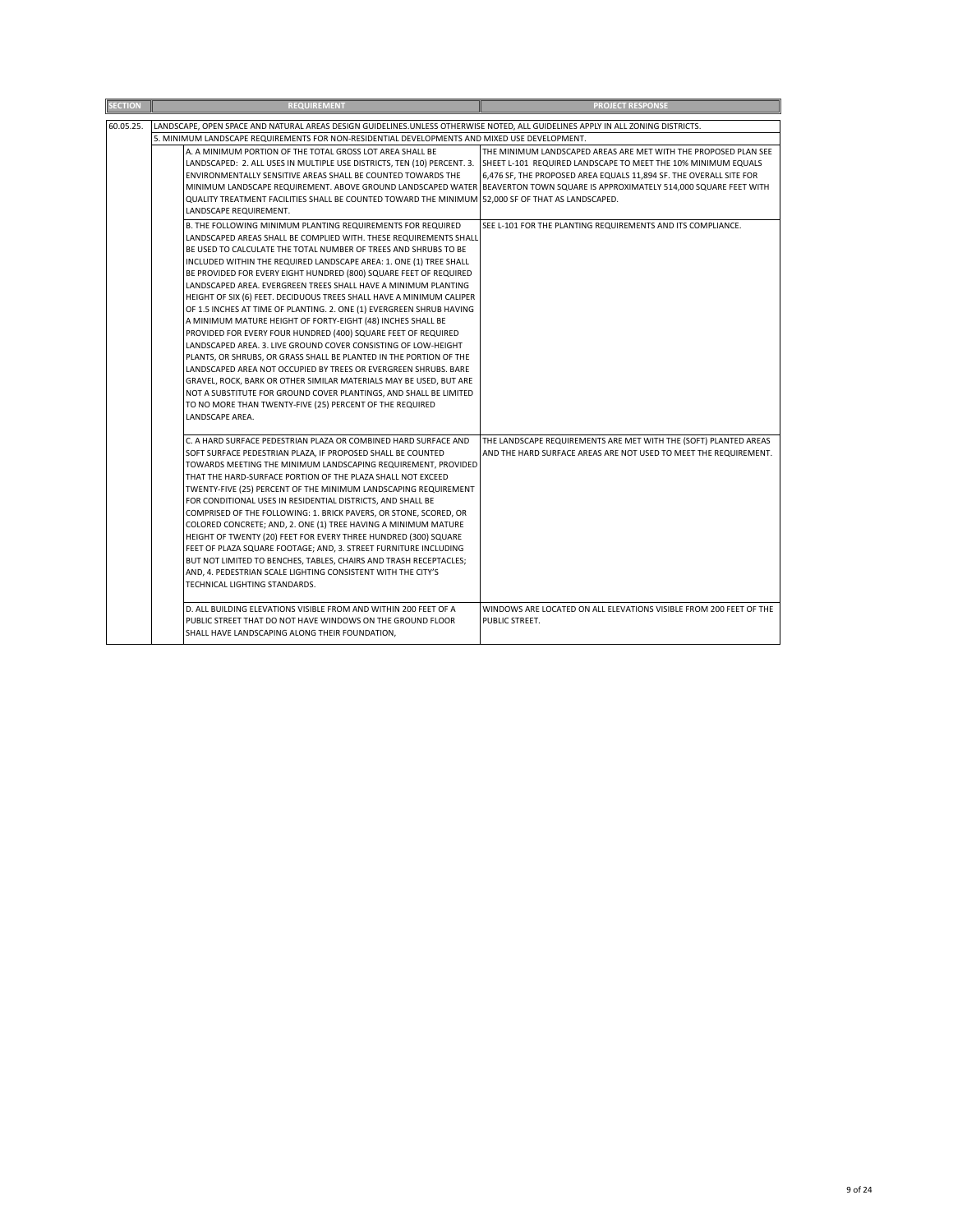| <b>SECTION</b> | <b>REQUIREMENT</b>                                                                                                                   | <b>PROJECT RESPONSE</b>                                            |
|----------------|--------------------------------------------------------------------------------------------------------------------------------------|--------------------------------------------------------------------|
| 60.05.25.      | LANDSCAPE, OPEN SPACE AND NATURAL AREAS DESIGN GUIDELINES.UNLESS OTHERWISE NOTED, ALL GUIDELINES APPLY IN ALL ZONING DISTRICTS.      |                                                                    |
|                | 5. MINIMUM LANDSCAPE REQUIREMENTS FOR NON-RESIDENTIAL DEVELOPMENTS AND MIXED USE DEVELOPMENT.                                        |                                                                    |
|                | A. A MINIMUM PORTION OF THE TOTAL GROSS LOT AREA SHALL BE                                                                            | THE MINIMUM LANDSCAPED AREAS ARE MET WITH THE PROPOSED PLAN SEE    |
|                | LANDSCAPED: 2. ALL USES IN MULTIPLE USE DISTRICTS, TEN (10) PERCENT. 3.                                                              | SHEET L-101 REQUIRED LANDSCAPE TO MEET THE 10% MINIMUM EQUALS      |
|                | ENVIRONMENTALLY SENSITIVE AREAS SHALL BE COUNTED TOWARDS THE                                                                         | 6,476 SF, THE PROPOSED AREA EQUALS 11,894 SF. THE OVERALL SITE FOR |
|                | MINIMUM LANDSCAPE REQUIREMENT. ABOVE GROUND LANDSCAPED WATER BEAVERTON TOWN SQUARE IS APPROXIMATELY 514,000 SQUARE FEET WITH         |                                                                    |
|                | QUALITY TREATMENT FACILITIES SHALL BE COUNTED TOWARD THE MINIMUM 52,000 SF OF THAT AS LANDSCAPED.                                    |                                                                    |
|                | LANDSCAPE REQUIREMENT.                                                                                                               |                                                                    |
|                | B. THE FOLLOWING MINIMUM PLANTING REQUIREMENTS FOR REQUIRED                                                                          | SEE L-101 FOR THE PLANTING REQUIREMENTS AND ITS COMPLIANCE.        |
|                | LANDSCAPED AREAS SHALL BE COMPLIED WITH. THESE REQUIREMENTS SHALL                                                                    |                                                                    |
|                | BE USED TO CALCULATE THE TOTAL NUMBER OF TREES AND SHRUBS TO BE                                                                      |                                                                    |
|                | INCLUDED WITHIN THE REQUIRED LANDSCAPE AREA: 1. ONE (1) TREE SHALL                                                                   |                                                                    |
|                | BE PROVIDED FOR EVERY EIGHT HUNDRED (800) SQUARE FEET OF REQUIRED                                                                    |                                                                    |
|                | LANDSCAPED AREA. EVERGREEN TREES SHALL HAVE A MINIMUM PLANTING                                                                       |                                                                    |
|                | HEIGHT OF SIX (6) FEET. DECIDUOUS TREES SHALL HAVE A MINIMUM CALIPER                                                                 |                                                                    |
|                | OF 1.5 INCHES AT TIME OF PLANTING. 2. ONE (1) EVERGREEN SHRUB HAVING                                                                 |                                                                    |
|                | A MINIMUM MATURE HEIGHT OF FORTY-EIGHT (48) INCHES SHALL BE                                                                          |                                                                    |
|                | PROVIDED FOR EVERY FOUR HUNDRED (400) SQUARE FEET OF REQUIRED                                                                        |                                                                    |
|                | LANDSCAPED AREA. 3. LIVE GROUND COVER CONSISTING OF LOW-HEIGHT<br>PLANTS, OR SHRUBS, OR GRASS SHALL BE PLANTED IN THE PORTION OF THE |                                                                    |
|                | LANDSCAPED AREA NOT OCCUPIED BY TREES OR EVERGREEN SHRUBS. BARE                                                                      |                                                                    |
|                | GRAVEL, ROCK, BARK OR OTHER SIMILAR MATERIALS MAY BE USED, BUT ARE                                                                   |                                                                    |
|                | NOT A SUBSTITUTE FOR GROUND COVER PLANTINGS, AND SHALL BE LIMITED                                                                    |                                                                    |
|                | TO NO MORE THAN TWENTY-FIVE (25) PERCENT OF THE REQUIRED                                                                             |                                                                    |
|                | LANDSCAPE AREA.                                                                                                                      |                                                                    |
|                |                                                                                                                                      |                                                                    |
|                | C. A HARD SURFACE PEDESTRIAN PLAZA OR COMBINED HARD SURFACE AND                                                                      | THE LANDSCAPE REQUIREMENTS ARE MET WITH THE (SOFT) PLANTED AREAS   |
|                | SOFT SURFACE PEDESTRIAN PLAZA, IF PROPOSED SHALL BE COUNTED                                                                          | AND THE HARD SURFACE AREAS ARE NOT USED TO MEET THE REQUIREMENT.   |
|                | TOWARDS MEETING THE MINIMUM LANDSCAPING REQUIREMENT, PROVIDED                                                                        |                                                                    |
|                | THAT THE HARD-SURFACE PORTION OF THE PLAZA SHALL NOT EXCEED                                                                          |                                                                    |
|                | TWENTY-FIVE (25) PERCENT OF THE MINIMUM LANDSCAPING REQUIREMENT                                                                      |                                                                    |
|                | FOR CONDITIONAL USES IN RESIDENTIAL DISTRICTS, AND SHALL BE                                                                          |                                                                    |
|                | COMPRISED OF THE FOLLOWING: 1. BRICK PAVERS, OR STONE, SCORED, OR<br>COLORED CONCRETE; AND, 2. ONE (1) TREE HAVING A MINIMUM MATURE  |                                                                    |
|                | HEIGHT OF TWENTY (20) FEET FOR EVERY THREE HUNDRED (300) SQUARE                                                                      |                                                                    |
|                | FEET OF PLAZA SQUARE FOOTAGE; AND, 3. STREET FURNITURE INCLUDING                                                                     |                                                                    |
|                | BUT NOT LIMITED TO BENCHES, TABLES, CHAIRS AND TRASH RECEPTACLES;                                                                    |                                                                    |
|                | AND, 4. PEDESTRIAN SCALE LIGHTING CONSISTENT WITH THE CITY'S                                                                         |                                                                    |
|                | TECHNICAL LIGHTING STANDARDS.                                                                                                        |                                                                    |
|                |                                                                                                                                      |                                                                    |
|                | D. ALL BUILDING ELEVATIONS VISIBLE FROM AND WITHIN 200 FEET OF A                                                                     | WINDOWS ARE LOCATED ON ALL ELEVATIONS VISIBLE FROM 200 FEET OF THE |
|                | PUBLIC STREET THAT DO NOT HAVE WINDOWS ON THE GROUND FLOOR                                                                           | PUBLIC STREET.                                                     |
|                | SHALL HAVE LANDSCAPING ALONG THEIR FOUNDATION,                                                                                       |                                                                    |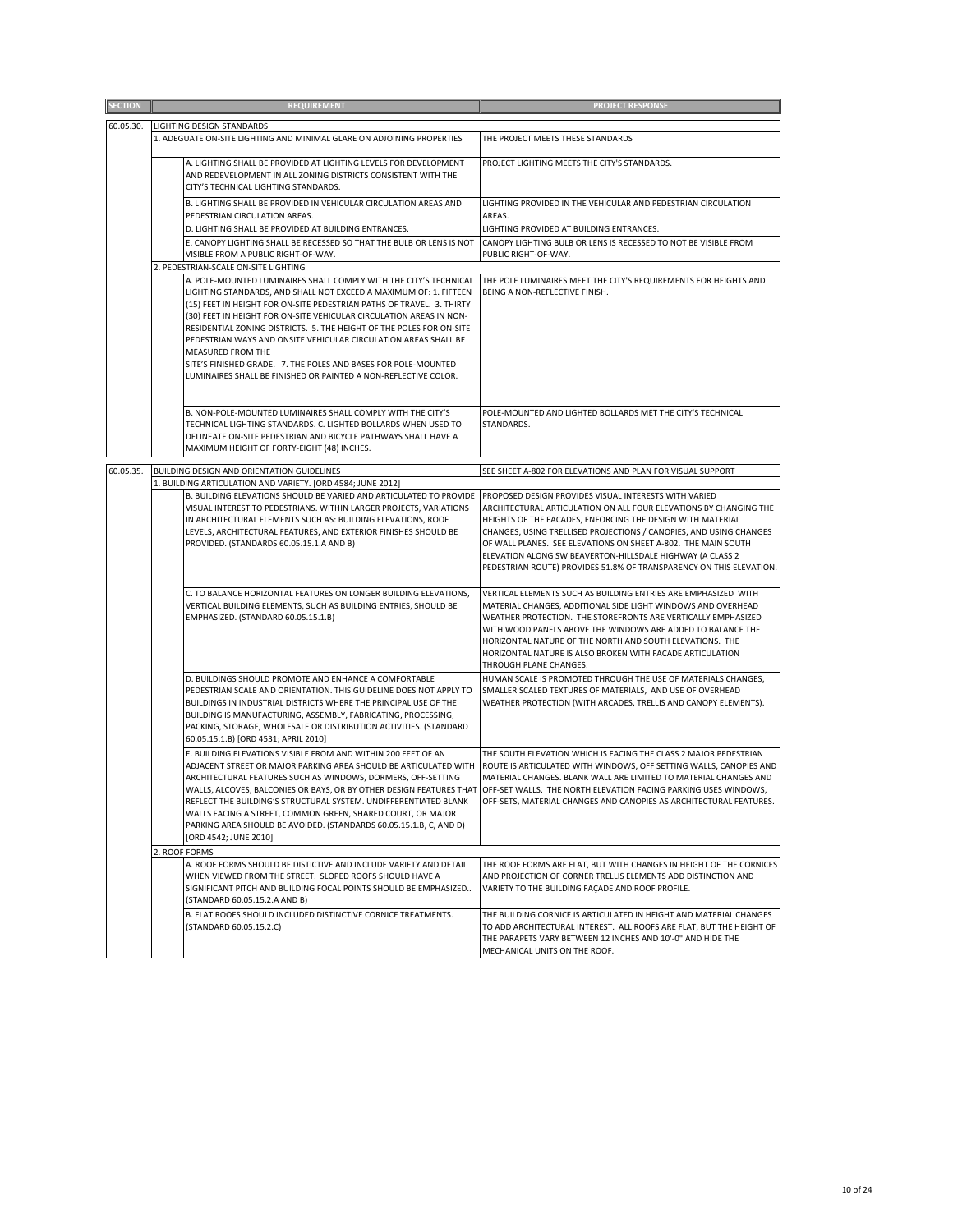| <b>SECTION</b> | <b>REQUIREMENT</b>                                                                                                                                                                                                                                                                                                                                                                                                                                                                                                                                                                                                                  | <b>PROJECT RESPONSE</b>                                                                                                                                                                                                                                                                                                                                                                                                                                             |
|----------------|-------------------------------------------------------------------------------------------------------------------------------------------------------------------------------------------------------------------------------------------------------------------------------------------------------------------------------------------------------------------------------------------------------------------------------------------------------------------------------------------------------------------------------------------------------------------------------------------------------------------------------------|---------------------------------------------------------------------------------------------------------------------------------------------------------------------------------------------------------------------------------------------------------------------------------------------------------------------------------------------------------------------------------------------------------------------------------------------------------------------|
|                |                                                                                                                                                                                                                                                                                                                                                                                                                                                                                                                                                                                                                                     |                                                                                                                                                                                                                                                                                                                                                                                                                                                                     |
| 60.05.30.      | LIGHTING DESIGN STANDARDS<br>1. ADEGUATE ON-SITE LIGHTING AND MINIMAL GLARE ON ADJOINING PROPERTIES                                                                                                                                                                                                                                                                                                                                                                                                                                                                                                                                 | THE PROJECT MEETS THESE STANDARDS                                                                                                                                                                                                                                                                                                                                                                                                                                   |
|                | A. LIGHTING SHALL BE PROVIDED AT LIGHTING LEVELS FOR DEVELOPMENT<br>AND REDEVELOPMENT IN ALL ZONING DISTRICTS CONSISTENT WITH THE<br>CITY'S TECHNICAL LIGHTING STANDARDS.                                                                                                                                                                                                                                                                                                                                                                                                                                                           | PROJECT LIGHTING MEETS THE CITY'S STANDARDS.                                                                                                                                                                                                                                                                                                                                                                                                                        |
|                | B. LIGHTING SHALL BE PROVIDED IN VEHICULAR CIRCULATION AREAS AND<br>PEDESTRIAN CIRCULATION AREAS.                                                                                                                                                                                                                                                                                                                                                                                                                                                                                                                                   | LIGHTING PROVIDED IN THE VEHICULAR AND PEDESTRIAN CIRCULATION<br>AREAS.                                                                                                                                                                                                                                                                                                                                                                                             |
|                | D. LIGHTING SHALL BE PROVIDED AT BUILDING ENTRANCES.                                                                                                                                                                                                                                                                                                                                                                                                                                                                                                                                                                                | LIGHTING PROVIDED AT BUILDING ENTRANCES.                                                                                                                                                                                                                                                                                                                                                                                                                            |
|                | E. CANOPY LIGHTING SHALL BE RECESSED SO THAT THE BULB OR LENS IS NOT                                                                                                                                                                                                                                                                                                                                                                                                                                                                                                                                                                | CANOPY LIGHTING BULB OR LENS IS RECESSED TO NOT BE VISIBLE FROM                                                                                                                                                                                                                                                                                                                                                                                                     |
|                | VISIBLE FROM A PUBLIC RIGHT-OF-WAY.                                                                                                                                                                                                                                                                                                                                                                                                                                                                                                                                                                                                 | PUBLIC RIGHT-OF-WAY.                                                                                                                                                                                                                                                                                                                                                                                                                                                |
|                | 2. PEDESTRIAN-SCALE ON-SITE LIGHTING<br>A. POLE-MOUNTED LUMINAIRES SHALL COMPLY WITH THE CITY'S TECHNICAL<br>LIGHTING STANDARDS, AND SHALL NOT EXCEED A MAXIMUM OF: 1. FIFTEEN<br>(15) FEET IN HEIGHT FOR ON-SITE PEDESTRIAN PATHS OF TRAVEL. 3. THIRTY<br>(30) FEET IN HEIGHT FOR ON-SITE VEHICULAR CIRCULATION AREAS IN NON-<br>RESIDENTIAL ZONING DISTRICTS. 5. THE HEIGHT OF THE POLES FOR ON-SITE<br>PEDESTRIAN WAYS AND ONSITE VEHICULAR CIRCULATION AREAS SHALL BE<br>MEASURED FROM THE<br>SITE'S FINISHED GRADE. 7. THE POLES AND BASES FOR POLE-MOUNTED<br>LUMINAIRES SHALL BE FINISHED OR PAINTED A NON-REFLECTIVE COLOR. | THE POLE LUMINAIRES MEET THE CITY'S REQUIREMENTS FOR HEIGHTS AND<br>BEING A NON-REFLECTIVE FINISH.                                                                                                                                                                                                                                                                                                                                                                  |
|                |                                                                                                                                                                                                                                                                                                                                                                                                                                                                                                                                                                                                                                     |                                                                                                                                                                                                                                                                                                                                                                                                                                                                     |
|                | B. NON-POLE-MOUNTED LUMINAIRES SHALL COMPLY WITH THE CITY'S<br>TECHNICAL LIGHTING STANDARDS. C. LIGHTED BOLLARDS WHEN USED TO<br>DELINEATE ON-SITE PEDESTRIAN AND BICYCLE PATHWAYS SHALL HAVE A<br>MAXIMUM HEIGHT OF FORTY-EIGHT (48) INCHES.                                                                                                                                                                                                                                                                                                                                                                                       | POLE-MOUNTED AND LIGHTED BOLLARDS MET THE CITY'S TECHNICAL<br>STANDARDS.                                                                                                                                                                                                                                                                                                                                                                                            |
| 60.05.35.      | BUILDING DESIGN AND ORIENTATION GUIDELINES                                                                                                                                                                                                                                                                                                                                                                                                                                                                                                                                                                                          | SEE SHEET A-802 FOR ELEVATIONS AND PLAN FOR VISUAL SUPPORT                                                                                                                                                                                                                                                                                                                                                                                                          |
|                | 1. BUILDING ARTICULATION AND VARIETY. [ORD 4584; JUNE 2012]<br>B. BUILDING ELEVATIONS SHOULD BE VARIED AND ARTICULATED TO PROVIDE<br>VISUAL INTEREST TO PEDESTRIANS. WITHIN LARGER PROJECTS, VARIATIONS<br>IN ARCHITECTURAL ELEMENTS SUCH AS: BUILDING ELEVATIONS, ROOF<br>LEVELS, ARCHITECTURAL FEATURES, AND EXTERIOR FINISHES SHOULD BE<br>PROVIDED. (STANDARDS 60.05.15.1.A AND B)                                                                                                                                                                                                                                              | PROPOSED DESIGN PROVIDES VISUAL INTERESTS WITH VARIED<br>ARCHITECTURAL ARTICULATION ON ALL FOUR ELEVATIONS BY CHANGING THE<br>HEIGHTS OF THE FACADES, ENFORCING THE DESIGN WITH MATERIAL<br>CHANGES, USING TRELLISED PROJECTIONS / CANOPIES, AND USING CHANGES<br>OF WALL PLANES. SEE ELEVATIONS ON SHEET A-802. THE MAIN SOUTH<br>ELEVATION ALONG SW BEAVERTON-HILLSDALE HIGHWAY (A CLASS 2<br>PEDESTRIAN ROUTE) PROVIDES 51.8% OF TRANSPARENCY ON THIS ELEVATION. |
|                | C. TO BALANCE HORIZONTAL FEATURES ON LONGER BUILDING ELEVATIONS,<br>VERTICAL BUILDING ELEMENTS, SUCH AS BUILDING ENTRIES, SHOULD BE<br>EMPHASIZED. (STANDARD 60.05.15.1.B)                                                                                                                                                                                                                                                                                                                                                                                                                                                          | VERTICAL ELEMENTS SUCH AS BUILDING ENTRIES ARE EMPHASIZED WITH<br>MATERIAL CHANGES, ADDITIONAL SIDE LIGHT WINDOWS AND OVERHEAD<br>WEATHER PROTECTION. THE STOREFRONTS ARE VERTICALLY EMPHASIZED<br>WITH WOOD PANELS ABOVE THE WINDOWS ARE ADDED TO BALANCE THE<br>HORIZONTAL NATURE OF THE NORTH AND SOUTH ELEVATIONS. THE<br>HORIZONTAL NATURE IS ALSO BROKEN WITH FACADE ARTICULATION<br>THROUGH PLANE CHANGES.                                                   |
|                | D. BUILDINGS SHOULD PROMOTE AND ENHANCE A COMFORTABLE<br>PEDESTRIAN SCALE AND ORIENTATION. THIS GUIDELINE DOES NOT APPLY TO<br>BUILDINGS IN INDUSTRIAL DISTRICTS WHERE THE PRINCIPAL USE OF THE<br>BUILDING IS MANUFACTURING, ASSEMBLY, FABRICATING, PROCESSING,<br>PACKING, STORAGE, WHOLESALE OR DISTRIBUTION ACTIVITIES. (STANDARD<br>60.05.15.1.B) [ORD 4531; APRIL 2010]                                                                                                                                                                                                                                                       | HUMAN SCALE IS PROMOTED THROUGH THE USE OF MATERIALS CHANGES,<br>SMALLER SCALED TEXTURES OF MATERIALS, AND USE OF OVERHEAD<br>WEATHER PROTECTION (WITH ARCADES, TRELLIS AND CANOPY ELEMENTS).                                                                                                                                                                                                                                                                       |
|                | E. BUILDING ELEVATIONS VISIBLE FROM AND WITHIN 200 FEET OF AN<br>ADJACENT STREET OR MAJOR PARKING AREA SHOULD BE ARTICULATED WITH<br>ARCHITECTURAL FEATURES SUCH AS WINDOWS, DORMERS, OFF-SETTING<br>WALLS, ALCOVES, BALCONIES OR BAYS, OR BY OTHER DESIGN FEATURES THAT<br>REFLECT THE BUILDING'S STRUCTURAL SYSTEM. UNDIFFERENTIATED BLANK<br>WALLS FACING A STREET, COMMON GREEN, SHARED COURT, OR MAJOR<br>PARKING AREA SHOULD BE AVOIDED. (STANDARDS 60.05.15.1.B, C, AND D)<br>[ORD 4542; JUNE 2010]                                                                                                                          | THE SOUTH ELEVATION WHICH IS FACING THE CLASS 2 MAJOR PEDESTRIAN<br>ROUTE IS ARTICULATED WITH WINDOWS, OFF SETTING WALLS, CANOPIES AND<br>MATERIAL CHANGES. BLANK WALL ARE LIMITED TO MATERIAL CHANGES AND<br>OFF-SET WALLS. THE NORTH ELEVATION FACING PARKING USES WINDOWS,<br>OFF-SETS, MATERIAL CHANGES AND CANOPIES AS ARCHITECTURAL FEATURES.                                                                                                                 |
|                | 2. ROOF FORMS                                                                                                                                                                                                                                                                                                                                                                                                                                                                                                                                                                                                                       |                                                                                                                                                                                                                                                                                                                                                                                                                                                                     |
|                | A. ROOF FORMS SHOULD BE DISTICTIVE AND INCLUDE VARIETY AND DETAIL<br>WHEN VIEWED FROM THE STREET. SLOPED ROOFS SHOULD HAVE A<br>SIGNIFICANT PITCH AND BUILDING FOCAL POINTS SHOULD BE EMPHASIZED<br>(STANDARD 60.05.15.2.A AND B)                                                                                                                                                                                                                                                                                                                                                                                                   | THE ROOF FORMS ARE FLAT, BUT WITH CHANGES IN HEIGHT OF THE CORNICES<br>AND PROJECTION OF CORNER TRELLIS ELEMENTS ADD DISTINCTION AND<br>VARIETY TO THE BUILDING FAÇADE AND ROOF PROFILE.                                                                                                                                                                                                                                                                            |
|                | B. FLAT ROOFS SHOULD INCLUDED DISTINCTIVE CORNICE TREATMENTS.<br>(STANDARD 60.05.15.2.C)                                                                                                                                                                                                                                                                                                                                                                                                                                                                                                                                            | THE BUILDING CORNICE IS ARTICULATED IN HEIGHT AND MATERIAL CHANGES<br>TO ADD ARCHITECTURAL INTEREST. ALL ROOFS ARE FLAT, BUT THE HEIGHT OF<br>THE PARAPETS VARY BETWEEN 12 INCHES AND 10'-0" AND HIDE THE<br>MECHANICAL UNITS ON THE ROOF.                                                                                                                                                                                                                          |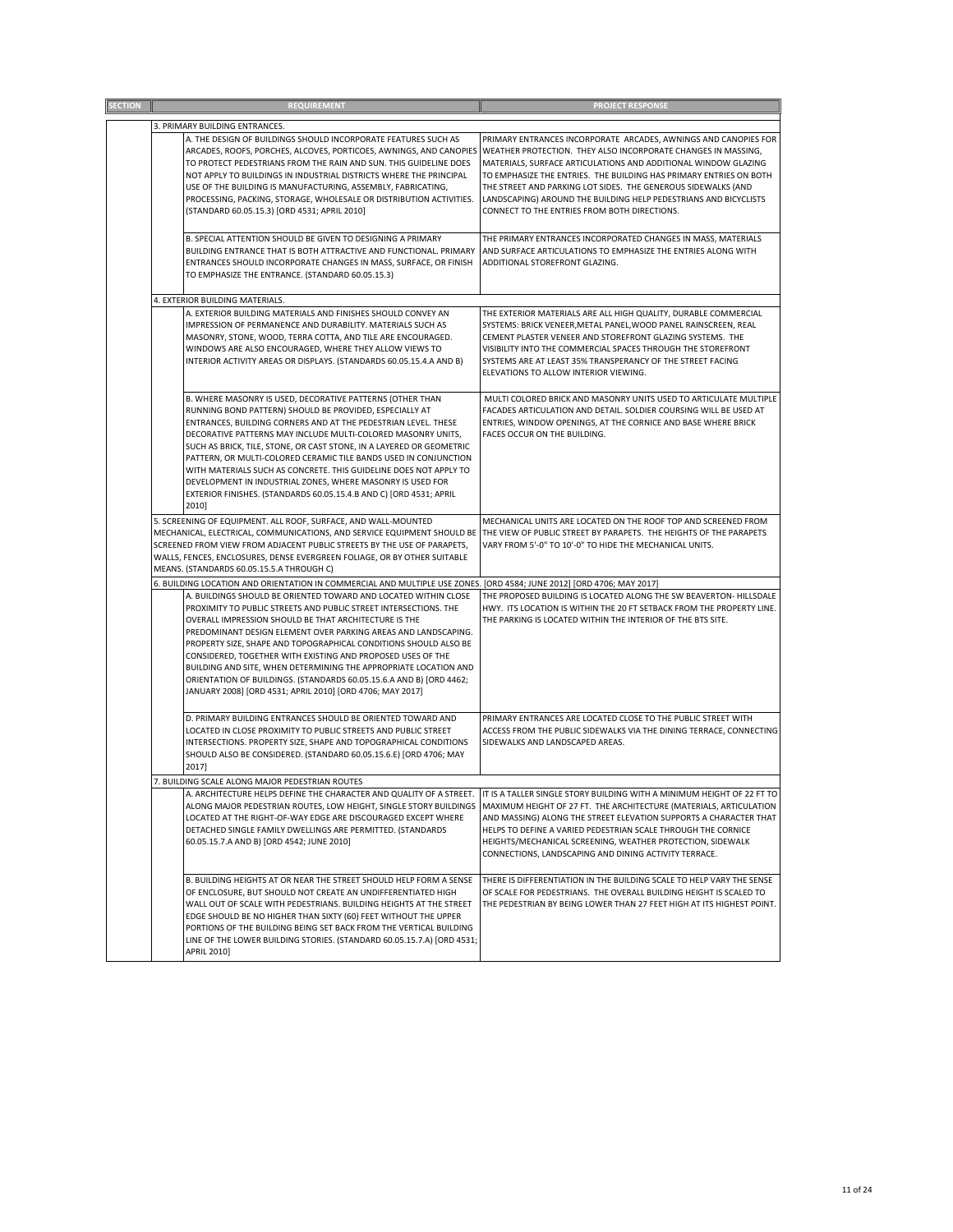| <b>REQUIREMENT</b>                                                                                                                                                                                                                                                                                                                                                                                                                                                                                                                                                                                                   | <b>PROJECT RESPONSE</b>                                                                                                                                                                                                                                                                                                                                                                                   |
|----------------------------------------------------------------------------------------------------------------------------------------------------------------------------------------------------------------------------------------------------------------------------------------------------------------------------------------------------------------------------------------------------------------------------------------------------------------------------------------------------------------------------------------------------------------------------------------------------------------------|-----------------------------------------------------------------------------------------------------------------------------------------------------------------------------------------------------------------------------------------------------------------------------------------------------------------------------------------------------------------------------------------------------------|
| 3. PRIMARY BUILDING ENTRANCES.                                                                                                                                                                                                                                                                                                                                                                                                                                                                                                                                                                                       |                                                                                                                                                                                                                                                                                                                                                                                                           |
| A. THE DESIGN OF BUILDINGS SHOULD INCORPORATE FEATURES SUCH AS<br>ARCADES, ROOFS, PORCHES, ALCOVES, PORTICOES, AWNINGS, AND CANOPIES WEATHER PROTECTION. THEY ALSO INCORPORATE CHANGES IN MASSING,<br>TO PROTECT PEDESTRIANS FROM THE RAIN AND SUN. THIS GUIDELINE DOES<br>NOT APPLY TO BUILDINGS IN INDUSTRIAL DISTRICTS WHERE THE PRINCIPAL<br>USE OF THE BUILDING IS MANUFACTURING, ASSEMBLY, FABRICATING,<br>PROCESSING, PACKING, STORAGE, WHOLESALE OR DISTRIBUTION ACTIVITIES.                                                                                                                                 | PRIMARY ENTRANCES INCORPORATE ARCADES, AWNINGS AND CANOPIES FOR<br>MATERIALS, SURFACE ARTICULATIONS AND ADDITIONAL WINDOW GLAZING<br>TO EMPHASIZE THE ENTRIES. THE BUILDING HAS PRIMARY ENTRIES ON BOTH<br>THE STREET AND PARKING LOT SIDES. THE GENEROUS SIDEWALKS (AND<br>LANDSCAPING) AROUND THE BUILDING HELP PEDESTRIANS AND BICYCLISTS                                                              |
| (STANDARD 60.05.15.3) [ORD 4531; APRIL 2010]                                                                                                                                                                                                                                                                                                                                                                                                                                                                                                                                                                         | CONNECT TO THE ENTRIES FROM BOTH DIRECTIONS.                                                                                                                                                                                                                                                                                                                                                              |
| B. SPECIAL ATTENTION SHOULD BE GIVEN TO DESIGNING A PRIMARY<br>BUILDING ENTRANCE THAT IS BOTH ATTRACTIVE AND FUNCTIONAL. PRIMARY<br>ENTRANCES SHOULD INCORPORATE CHANGES IN MASS, SURFACE, OR FINISH<br>TO EMPHASIZE THE ENTRANCE. (STANDARD 60.05.15.3)                                                                                                                                                                                                                                                                                                                                                             | THE PRIMARY ENTRANCES INCORPORATED CHANGES IN MASS, MATERIALS<br>AND SURFACE ARTICULATIONS TO EMPHASIZE THE ENTRIES ALONG WITH<br>ADDITIONAL STOREFRONT GLAZING.                                                                                                                                                                                                                                          |
| 4. EXTERIOR BUILDING MATERIALS.                                                                                                                                                                                                                                                                                                                                                                                                                                                                                                                                                                                      |                                                                                                                                                                                                                                                                                                                                                                                                           |
| A. EXTERIOR BUILDING MATERIALS AND FINISHES SHOULD CONVEY AN<br>IMPRESSION OF PERMANENCE AND DURABILITY. MATERIALS SUCH AS<br>MASONRY, STONE, WOOD, TERRA COTTA, AND TILE ARE ENCOURAGED.<br>WINDOWS ARE ALSO ENCOURAGED, WHERE THEY ALLOW VIEWS TO<br>INTERIOR ACTIVITY AREAS OR DISPLAYS. (STANDARDS 60.05.15.4.A AND B)                                                                                                                                                                                                                                                                                           | THE EXTERIOR MATERIALS ARE ALL HIGH QUALITY, DURABLE COMMERCIAL<br>SYSTEMS: BRICK VENEER, METAL PANEL, WOOD PANEL RAINSCREEN, REAL<br>CEMENT PLASTER VENEER AND STOREFRONT GLAZING SYSTEMS. THE<br>VISIBILITY INTO THE COMMERCIAL SPACES THROUGH THE STOREFRONT<br>SYSTEMS ARE AT LEAST 35% TRANSPERANCY OF THE STREET FACING<br>ELEVATIONS TO ALLOW INTERIOR VIEWING.                                    |
| B. WHERE MASONRY IS USED, DECORATIVE PATTERNS (OTHER THAN<br>RUNNING BOND PATTERN) SHOULD BE PROVIDED, ESPECIALLY AT<br>ENTRANCES, BUILDING CORNERS AND AT THE PEDESTRIAN LEVEL. THESE<br>DECORATIVE PATTERNS MAY INCLUDE MULTI-COLORED MASONRY UNITS,<br>SUCH AS BRICK, TILE, STONE, OR CAST STONE, IN A LAYERED OR GEOMETRIC<br>PATTERN, OR MULTI-COLORED CERAMIC TILE BANDS USED IN CONJUNCTION<br>WITH MATERIALS SUCH AS CONCRETE. THIS GUIDELINE DOES NOT APPLY TO<br>DEVELOPMENT IN INDUSTRIAL ZONES, WHERE MASONRY IS USED FOR<br>EXTERIOR FINISHES. (STANDARDS 60.05.15.4.B AND C) [ORD 4531; APRIL<br>2010] | MULTI COLORED BRICK AND MASONRY UNITS USED TO ARTICULATE MULTIPLE<br>FACADES ARTICULATION AND DETAIL. SOLDIER COURSING WILL BE USED AT<br>ENTRIES, WINDOW OPENINGS, AT THE CORNICE AND BASE WHERE BRICK<br>FACES OCCUR ON THE BUILDING.                                                                                                                                                                   |
| 5. SCREENING OF EQUIPMENT. ALL ROOF, SURFACE, AND WALL-MOUNTED<br>MECHANICAL, ELECTRICAL, COMMUNICATIONS, AND SERVICE EQUIPMENT SHOULD BE THE VIEW OF PUBLIC STREET BY PARAPETS. THE HEIGHTS OF THE PARAPETS<br>SCREENED FROM VIEW FROM ADJACENT PUBLIC STREETS BY THE USE OF PARAPETS,<br>WALLS, FENCES, ENCLOSURES, DENSE EVERGREEN FOLIAGE, OR BY OTHER SUITABLE<br>MEANS. (STANDARDS 60.05.15.5.A THROUGH C)                                                                                                                                                                                                     | MECHANICAL UNITS ARE LOCATED ON THE ROOF TOP AND SCREENED FROM<br>VARY FROM 5'-0" TO 10'-0" TO HIDE THE MECHANICAL UNITS.                                                                                                                                                                                                                                                                                 |
| 6. BUILDING LOCATION AND ORIENTATION IN COMMERCIAL AND MULTIPLE USE ZONES. [ORD 4584; JUNE 2012] [ORD 4706; MAY 2017]                                                                                                                                                                                                                                                                                                                                                                                                                                                                                                |                                                                                                                                                                                                                                                                                                                                                                                                           |
| A. BUILDINGS SHOULD BE ORIENTED TOWARD AND LOCATED WITHIN CLOSE<br>PROXIMITY TO PUBLIC STREETS AND PUBLIC STREET INTERSECTIONS. THE<br>OVERALL IMPRESSION SHOULD BE THAT ARCHITECTURE IS THE<br>PREDOMINANT DESIGN ELEMENT OVER PARKING AREAS AND LANDSCAPING.<br>PROPERTY SIZE, SHAPE AND TOPOGRAPHICAL CONDITIONS SHOULD ALSO BE<br>CONSIDERED, TOGETHER WITH EXISTING AND PROPOSED USES OF THE<br>BUILDING AND SITE, WHEN DETERMINING THE APPROPRIATE LOCATION AND<br>ORIENTATION OF BUILDINGS. (STANDARDS 60.05.15.6.A AND B) [ORD 4462;<br>JANUARY 2008] [ORD 4531; APRIL 2010] [ORD 4706; MAY 2017]            | THE PROPOSED BUILDING IS LOCATED ALONG THE SW BEAVERTON- HILLSDALE<br>HWY. ITS LOCATION IS WITHIN THE 20 FT SETBACK FROM THE PROPERTY LINE.<br>THE PARKING IS LOCATED WITHIN THE INTERIOR OF THE BTS SITE.                                                                                                                                                                                                |
| D. PRIMARY BUILDING ENTRANCES SHOULD BE ORIENTED TOWARD AND<br>LOCATED IN CLOSE PROXIMITY TO PUBLIC STREETS AND PUBLIC STREET<br>INTERSECTIONS. PROPERTY SIZE, SHAPE AND TOPOGRAPHICAL CONDITIONS<br>SHOULD ALSO BE CONSIDERED. (STANDARD 60.05.15.6.E) [ORD 4706; MAY<br>2017]                                                                                                                                                                                                                                                                                                                                      | PRIMARY ENTRANCES ARE LOCATED CLOSE TO THE PUBLIC STREET WITH<br>ACCESS FROM THE PUBLIC SIDEWALKS VIA THE DINING TERRACE, CONNECTING<br>SIDEWALKS AND LANDSCAPED AREAS.                                                                                                                                                                                                                                   |
| 7. BUILDING SCALE ALONG MAJOR PEDESTRIAN ROUTES                                                                                                                                                                                                                                                                                                                                                                                                                                                                                                                                                                      |                                                                                                                                                                                                                                                                                                                                                                                                           |
| A. ARCHITECTURE HELPS DEFINE THE CHARACTER AND QUALITY OF A STREET.<br>ALONG MAJOR PEDESTRIAN ROUTES, LOW HEIGHT, SINGLE STORY BUILDINGS<br>LOCATED AT THE RIGHT-OF-WAY EDGE ARE DISCOURAGED EXCEPT WHERE<br>DETACHED SINGLE FAMILY DWELLINGS ARE PERMITTED. (STANDARDS<br>60.05.15.7.A AND B) [ORD 4542; JUNE 2010]                                                                                                                                                                                                                                                                                                 | IT IS A TALLER SINGLE STORY BUILDING WITH A MINIMUM HEIGHT OF 22 FT TO<br>MAXIMUM HEIGHT OF 27 FT. THE ARCHITECTURE (MATERIALS, ARTICULATION<br>AND MASSING) ALONG THE STREET ELEVATION SUPPORTS A CHARACTER THAT<br>HELPS TO DEFINE A VARIED PEDESTRIAN SCALE THROUGH THE CORNICE<br>HEIGHTS/MECHANICAL SCREENING, WEATHER PROTECTION, SIDEWALK<br>CONNECTIONS, LANDSCAPING AND DINING ACTIVITY TERRACE. |
| B. BUILDING HEIGHTS AT OR NEAR THE STREET SHOULD HELP FORM A SENSE<br>OF ENCLOSURE, BUT SHOULD NOT CREATE AN UNDIFFERENTIATED HIGH<br>WALL OUT OF SCALE WITH PEDESTRIANS. BUILDING HEIGHTS AT THE STREET<br>EDGE SHOULD BE NO HIGHER THAN SIXTY (60) FEET WITHOUT THE UPPER<br>PORTIONS OF THE BUILDING BEING SET BACK FROM THE VERTICAL BUILDING<br>LINE OF THE LOWER BUILDING STORIES. (STANDARD 60.05.15.7.A) [ORD 4531;<br>APRIL 2010]                                                                                                                                                                           | THERE IS DIFFERENTIATION IN THE BUILDING SCALE TO HELP VARY THE SENSE<br>OF SCALE FOR PEDESTRIANS. THE OVERALL BUILDING HEIGHT IS SCALED TO<br>THE PEDESTRIAN BY BEING LOWER THAN 27 FEET HIGH AT ITS HIGHEST POINT.                                                                                                                                                                                      |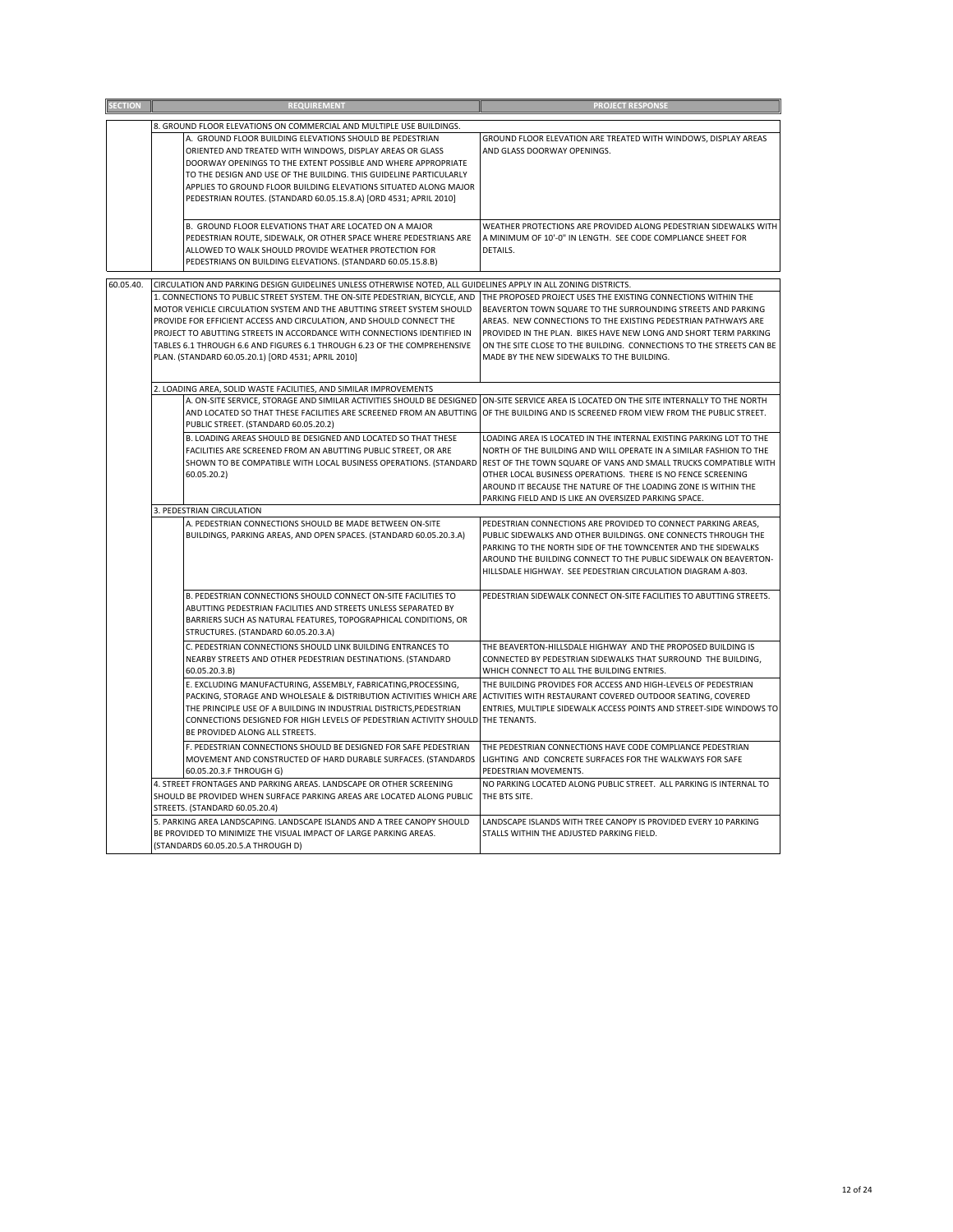| <b>SECTION</b> | <b>REQUIREMENT</b>                                                                                                                                                                                                                                                                                                                                                                                                                           | <b>PROJECT RESPONSE</b>                                                                                                                                                                                                                                                                                                                                                                                  |
|----------------|----------------------------------------------------------------------------------------------------------------------------------------------------------------------------------------------------------------------------------------------------------------------------------------------------------------------------------------------------------------------------------------------------------------------------------------------|----------------------------------------------------------------------------------------------------------------------------------------------------------------------------------------------------------------------------------------------------------------------------------------------------------------------------------------------------------------------------------------------------------|
|                | 8. GROUND FLOOR ELEVATIONS ON COMMERCIAL AND MULTIPLE USE BUILDINGS.                                                                                                                                                                                                                                                                                                                                                                         |                                                                                                                                                                                                                                                                                                                                                                                                          |
|                | A. GROUND FLOOR BUILDING ELEVATIONS SHOULD BE PEDESTRIAN<br>ORIENTED AND TREATED WITH WINDOWS, DISPLAY AREAS OR GLASS<br>DOORWAY OPENINGS TO THE EXTENT POSSIBLE AND WHERE APPROPRIATE<br>TO THE DESIGN AND USE OF THE BUILDING. THIS GUIDELINE PARTICULARLY<br>APPLIES TO GROUND FLOOR BUILDING ELEVATIONS SITUATED ALONG MAJOR<br>PEDESTRIAN ROUTES. (STANDARD 60.05.15.8.A) [ORD 4531; APRIL 2010]                                        | GROUND FLOOR ELEVATION ARE TREATED WITH WINDOWS, DISPLAY AREAS<br>AND GLASS DOORWAY OPENINGS.                                                                                                                                                                                                                                                                                                            |
|                | B. GROUND FLOOR ELEVATIONS THAT ARE LOCATED ON A MAJOR<br>PEDESTRIAN ROUTE, SIDEWALK, OR OTHER SPACE WHERE PEDESTRIANS ARE<br>ALLOWED TO WALK SHOULD PROVIDE WEATHER PROTECTION FOR<br>PEDESTRIANS ON BUILDING ELEVATIONS. (STANDARD 60.05.15.8.B)                                                                                                                                                                                           | WEATHER PROTECTIONS ARE PROVIDED ALONG PEDESTRIAN SIDEWALKS WITH<br>A MINIMUM OF 10'-0" IN LENGTH. SEE CODE COMPLIANCE SHEET FOR<br>DETAILS.                                                                                                                                                                                                                                                             |
| 60.05.40.      | CIRCULATION AND PARKING DESIGN GUIDELINES UNLESS OTHERWISE NOTED, ALL GUIDELINES APPLY IN ALL ZONING DISTRICTS.                                                                                                                                                                                                                                                                                                                              |                                                                                                                                                                                                                                                                                                                                                                                                          |
|                | 1. CONNECTIONS TO PUBLIC STREET SYSTEM. THE ON-SITE PEDESTRIAN, BICYCLE, AND<br>MOTOR VEHICLE CIRCULATION SYSTEM AND THE ABUTTING STREET SYSTEM SHOULD<br>PROVIDE FOR EFFICIENT ACCESS AND CIRCULATION, AND SHOULD CONNECT THE<br>PROJECT TO ABUTTING STREETS IN ACCORDANCE WITH CONNECTIONS IDENTIFIED IN<br>TABLES 6.1 THROUGH 6.6 AND FIGURES 6.1 THROUGH 6.23 OF THE COMPREHENSIVE<br>PLAN. (STANDARD 60.05.20.1) [ORD 4531; APRIL 2010] | THE PROPOSED PROJECT USES THE EXISTING CONNECTIONS WITHIN THE<br>BEAVERTON TOWN SQUARE TO THE SURROUNDING STREETS AND PARKING<br>AREAS. NEW CONNECTIONS TO THE EXISTING PEDESTRIAN PATHWAYS ARE<br>PROVIDED IN THE PLAN. BIKES HAVE NEW LONG AND SHORT TERM PARKING<br>ON THE SITE CLOSE TO THE BUILDING. CONNECTIONS TO THE STREETS CAN BE<br>MADE BY THE NEW SIDEWALKS TO THE BUILDING.                |
|                | 2. LOADING AREA, SOLID WASTE FACILITIES, AND SIMILAR IMPROVEMENTS                                                                                                                                                                                                                                                                                                                                                                            |                                                                                                                                                                                                                                                                                                                                                                                                          |
|                | A. ON-SITE SERVICE, STORAGE AND SIMILAR ACTIVITIES SHOULD BE DESIGNED<br>AND LOCATED SO THAT THESE FACILITIES ARE SCREENED FROM AN ABUTTING OF THE BUILDING AND IS SCREENED FROM VIEW FROM THE PUBLIC STREET.<br>PUBLIC STREET. (STANDARD 60.05.20.2)                                                                                                                                                                                        | ON-SITE SERVICE AREA IS LOCATED ON THE SITE INTERNALLY TO THE NORTH                                                                                                                                                                                                                                                                                                                                      |
|                | B. LOADING AREAS SHOULD BE DESIGNED AND LOCATED SO THAT THESE<br>FACILITIES ARE SCREENED FROM AN ABUTTING PUBLIC STREET, OR ARE<br>SHOWN TO BE COMPATIBLE WITH LOCAL BUSINESS OPERATIONS. (STANDARD<br>60.05.20.2)                                                                                                                                                                                                                           | LOADING AREA IS LOCATED IN THE INTERNAL EXISTING PARKING LOT TO THE<br>NORTH OF THE BUILDING AND WILL OPERATE IN A SIMILAR FASHION TO THE<br>REST OF THE TOWN SQUARE OF VANS AND SMALL TRUCKS COMPATIBLE WITH<br>OTHER LOCAL BUSINESS OPERATIONS. THERE IS NO FENCE SCREENING<br>AROUND IT BECAUSE THE NATURE OF THE LOADING ZONE IS WITHIN THE<br>PARKING FIELD AND IS LIKE AN OVERSIZED PARKING SPACE. |
|                | 3. PEDESTRIAN CIRCULATION                                                                                                                                                                                                                                                                                                                                                                                                                    |                                                                                                                                                                                                                                                                                                                                                                                                          |
|                | A. PEDESTRIAN CONNECTIONS SHOULD BE MADE BETWEEN ON-SITE<br>BUILDINGS, PARKING AREAS, AND OPEN SPACES. (STANDARD 60.05.20.3.A)                                                                                                                                                                                                                                                                                                               | PEDESTRIAN CONNECTIONS ARE PROVIDED TO CONNECT PARKING AREAS,<br>PUBLIC SIDEWALKS AND OTHER BUILDINGS. ONE CONNECTS THROUGH THE<br>PARKING TO THE NORTH SIDE OF THE TOWNCENTER AND THE SIDEWALKS<br>AROUND THE BUILDING CONNECT TO THE PUBLIC SIDEWALK ON BEAVERTON-<br>HILLSDALE HIGHWAY. SEE PEDESTRIAN CIRCULATION DIAGRAM A-803.                                                                     |
|                | B. PEDESTRIAN CONNECTIONS SHOULD CONNECT ON-SITE FACILITIES TO<br>ABUTTING PEDESTRIAN FACILITIES AND STREETS UNLESS SEPARATED BY<br>BARRIERS SUCH AS NATURAL FEATURES, TOPOGRAPHICAL CONDITIONS, OR<br>STRUCTURES. (STANDARD 60.05.20.3.A)                                                                                                                                                                                                   | PEDESTRIAN SIDEWALK CONNECT ON-SITE FACILITIES TO ABUTTING STREETS.                                                                                                                                                                                                                                                                                                                                      |
|                | C. PEDESTRIAN CONNECTIONS SHOULD LINK BUILDING ENTRANCES TO<br>NEARBY STREETS AND OTHER PEDESTRIAN DESTINATIONS. (STANDARD<br>60.05.20.3.B)                                                                                                                                                                                                                                                                                                  | THE BEAVERTON-HILLSDALE HIGHWAY AND THE PROPOSED BUILDING IS<br>CONNECTED BY PEDESTRIAN SIDEWALKS THAT SURROUND THE BUILDING,<br>WHICH CONNECT TO ALL THE BUILDING ENTRIES.                                                                                                                                                                                                                              |
|                | E. EXCLUDING MANUFACTURING, ASSEMBLY, FABRICATING, PROCESSING,<br>PACKING, STORAGE AND WHOLESALE & DISTRIBUTION ACTIVITIES WHICH ARE ACTIVITIES WITH RESTAURANT COVERED OUTDOOR SEATING, COVERED<br>THE PRINCIPLE USE OF A BUILDING IN INDUSTRIAL DISTRICTS, PEDESTRIAN<br>CONNECTIONS DESIGNED FOR HIGH LEVELS OF PEDESTRIAN ACTIVITY SHOULD THE TENANTS.<br>BE PROVIDED ALONG ALL STREETS.                                                 | THE BUILDING PROVIDES FOR ACCESS AND HIGH-LEVELS OF PEDESTRIAN<br>ENTRIES, MULTIPLE SIDEWALK ACCESS POINTS AND STREET-SIDE WINDOWS TO                                                                                                                                                                                                                                                                    |
|                | F. PEDESTRIAN CONNECTIONS SHOULD BE DESIGNED FOR SAFE PEDESTRIAN<br>MOVEMENT AND CONSTRUCTED OF HARD DURABLE SURFACES. (STANDARDS<br>60.05.20.3.F THROUGH G)                                                                                                                                                                                                                                                                                 | THE PEDESTRIAN CONNECTIONS HAVE CODE COMPLIANCE PEDESTRIAN<br>LIGHTING AND CONCRETE SURFACES FOR THE WALKWAYS FOR SAFE<br>PEDESTRIAN MOVEMENTS.                                                                                                                                                                                                                                                          |
|                | 4. STREET FRONTAGES AND PARKING AREAS. LANDSCAPE OR OTHER SCREENING<br>SHOULD BE PROVIDED WHEN SURFACE PARKING AREAS ARE LOCATED ALONG PUBLIC<br>STREETS. (STANDARD 60.05.20.4)                                                                                                                                                                                                                                                              | NO PARKING LOCATED ALONG PUBLIC STREET. ALL PARKING IS INTERNAL TO<br>THE BTS SITE.                                                                                                                                                                                                                                                                                                                      |
|                | 5. PARKING AREA LANDSCAPING. LANDSCAPE ISLANDS AND A TREE CANOPY SHOULD<br>BE PROVIDED TO MINIMIZE THE VISUAL IMPACT OF LARGE PARKING AREAS.<br>(STANDARDS 60.05.20.5.A THROUGH D)                                                                                                                                                                                                                                                           | LANDSCAPE ISLANDS WITH TREE CANOPY IS PROVIDED EVERY 10 PARKING<br>STALLS WITHIN THE ADJUSTED PARKING FIELD.                                                                                                                                                                                                                                                                                             |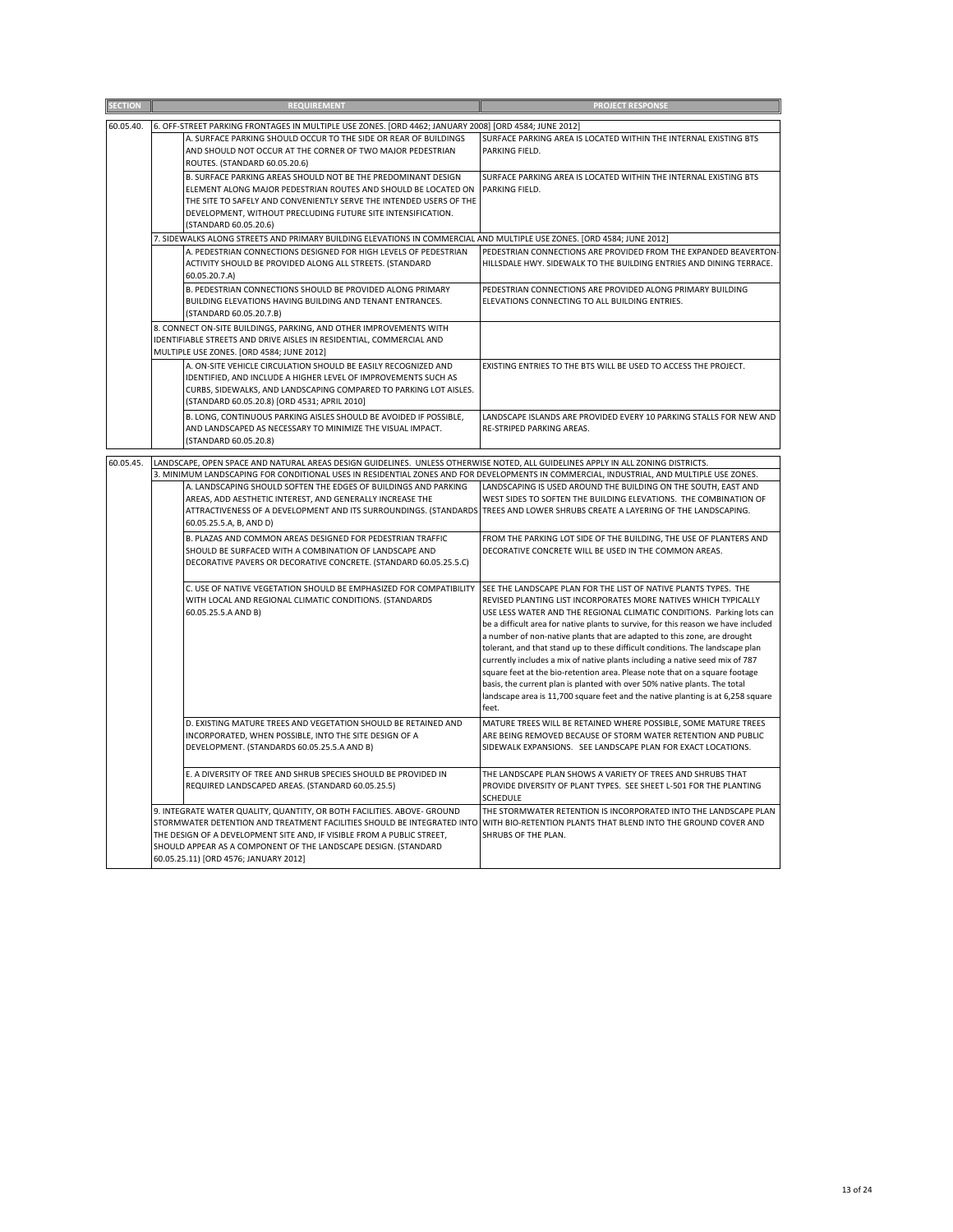| <b>SECTION</b> | <b>REQUIREMENT</b>                                                                                                                                                                                                                                                                                                                       | <b>PROJECT RESPONSE</b>                                                                                                                                                                                                                                                                                                                                                                                                                                                                                                                                                                                                                                                                                                                                                                                |
|----------------|------------------------------------------------------------------------------------------------------------------------------------------------------------------------------------------------------------------------------------------------------------------------------------------------------------------------------------------|--------------------------------------------------------------------------------------------------------------------------------------------------------------------------------------------------------------------------------------------------------------------------------------------------------------------------------------------------------------------------------------------------------------------------------------------------------------------------------------------------------------------------------------------------------------------------------------------------------------------------------------------------------------------------------------------------------------------------------------------------------------------------------------------------------|
| 60.05.40.      | 6. OFF-STREET PARKING FRONTAGES IN MULTIPLE USE ZONES. [ORD 4462; JANUARY 2008] [ORD 4584; JUNE 2012]                                                                                                                                                                                                                                    |                                                                                                                                                                                                                                                                                                                                                                                                                                                                                                                                                                                                                                                                                                                                                                                                        |
|                | A. SURFACE PARKING SHOULD OCCUR TO THE SIDE OR REAR OF BUILDINGS<br>AND SHOULD NOT OCCUR AT THE CORNER OF TWO MAJOR PEDESTRIAN<br>ROUTES. (STANDARD 60.05.20.6)                                                                                                                                                                          | SURFACE PARKING AREA IS LOCATED WITHIN THE INTERNAL EXISTING BTS<br>PARKING FIELD.                                                                                                                                                                                                                                                                                                                                                                                                                                                                                                                                                                                                                                                                                                                     |
|                | B. SURFACE PARKING AREAS SHOULD NOT BE THE PREDOMINANT DESIGN<br>ELEMENT ALONG MAJOR PEDESTRIAN ROUTES AND SHOULD BE LOCATED ON<br>THE SITE TO SAFELY AND CONVENIENTLY SERVE THE INTENDED USERS OF THE<br>DEVELOPMENT, WITHOUT PRECLUDING FUTURE SITE INTENSIFICATION.<br>(STANDARD 60.05.20.6)                                          | SURFACE PARKING AREA IS LOCATED WITHIN THE INTERNAL EXISTING BTS<br>PARKING FIELD.                                                                                                                                                                                                                                                                                                                                                                                                                                                                                                                                                                                                                                                                                                                     |
|                | 7. SIDEWALKS ALONG STREETS AND PRIMARY BUILDING ELEVATIONS IN COMMERCIAL AND MULTIPLE USE ZONES. [ORD 4584; JUNE 2012]                                                                                                                                                                                                                   |                                                                                                                                                                                                                                                                                                                                                                                                                                                                                                                                                                                                                                                                                                                                                                                                        |
|                | A. PEDESTRIAN CONNECTIONS DESIGNED FOR HIGH LEVELS OF PEDESTRIAN<br>ACTIVITY SHOULD BE PROVIDED ALONG ALL STREETS. (STANDARD<br>60.05.20.7.A)                                                                                                                                                                                            | PEDESTRIAN CONNECTIONS ARE PROVIDED FROM THE EXPANDED BEAVERTON-<br>HILLSDALE HWY. SIDEWALK TO THE BUILDING ENTRIES AND DINING TERRACE.                                                                                                                                                                                                                                                                                                                                                                                                                                                                                                                                                                                                                                                                |
|                | B. PEDESTRIAN CONNECTIONS SHOULD BE PROVIDED ALONG PRIMARY<br>BUILDING ELEVATIONS HAVING BUILDING AND TENANT ENTRANCES.<br>(STANDARD 60.05.20.7.B)                                                                                                                                                                                       | PEDESTRIAN CONNECTIONS ARE PROVIDED ALONG PRIMARY BUILDING<br>ELEVATIONS CONNECTING TO ALL BUILDING ENTRIES.                                                                                                                                                                                                                                                                                                                                                                                                                                                                                                                                                                                                                                                                                           |
|                | 8. CONNECT ON-SITE BUILDINGS, PARKING, AND OTHER IMPROVEMENTS WITH<br>IDENTIFIABLE STREETS AND DRIVE AISLES IN RESIDENTIAL, COMMERCIAL AND<br>MULTIPLE USE ZONES. [ORD 4584; JUNE 2012]                                                                                                                                                  |                                                                                                                                                                                                                                                                                                                                                                                                                                                                                                                                                                                                                                                                                                                                                                                                        |
|                | A. ON-SITE VEHICLE CIRCULATION SHOULD BE EASILY RECOGNIZED AND<br>IDENTIFIED, AND INCLUDE A HIGHER LEVEL OF IMPROVEMENTS SUCH AS<br>CURBS, SIDEWALKS, AND LANDSCAPING COMPARED TO PARKING LOT AISLES.<br>(STANDARD 60.05.20.8) [ORD 4531; APRIL 2010]                                                                                    | EXISTING ENTRIES TO THE BTS WILL BE USED TO ACCESS THE PROJECT.                                                                                                                                                                                                                                                                                                                                                                                                                                                                                                                                                                                                                                                                                                                                        |
|                | B. LONG, CONTINUOUS PARKING AISLES SHOULD BE AVOIDED IF POSSIBLE,<br>AND LANDSCAPED AS NECESSARY TO MINIMIZE THE VISUAL IMPACT.<br>(STANDARD 60.05.20.8)                                                                                                                                                                                 | LANDSCAPE ISLANDS ARE PROVIDED EVERY 10 PARKING STALLS FOR NEW AND<br>RE-STRIPED PARKING AREAS.                                                                                                                                                                                                                                                                                                                                                                                                                                                                                                                                                                                                                                                                                                        |
| 60.05.45.      | LANDSCAPE, OPEN SPACE AND NATURAL AREAS DESIGN GUIDELINES. UNLESS OTHERWISE NOTED, ALL GUIDELINES APPLY IN ALL ZONING DISTRICTS.<br>3. MINIMUM LANDSCAPING FOR CONDITIONAL USES IN RESIDENTIAL ZONES AND FOR DEVELOPMENTS IN COMMERCIAL, INDUSTRIAL, AND MULTIPLE USE ZONES.                                                             |                                                                                                                                                                                                                                                                                                                                                                                                                                                                                                                                                                                                                                                                                                                                                                                                        |
|                | A. LANDSCAPING SHOULD SOFTEN THE EDGES OF BUILDINGS AND PARKING<br>AREAS, ADD AESTHETIC INTEREST, AND GENERALLY INCREASE THE<br>ATTRACTIVENESS OF A DEVELOPMENT AND ITS SURROUNDINGS. (STANDARDS TREES AND LOWER SHRUBS CREATE A LAYERING OF THE LANDSCAPING.<br>60.05.25.5.A, B, AND D)                                                 | LANDSCAPING IS USED AROUND THE BUILDING ON THE SOUTH, EAST AND<br>WEST SIDES TO SOFTEN THE BUILDING ELEVATIONS. THE COMBINATION OF                                                                                                                                                                                                                                                                                                                                                                                                                                                                                                                                                                                                                                                                     |
|                | B. PLAZAS AND COMMON AREAS DESIGNED FOR PEDESTRIAN TRAFFIC<br>SHOULD BE SURFACED WITH A COMBINATION OF LANDSCAPE AND<br>DECORATIVE PAVERS OR DECORATIVE CONCRETE. (STANDARD 60.05.25.5.C)                                                                                                                                                | FROM THE PARKING LOT SIDE OF THE BUILDING, THE USE OF PLANTERS AND<br>DECORATIVE CONCRETE WILL BE USED IN THE COMMON AREAS.                                                                                                                                                                                                                                                                                                                                                                                                                                                                                                                                                                                                                                                                            |
|                | C. USE OF NATIVE VEGETATION SHOULD BE EMPHASIZED FOR COMPATIBILITY<br>WITH LOCAL AND REGIONAL CLIMATIC CONDITIONS. (STANDARDS<br>60.05.25.5.A AND B)                                                                                                                                                                                     | SEE THE LANDSCAPE PLAN FOR THE LIST OF NATIVE PLANTS TYPES. THE<br>REVISED PLANTING LIST INCORPORATES MORE NATIVES WHICH TYPICALLY<br>USE LESS WATER AND THE REGIONAL CLIMATIC CONDITIONS. Parking lots can<br>be a difficult area for native plants to survive, for this reason we have included<br>a number of non-native plants that are adapted to this zone, are drought<br>tolerant, and that stand up to these difficult conditions. The landscape plan<br>currently includes a mix of native plants including a native seed mix of 787<br>square feet at the bio-retention area. Please note that on a square footage<br>basis, the current plan is planted with over 50% native plants. The total<br>landscape area is 11,700 square feet and the native planting is at 6,258 square<br>feet. |
|                | D. EXISTING MATURE TREES AND VEGETATION SHOULD BE RETAINED AND<br>INCORPORATED, WHEN POSSIBLE, INTO THE SITE DESIGN OF A<br>DEVELOPMENT. (STANDARDS 60.05.25.5.A AND B)                                                                                                                                                                  | MATURE TREES WILL BE RETAINED WHERE POSSIBLE, SOME MATURE TREES<br>ARE BEING REMOVED BECAUSE OF STORM WATER RETENTION AND PUBLIC<br>SIDEWALK EXPANSIONS. SEE LANDSCAPE PLAN FOR EXACT LOCATIONS.                                                                                                                                                                                                                                                                                                                                                                                                                                                                                                                                                                                                       |
|                | E. A DIVERSITY OF TREE AND SHRUB SPECIES SHOULD BE PROVIDED IN<br>REQUIRED LANDSCAPED AREAS. (STANDARD 60.05.25.5)                                                                                                                                                                                                                       | THE LANDSCAPE PLAN SHOWS A VARIETY OF TREES AND SHRUBS THAT<br>PROVIDE DIVERSITY OF PLANT TYPES. SEE SHEET L-501 FOR THE PLANTING<br><b>SCHEDULE</b>                                                                                                                                                                                                                                                                                                                                                                                                                                                                                                                                                                                                                                                   |
|                | 9. INTEGRATE WATER QUALITY, QUANTITY, OR BOTH FACILITIES. ABOVE- GROUND<br>STORMWATER DETENTION AND TREATMENT FACILITIES SHOULD BE INTEGRATED INTO<br>THE DESIGN OF A DEVELOPMENT SITE AND, IF VISIBLE FROM A PUBLIC STREET,<br>SHOULD APPEAR AS A COMPONENT OF THE LANDSCAPE DESIGN. (STANDARD<br>60.05.25.11) [ORD 4576; JANUARY 2012] | THE STORMWATER RETENTION IS INCORPORATED INTO THE LANDSCAPE PLAN<br>WITH BIO-RETENTION PLANTS THAT BLEND INTO THE GROUND COVER AND<br>SHRUBS OF THE PLAN.                                                                                                                                                                                                                                                                                                                                                                                                                                                                                                                                                                                                                                              |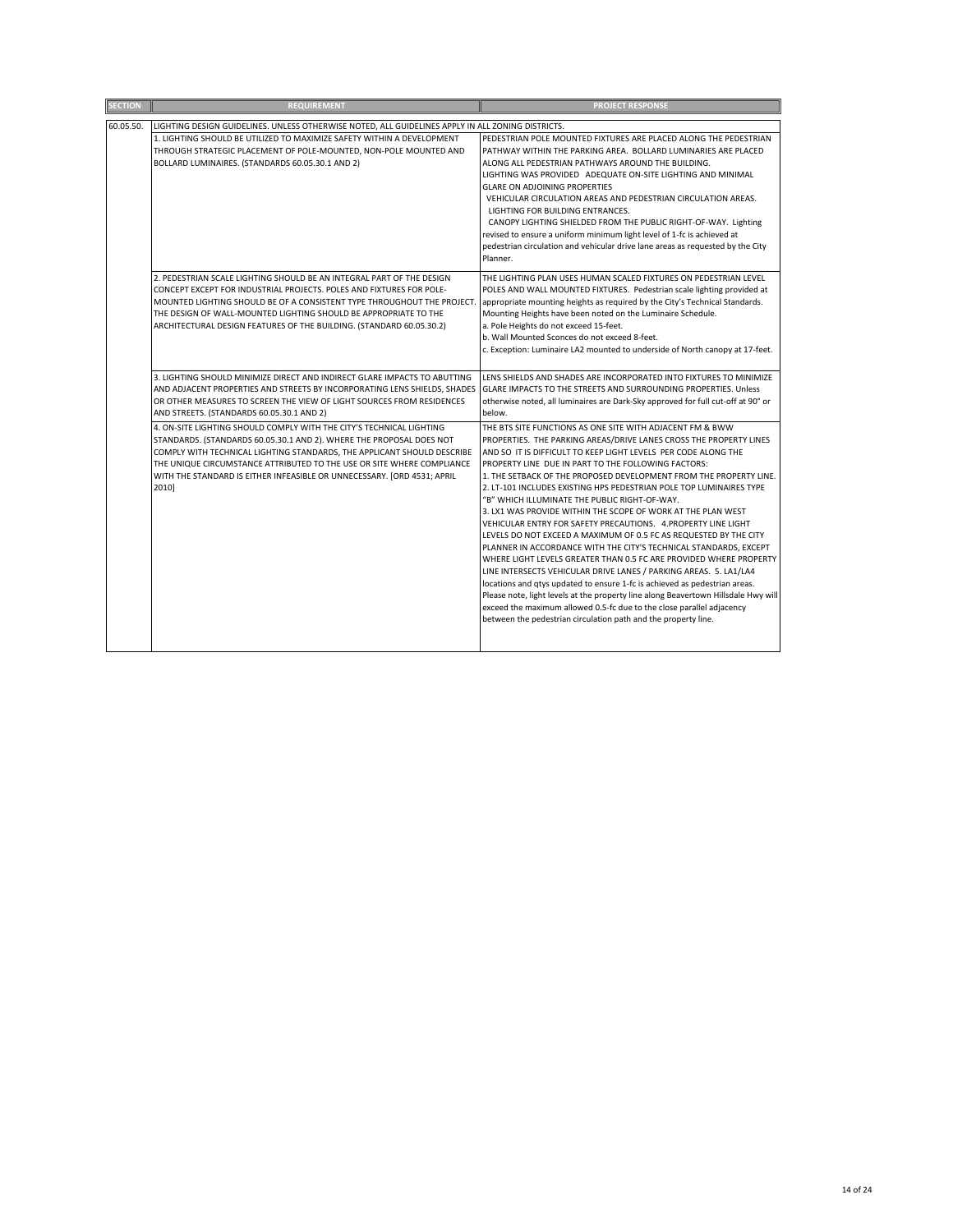| <b>SECTION</b> | <b>REQUIREMENT</b>                                                                                                                                                                                                                                                                                                                                                                    | <b>PROJECT RESPONSE</b>                                                                                                                                                                                                                                                                                                                                                                                                                                                                                                                                                                                                                                                                                                                                                                                                                                                                                                                                                                                                                                                                                                                                                                      |
|----------------|---------------------------------------------------------------------------------------------------------------------------------------------------------------------------------------------------------------------------------------------------------------------------------------------------------------------------------------------------------------------------------------|----------------------------------------------------------------------------------------------------------------------------------------------------------------------------------------------------------------------------------------------------------------------------------------------------------------------------------------------------------------------------------------------------------------------------------------------------------------------------------------------------------------------------------------------------------------------------------------------------------------------------------------------------------------------------------------------------------------------------------------------------------------------------------------------------------------------------------------------------------------------------------------------------------------------------------------------------------------------------------------------------------------------------------------------------------------------------------------------------------------------------------------------------------------------------------------------|
| 60.05.50.      | LIGHTING DESIGN GUIDELINES. UNLESS OTHERWISE NOTED, ALL GUIDELINES APPLY IN ALL ZONING DISTRICTS.<br>1. LIGHTING SHOULD BE UTILIZED TO MAXIMIZE SAFETY WITHIN A DEVELOPMENT<br>THROUGH STRATEGIC PLACEMENT OF POLE-MOUNTED, NON-POLE MOUNTED AND<br>BOLLARD LUMINAIRES. (STANDARDS 60.05.30.1 AND 2)                                                                                  | PEDESTRIAN POLE MOUNTED FIXTURES ARE PLACED ALONG THE PEDESTRIAN<br>PATHWAY WITHIN THE PARKING AREA. BOLLARD LUMINARIES ARE PLACED<br>ALONG ALL PEDESTRIAN PATHWAYS AROUND THE BUILDING.<br>LIGHTING WAS PROVIDED ADEQUATE ON-SITE LIGHTING AND MINIMAL<br><b>GLARE ON ADJOINING PROPERTIES</b><br>VEHICULAR CIRCULATION AREAS AND PEDESTRIAN CIRCULATION AREAS.<br>LIGHTING FOR BUILDING ENTRANCES.<br>CANOPY LIGHTING SHIELDED FROM THE PUBLIC RIGHT-OF-WAY. Lighting<br>revised to ensure a uniform minimum light level of 1-fc is achieved at<br>pedestrian circulation and vehicular drive lane areas as requested by the City<br>Planner.                                                                                                                                                                                                                                                                                                                                                                                                                                                                                                                                              |
|                | 2. PEDESTRIAN SCALE LIGHTING SHOULD BE AN INTEGRAL PART OF THE DESIGN<br>CONCEPT EXCEPT FOR INDUSTRIAL PROJECTS. POLES AND FIXTURES FOR POLE-<br>MOUNTED LIGHTING SHOULD BE OF A CONSISTENT TYPE THROUGHOUT THE PROJECT.<br>THE DESIGN OF WALL-MOUNTED LIGHTING SHOULD BE APPROPRIATE TO THE<br>ARCHITECTURAL DESIGN FEATURES OF THE BUILDING. (STANDARD 60.05.30.2)                  | THE LIGHTING PLAN USES HUMAN SCALED FIXTURES ON PEDESTRIAN LEVEL<br>POLES AND WALL MOUNTED FIXTURES. Pedestrian scale lighting provided at<br>appropriate mounting heights as required by the City's Technical Standards.<br>Mounting Heights have been noted on the Luminaire Schedule.<br>a. Pole Heights do not exceed 15-feet.<br>b. Wall Mounted Sconces do not exceed 8-feet.<br>c. Exception: Luminaire LA2 mounted to underside of North canopy at 17-feet.                                                                                                                                                                                                                                                                                                                                                                                                                                                                                                                                                                                                                                                                                                                          |
|                | 3. LIGHTING SHOULD MINIMIZE DIRECT AND INDIRECT GLARE IMPACTS TO ABUTTING<br>AND ADJACENT PROPERTIES AND STREETS BY INCORPORATING LENS SHIELDS, SHADES<br>OR OTHER MEASURES TO SCREEN THE VIEW OF LIGHT SOURCES FROM RESIDENCES<br>AND STREETS. (STANDARDS 60.05.30.1 AND 2)                                                                                                          | LENS SHIELDS AND SHADES ARE INCORPORATED INTO FIXTURES TO MINIMIZE<br>GLARE IMPACTS TO THE STREETS AND SURROUNDING PROPERTIES. Unless<br>otherwise noted, all luminaires are Dark-Sky approved for full cut-off at 90° or<br>below.                                                                                                                                                                                                                                                                                                                                                                                                                                                                                                                                                                                                                                                                                                                                                                                                                                                                                                                                                          |
|                | 4. ON-SITE LIGHTING SHOULD COMPLY WITH THE CITY'S TECHNICAL LIGHTING<br>STANDARDS. (STANDARDS 60.05.30.1 AND 2). WHERE THE PROPOSAL DOES NOT<br>COMPLY WITH TECHNICAL LIGHTING STANDARDS, THE APPLICANT SHOULD DESCRIBE<br>THE UNIQUE CIRCUMSTANCE ATTRIBUTED TO THE USE OR SITE WHERE COMPLIANCE<br>WITH THE STANDARD IS EITHER INFEASIBLE OR UNNECESSARY. [ORD 4531; APRIL<br>2010] | THE BTS SITE FUNCTIONS AS ONE SITE WITH ADJACENT FM & BWW<br>PROPERTIES. THE PARKING AREAS/DRIVE LANES CROSS THE PROPERTY LINES<br>AND SO IT IS DIFFICULT TO KEEP LIGHT LEVELS PER CODE ALONG THE<br>PROPERTY LINE DUE IN PART TO THE FOLLOWING FACTORS:<br>1. THE SETBACK OF THE PROPOSED DEVELOPMENT FROM THE PROPERTY LINE.<br>2. LT-101 INCLUDES EXISTING HPS PEDESTRIAN POLE TOP LUMINAIRES TYPE<br>"B" WHICH ILLUMINATE THE PUBLIC RIGHT-OF-WAY.<br>3. LX1 WAS PROVIDE WITHIN THE SCOPE OF WORK AT THE PLAN WEST<br>VEHICULAR ENTRY FOR SAFETY PRECAUTIONS. 4. PROPERTY LINE LIGHT<br>LEVELS DO NOT EXCEED A MAXIMUM OF 0.5 FC AS REQUESTED BY THE CITY<br>PLANNER IN ACCORDANCE WITH THE CITY'S TECHNICAL STANDARDS, EXCEPT<br>WHERE LIGHT LEVELS GREATER THAN 0.5 FC ARE PROVIDED WHERE PROPERTY<br>LINE INTERSECTS VEHICULAR DRIVE LANES / PARKING AREAS. 5. LA1/LA4<br>locations and qtys updated to ensure 1-fc is achieved as pedestrian areas.<br>Please note, light levels at the property line along Beavertown Hillsdale Hwy will<br>exceed the maximum allowed 0.5-fc due to the close parallel adjacency<br>between the pedestrian circulation path and the property line. |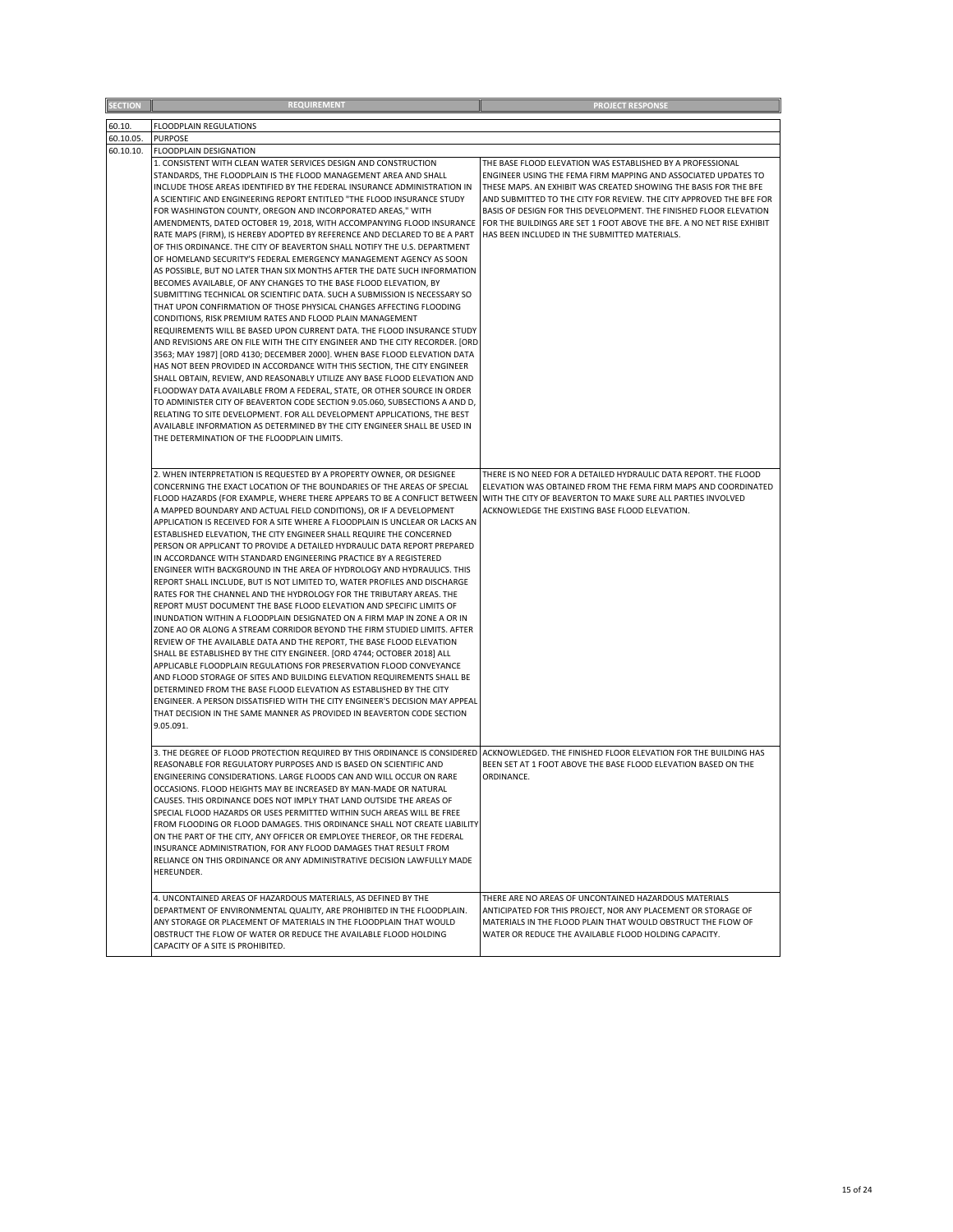| <b>SECTION</b> | <b>REQUIREMENT</b>                                                                                                                                                                                                                                                                                                                                                                                                                                                                                                                                                                                                                                                                                                                                                                                                                                                                                                                                                                                                                                                                                                                                                                                                                                                                                                                                                                                                                                                                                                                                                                                                                                                                                                                                                                                                                    | <b>PROJECT RESPONSE</b>                                                                                                                                                                                                                                                                                                                                                                                                                                                 |
|----------------|---------------------------------------------------------------------------------------------------------------------------------------------------------------------------------------------------------------------------------------------------------------------------------------------------------------------------------------------------------------------------------------------------------------------------------------------------------------------------------------------------------------------------------------------------------------------------------------------------------------------------------------------------------------------------------------------------------------------------------------------------------------------------------------------------------------------------------------------------------------------------------------------------------------------------------------------------------------------------------------------------------------------------------------------------------------------------------------------------------------------------------------------------------------------------------------------------------------------------------------------------------------------------------------------------------------------------------------------------------------------------------------------------------------------------------------------------------------------------------------------------------------------------------------------------------------------------------------------------------------------------------------------------------------------------------------------------------------------------------------------------------------------------------------------------------------------------------------|-------------------------------------------------------------------------------------------------------------------------------------------------------------------------------------------------------------------------------------------------------------------------------------------------------------------------------------------------------------------------------------------------------------------------------------------------------------------------|
| 60.10.         | FLOODPLAIN REGULATIONS                                                                                                                                                                                                                                                                                                                                                                                                                                                                                                                                                                                                                                                                                                                                                                                                                                                                                                                                                                                                                                                                                                                                                                                                                                                                                                                                                                                                                                                                                                                                                                                                                                                                                                                                                                                                                |                                                                                                                                                                                                                                                                                                                                                                                                                                                                         |
| 60.10.05.      | <b>PURPOSE</b>                                                                                                                                                                                                                                                                                                                                                                                                                                                                                                                                                                                                                                                                                                                                                                                                                                                                                                                                                                                                                                                                                                                                                                                                                                                                                                                                                                                                                                                                                                                                                                                                                                                                                                                                                                                                                        |                                                                                                                                                                                                                                                                                                                                                                                                                                                                         |
|                |                                                                                                                                                                                                                                                                                                                                                                                                                                                                                                                                                                                                                                                                                                                                                                                                                                                                                                                                                                                                                                                                                                                                                                                                                                                                                                                                                                                                                                                                                                                                                                                                                                                                                                                                                                                                                                       |                                                                                                                                                                                                                                                                                                                                                                                                                                                                         |
| 60.10.10.      | FLOODPLAIN DESIGNATION<br>1. CONSISTENT WITH CLEAN WATER SERVICES DESIGN AND CONSTRUCTION<br>STANDARDS, THE FLOODPLAIN IS THE FLOOD MANAGEMENT AREA AND SHALL<br>INCLUDE THOSE AREAS IDENTIFIED BY THE FEDERAL INSURANCE ADMINISTRATION IN<br>A SCIENTIFIC AND ENGINEERING REPORT ENTITLED "THE FLOOD INSURANCE STUDY<br>FOR WASHINGTON COUNTY, OREGON AND INCORPORATED AREAS," WITH<br>AMENDMENTS, DATED OCTOBER 19, 2018, WITH ACCOMPANYING FLOOD INSURANCE<br>RATE MAPS (FIRM), IS HEREBY ADOPTED BY REFERENCE AND DECLARED TO BE A PART<br>OF THIS ORDINANCE. THE CITY OF BEAVERTON SHALL NOTIFY THE U.S. DEPARTMENT<br>OF HOMELAND SECURITY'S FEDERAL EMERGENCY MANAGEMENT AGENCY AS SOON<br>AS POSSIBLE, BUT NO LATER THAN SIX MONTHS AFTER THE DATE SUCH INFORMATION<br>BECOMES AVAILABLE, OF ANY CHANGES TO THE BASE FLOOD ELEVATION, BY<br>SUBMITTING TECHNICAL OR SCIENTIFIC DATA. SUCH A SUBMISSION IS NECESSARY SO<br>THAT UPON CONFIRMATION OF THOSE PHYSICAL CHANGES AFFECTING FLOODING<br>CONDITIONS, RISK PREMIUM RATES AND FLOOD PLAIN MANAGEMENT<br>REQUIREMENTS WILL BE BASED UPON CURRENT DATA. THE FLOOD INSURANCE STUDY<br>AND REVISIONS ARE ON FILE WITH THE CITY ENGINEER AND THE CITY RECORDER. [ORD<br>3563; MAY 1987] [ORD 4130; DECEMBER 2000]. WHEN BASE FLOOD ELEVATION DATA<br>HAS NOT BEEN PROVIDED IN ACCORDANCE WITH THIS SECTION, THE CITY ENGINEER<br>SHALL OBTAIN, REVIEW, AND REASONABLY UTILIZE ANY BASE FLOOD ELEVATION AND<br>FLOODWAY DATA AVAILABLE FROM A FEDERAL, STATE, OR OTHER SOURCE IN ORDER<br>TO ADMINISTER CITY OF BEAVERTON CODE SECTION 9.05.060, SUBSECTIONS A AND D,<br>RELATING TO SITE DEVELOPMENT. FOR ALL DEVELOPMENT APPLICATIONS, THE BEST<br>AVAILABLE INFORMATION AS DETERMINED BY THE CITY ENGINEER SHALL BE USED IN<br>THE DETERMINATION OF THE FLOODPLAIN LIMITS. | THE BASE FLOOD ELEVATION WAS ESTABLISHED BY A PROFESSIONAL<br>ENGINEER USING THE FEMA FIRM MAPPING AND ASSOCIATED UPDATES TO<br>THESE MAPS. AN EXHIBIT WAS CREATED SHOWING THE BASIS FOR THE BFE<br>AND SUBMITTED TO THE CITY FOR REVIEW. THE CITY APPROVED THE BFE FOR<br>BASIS OF DESIGN FOR THIS DEVELOPMENT. THE FINISHED FLOOR ELEVATION<br>FOR THE BUILDINGS ARE SET 1 FOOT ABOVE THE BFE. A NO NET RISE EXHIBIT<br>HAS BEEN INCLUDED IN THE SUBMITTED MATERIALS. |
|                | 2. WHEN INTERPRETATION IS REQUESTED BY A PROPERTY OWNER, OR DESIGNEE<br>CONCERNING THE EXACT LOCATION OF THE BOUNDARIES OF THE AREAS OF SPECIAL<br>FLOOD HAZARDS (FOR EXAMPLE, WHERE THERE APPEARS TO BE A CONFLICT BETWEEN<br>A MAPPED BOUNDARY AND ACTUAL FIELD CONDITIONS), OR IF A DEVELOPMENT<br>APPLICATION IS RECEIVED FOR A SITE WHERE A FLOODPLAIN IS UNCLEAR OR LACKS AN<br>ESTABLISHED ELEVATION, THE CITY ENGINEER SHALL REQUIRE THE CONCERNED<br>PERSON OR APPLICANT TO PROVIDE A DETAILED HYDRAULIC DATA REPORT PREPARED<br>IN ACCORDANCE WITH STANDARD ENGINEERING PRACTICE BY A REGISTERED<br>ENGINEER WITH BACKGROUND IN THE AREA OF HYDROLOGY AND HYDRAULICS. THIS<br>REPORT SHALL INCLUDE, BUT IS NOT LIMITED TO, WATER PROFILES AND DISCHARGE<br>RATES FOR THE CHANNEL AND THE HYDROLOGY FOR THE TRIBUTARY AREAS. THE<br>REPORT MUST DOCUMENT THE BASE FLOOD ELEVATION AND SPECIFIC LIMITS OF<br>INUNDATION WITHIN A FLOODPLAIN DESIGNATED ON A FIRM MAP IN ZONE A OR IN<br>ZONE AO OR ALONG A STREAM CORRIDOR BEYOND THE FIRM STUDIED LIMITS. AFTER<br>REVIEW OF THE AVAILABLE DATA AND THE REPORT, THE BASE FLOOD ELEVATION<br>SHALL BE ESTABLISHED BY THE CITY ENGINEER. [ORD 4744; OCTOBER 2018] ALL<br>APPLICABLE FLOODPLAIN REGULATIONS FOR PRESERVATION FLOOD CONVEYANCE<br>AND FLOOD STORAGE OF SITES AND BUILDING ELEVATION REQUIREMENTS SHALL BE<br>DETERMINED FROM THE BASE FLOOD ELEVATION AS ESTABLISHED BY THE CITY<br>ENGINEER. A PERSON DISSATISFIED WITH THE CITY ENGINEER'S DECISION MAY APPEAL<br>THAT DECISION IN THE SAME MANNER AS PROVIDED IN BEAVERTON CODE SECTION<br>9.05.091.                                                                                                                                                                                                          | THERE IS NO NEED FOR A DETAILED HYDRAULIC DATA REPORT. THE FLOOD<br>ELEVATION WAS OBTAINED FROM THE FEMA FIRM MAPS AND COORDINATED<br>WITH THE CITY OF BEAVERTON TO MAKE SURE ALL PARTIES INVOLVED<br>ACKNOWLEDGE THE EXISTING BASE FLOOD ELEVATION.                                                                                                                                                                                                                    |
|                | 3. THE DEGREE OF FLOOD PROTECTION REQUIRED BY THIS ORDINANCE IS CONSIDERED<br>REASONABLE FOR REGULATORY PURPOSES AND IS BASED ON SCIENTIFIC AND<br>ENGINEERING CONSIDERATIONS. LARGE FLOODS CAN AND WILL OCCUR ON RARE<br>OCCASIONS. FLOOD HEIGHTS MAY BE INCREASED BY MAN-MADE OR NATURAL<br>CAUSES. THIS ORDINANCE DOES NOT IMPLY THAT LAND OUTSIDE THE AREAS OF<br>SPECIAL FLOOD HAZARDS OR USES PERMITTED WITHIN SUCH AREAS WILL BE FREE<br>FROM FLOODING OR FLOOD DAMAGES. THIS ORDINANCE SHALL NOT CREATE LIABILITY<br>ON THE PART OF THE CITY, ANY OFFICER OR EMPLOYEE THEREOF, OR THE FEDERAL<br>INSURANCE ADMINISTRATION, FOR ANY FLOOD DAMAGES THAT RESULT FROM<br>RELIANCE ON THIS ORDINANCE OR ANY ADMINISTRATIVE DECISION LAWFULLY MADE<br>HEREUNDER.                                                                                                                                                                                                                                                                                                                                                                                                                                                                                                                                                                                                                                                                                                                                                                                                                                                                                                                                                                                                                                                                    | ACKNOWLEDGED. THE FINISHED FLOOR ELEVATION FOR THE BUILDING HAS<br>BEEN SET AT 1 FOOT ABOVE THE BASE FLOOD ELEVATION BASED ON THE<br>ORDINANCE.                                                                                                                                                                                                                                                                                                                         |
|                | 4. UNCONTAINED AREAS OF HAZARDOUS MATERIALS, AS DEFINED BY THE<br>DEPARTMENT OF ENVIRONMENTAL QUALITY, ARE PROHIBITED IN THE FLOODPLAIN.<br>ANY STORAGE OR PLACEMENT OF MATERIALS IN THE FLOODPLAIN THAT WOULD<br>OBSTRUCT THE FLOW OF WATER OR REDUCE THE AVAILABLE FLOOD HOLDING<br>CAPACITY OF A SITE IS PROHIBITED.                                                                                                                                                                                                                                                                                                                                                                                                                                                                                                                                                                                                                                                                                                                                                                                                                                                                                                                                                                                                                                                                                                                                                                                                                                                                                                                                                                                                                                                                                                               | THERE ARE NO AREAS OF UNCONTAINED HAZARDOUS MATERIALS<br>ANTICIPATED FOR THIS PROJECT, NOR ANY PLACEMENT OR STORAGE OF<br>MATERIALS IN THE FLOOD PLAIN THAT WOULD OBSTRUCT THE FLOW OF<br>WATER OR REDUCE THE AVAILABLE FLOOD HOLDING CAPACITY.                                                                                                                                                                                                                         |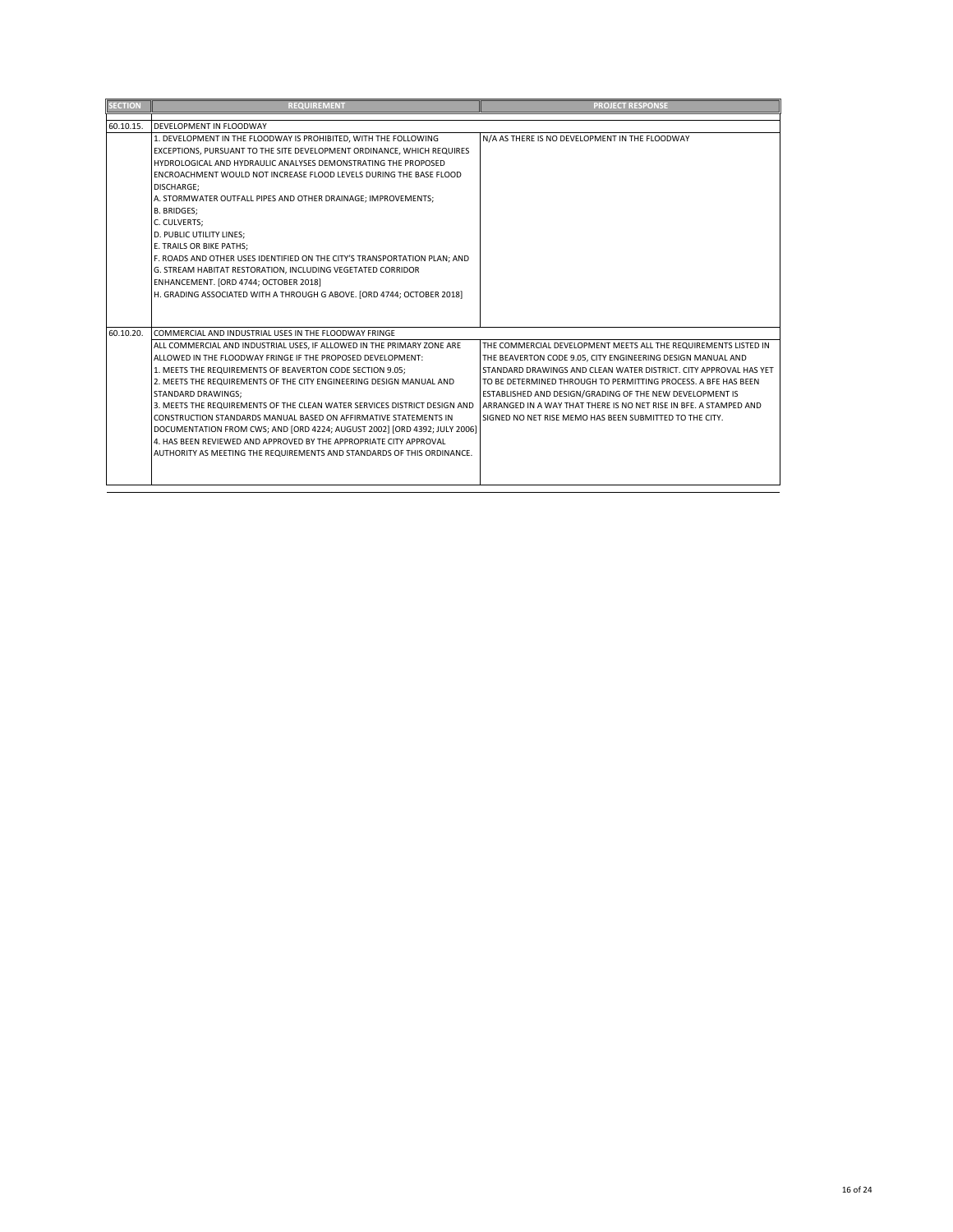| <b>SECTION</b> | <b>REQUIREMENT</b>                                                                                                                                                                                                                                                                                                                                                                                                                                                                                                                                                                                                                                                                                                                     | <b>PROJECT RESPONSE</b>                                                                                                                                                                                                                                                                                                                                                                                                                                           |
|----------------|----------------------------------------------------------------------------------------------------------------------------------------------------------------------------------------------------------------------------------------------------------------------------------------------------------------------------------------------------------------------------------------------------------------------------------------------------------------------------------------------------------------------------------------------------------------------------------------------------------------------------------------------------------------------------------------------------------------------------------------|-------------------------------------------------------------------------------------------------------------------------------------------------------------------------------------------------------------------------------------------------------------------------------------------------------------------------------------------------------------------------------------------------------------------------------------------------------------------|
| 60.10.15.      | DEVELOPMENT IN FLOODWAY                                                                                                                                                                                                                                                                                                                                                                                                                                                                                                                                                                                                                                                                                                                |                                                                                                                                                                                                                                                                                                                                                                                                                                                                   |
|                | 1. DEVELOPMENT IN THE FLOODWAY IS PROHIBITED, WITH THE FOLLOWING<br>EXCEPTIONS, PURSUANT TO THE SITE DEVELOPMENT ORDINANCE, WHICH REQUIRES<br>HYDROLOGICAL AND HYDRAULIC ANALYSES DEMONSTRATING THE PROPOSED<br>ENCROACHMENT WOULD NOT INCREASE FLOOD LEVELS DURING THE BASE FLOOD<br><b>DISCHARGE:</b><br>A. STORMWATER OUTFALL PIPES AND OTHER DRAINAGE; IMPROVEMENTS;<br><b>B. BRIDGES:</b><br>C. CULVERTS:<br>D. PUBLIC UTILITY LINES;<br>E. TRAILS OR BIKE PATHS;<br>F. ROADS AND OTHER USES IDENTIFIED ON THE CITY'S TRANSPORTATION PLAN: AND<br>G. STREAM HABITAT RESTORATION. INCLUDING VEGETATED CORRIDOR<br>ENHANCEMENT. [ORD 4744; OCTOBER 2018]<br>H. GRADING ASSOCIATED WITH A THROUGH G ABOVE. [ORD 4744; OCTOBER 2018]  | N/A AS THERE IS NO DEVELOPMENT IN THE FLOODWAY                                                                                                                                                                                                                                                                                                                                                                                                                    |
| 60.10.20.      | COMMERCIAL AND INDUSTRIAL USES IN THE FLOODWAY FRINGE<br>ALL COMMERCIAL AND INDUSTRIAL USES. IF ALLOWED IN THE PRIMARY ZONE ARE<br>ALLOWED IN THE FLOODWAY FRINGE IF THE PROPOSED DEVELOPMENT:<br>1. MEETS THE REQUIREMENTS OF BEAVERTON CODE SECTION 9.05:<br>2. MEETS THE REQUIREMENTS OF THE CITY ENGINEERING DESIGN MANUAL AND<br>STANDARD DRAWINGS:<br>3. MEETS THE REQUIREMENTS OF THE CLEAN WATER SERVICES DISTRICT DESIGN AND<br>CONSTRUCTION STANDARDS MANUAL BASED ON AFFIRMATIVE STATEMENTS IN<br>DOCUMENTATION FROM CWS; AND [ORD 4224; AUGUST 2002] [ORD 4392; JULY 2006]<br>4. HAS BEEN REVIEWED AND APPROVED BY THE APPROPRIATE CITY APPROVAL<br>AUTHORITY AS MEETING THE REQUIREMENTS AND STANDARDS OF THIS ORDINANCE. | THE COMMERCIAL DEVELOPMENT MEETS ALL THE REQUIREMENTS LISTED IN<br>THE BEAVERTON CODE 9.05, CITY ENGINEERING DESIGN MANUAL AND<br>STANDARD DRAWINGS AND CLEAN WATER DISTRICT. CITY APPROVAL HAS YET<br>TO BE DETERMINED THROUGH TO PERMITTING PROCESS. A BFE HAS BEEN<br>ESTABLISHED AND DESIGN/GRADING OF THE NEW DEVELOPMENT IS<br>ARRANGED IN A WAY THAT THERE IS NO NET RISE IN BEE. A STAMPED AND<br>SIGNED NO NET RISE MEMO HAS BEEN SUBMITTED TO THE CITY. |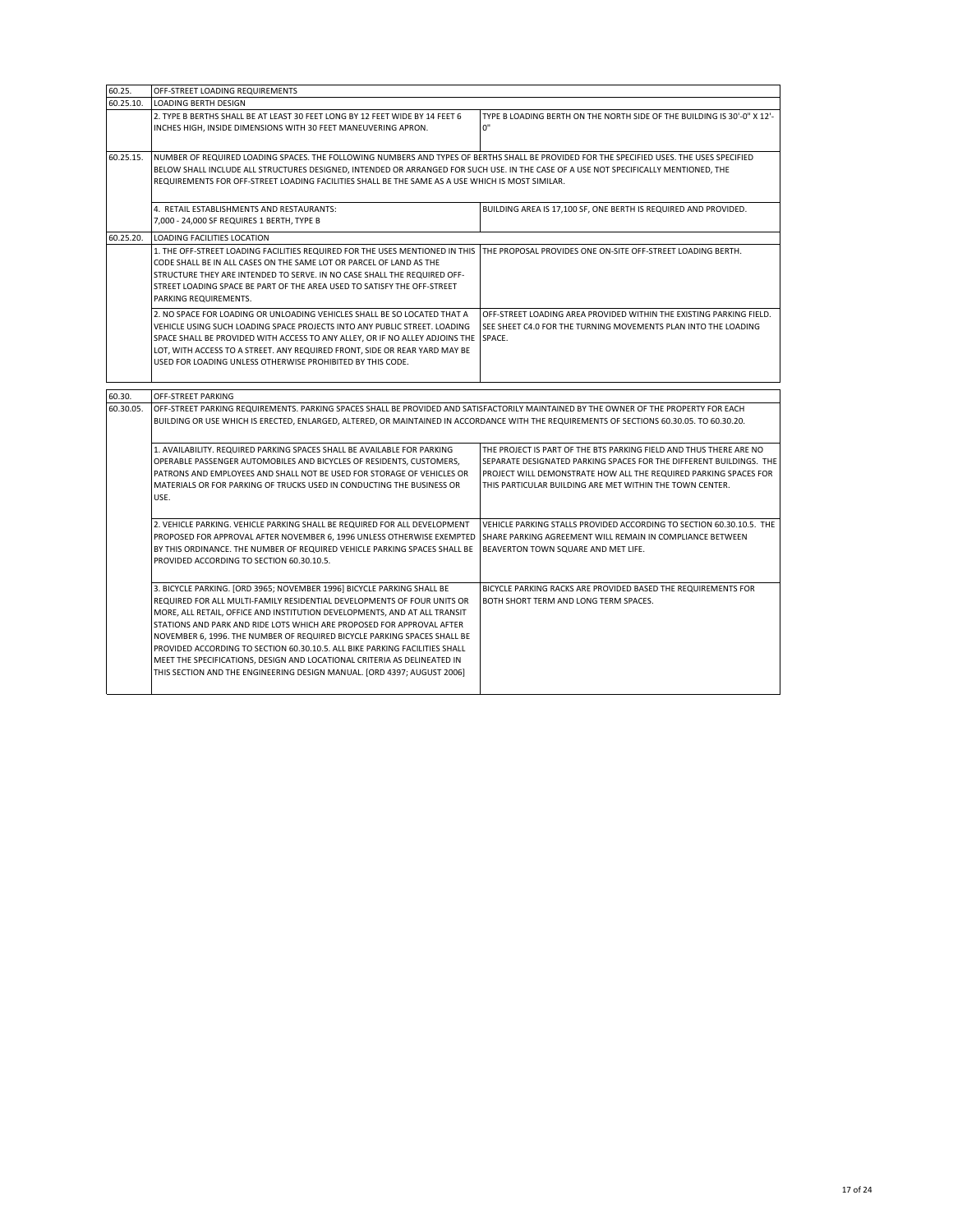| 60.25.                                                                                                                                                                                                                                                                                          | OFF-STREET LOADING REQUIREMENTS                                                                                                                                                                                                                                                                                                                                                       |                                                                                                                                                                                                                                                                           |
|-------------------------------------------------------------------------------------------------------------------------------------------------------------------------------------------------------------------------------------------------------------------------------------------------|---------------------------------------------------------------------------------------------------------------------------------------------------------------------------------------------------------------------------------------------------------------------------------------------------------------------------------------------------------------------------------------|---------------------------------------------------------------------------------------------------------------------------------------------------------------------------------------------------------------------------------------------------------------------------|
| 60.25.10.                                                                                                                                                                                                                                                                                       | <b>LOADING BERTH DESIGN</b>                                                                                                                                                                                                                                                                                                                                                           |                                                                                                                                                                                                                                                                           |
|                                                                                                                                                                                                                                                                                                 | 2. TYPE B BERTHS SHALL BE AT LEAST 30 FEET LONG BY 12 FEET WIDE BY 14 FEET 6<br>INCHES HIGH, INSIDE DIMENSIONS WITH 30 FEET MANEUVERING APRON.                                                                                                                                                                                                                                        | TYPE B LOADING BERTH ON THE NORTH SIDE OF THE BUILDING IS 30'-0" X 12'-<br>0"                                                                                                                                                                                             |
| 60.25.15.                                                                                                                                                                                                                                                                                       | NUMBER OF REQUIRED LOADING SPACES. THE FOLLOWING NUMBERS AND TYPES OF BERTHS SHALL BE PROVIDED FOR THE SPECIFIED USES. THE USES SPECIFIED<br>BELOW SHALL INCLUDE ALL STRUCTURES DESIGNED, INTENDED OR ARRANGED FOR SUCH USE. IN THE CASE OF A USE NOT SPECIFICALLY MENTIONED, THE<br>REQUIREMENTS FOR OFF-STREET LOADING FACILITIES SHALL BE THE SAME AS A USE WHICH IS MOST SIMILAR. |                                                                                                                                                                                                                                                                           |
|                                                                                                                                                                                                                                                                                                 | 4. RETAIL ESTABLISHMENTS AND RESTAURANTS:<br>7,000 - 24,000 SF REQUIRES 1 BERTH, TYPE B                                                                                                                                                                                                                                                                                               | BUILDING AREA IS 17,100 SF, ONE BERTH IS REQUIRED AND PROVIDED.                                                                                                                                                                                                           |
| 60.25.20.                                                                                                                                                                                                                                                                                       | LOADING FACILITIES LOCATION                                                                                                                                                                                                                                                                                                                                                           |                                                                                                                                                                                                                                                                           |
|                                                                                                                                                                                                                                                                                                 | 1. THE OFF-STREET LOADING FACILITIES REQUIRED FOR THE USES MENTIONED IN THIS<br>CODE SHALL BE IN ALL CASES ON THE SAME LOT OR PARCEL OF LAND AS THE<br>STRUCTURE THEY ARE INTENDED TO SERVE. IN NO CASE SHALL THE REQUIRED OFF-<br>STREET LOADING SPACE BE PART OF THE AREA USED TO SATISFY THE OFF-STREET<br>PARKING REQUIREMENTS.                                                   | THE PROPOSAL PROVIDES ONE ON-SITE OFF-STREET LOADING BERTH.                                                                                                                                                                                                               |
|                                                                                                                                                                                                                                                                                                 | 2. NO SPACE FOR LOADING OR UNLOADING VEHICLES SHALL BE SO LOCATED THAT A<br>VEHICLE USING SUCH LOADING SPACE PROJECTS INTO ANY PUBLIC STREET. LOADING<br>SPACE SHALL BE PROVIDED WITH ACCESS TO ANY ALLEY, OR IF NO ALLEY ADJOINS THE<br>LOT, WITH ACCESS TO A STREET. ANY REQUIRED FRONT, SIDE OR REAR YARD MAY BE<br>USED FOR LOADING UNLESS OTHERWISE PROHIBITED BY THIS CODE.     | OFF-STREET LOADING AREA PROVIDED WITHIN THE EXISTING PARKING FIELD.<br>SEE SHEET C4.0 FOR THE TURNING MOVEMENTS PLAN INTO THE LOADING<br>SPACE.                                                                                                                           |
| 60.30.                                                                                                                                                                                                                                                                                          | OFF-STREET PARKING                                                                                                                                                                                                                                                                                                                                                                    |                                                                                                                                                                                                                                                                           |
| 60.30.05.<br>OFF-STREET PARKING REQUIREMENTS. PARKING SPACES SHALL BE PROVIDED AND SATISFACTORILY MAINTAINED BY THE OWNER OF THE PROPERTY FOR EACH<br>BUILDING OR USE WHICH IS ERECTED, ENLARGED, ALTERED, OR MAINTAINED IN ACCORDANCE WITH THE REQUIREMENTS OF SECTIONS 60.30.05. TO 60.30.20. |                                                                                                                                                                                                                                                                                                                                                                                       |                                                                                                                                                                                                                                                                           |
|                                                                                                                                                                                                                                                                                                 |                                                                                                                                                                                                                                                                                                                                                                                       |                                                                                                                                                                                                                                                                           |
|                                                                                                                                                                                                                                                                                                 | 1. AVAILABILITY. REQUIRED PARKING SPACES SHALL BE AVAILABLE FOR PARKING<br>OPERABLE PASSENGER AUTOMOBILES AND BICYCLES OF RESIDENTS, CUSTOMERS,<br>PATRONS AND EMPLOYEES AND SHALL NOT BE USED FOR STORAGE OF VEHICLES OR<br>MATERIALS OR FOR PARKING OF TRUCKS USED IN CONDUCTING THE BUSINESS OR<br>USE.                                                                            | THE PROJECT IS PART OF THE BTS PARKING FIELD AND THUS THERE ARE NO<br>SEPARATE DESIGNATED PARKING SPACES FOR THE DIFFERENT BUILDINGS. THE<br>PROJECT WILL DEMONSTRATE HOW ALL THE REQUIRED PARKING SPACES FOR<br>THIS PARTICULAR BUILDING ARE MET WITHIN THE TOWN CENTER. |
|                                                                                                                                                                                                                                                                                                 | 2. VEHICLE PARKING. VEHICLE PARKING SHALL BE REQUIRED FOR ALL DEVELOPMENT<br>PROPOSED FOR APPROVAL AFTER NOVEMBER 6, 1996 UNLESS OTHERWISE EXEMPTED<br>BY THIS ORDINANCE. THE NUMBER OF REQUIRED VEHICLE PARKING SPACES SHALL BE<br>PROVIDED ACCORDING TO SECTION 60.30.10.5.                                                                                                         | VEHICLE PARKING STALLS PROVIDED ACCORDING TO SECTION 60.30.10.5. THE<br>SHARE PARKING AGREEMENT WILL REMAIN IN COMPLIANCE BETWEEN<br>BEAVERTON TOWN SQUARE AND MET LIFE.                                                                                                  |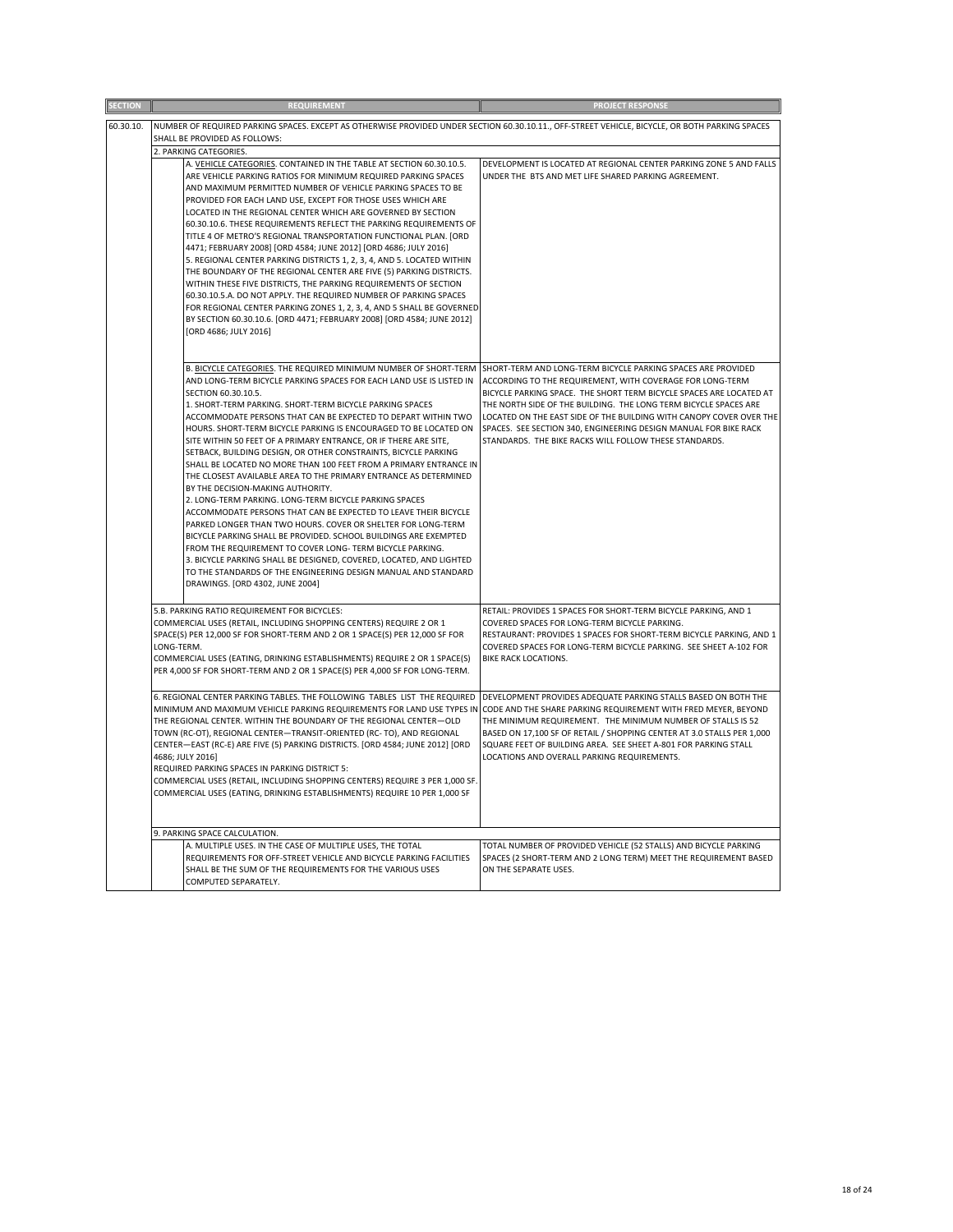|           | <b>REQUIREMENT</b>                                                                                                                                                                                                                                                                                                                                                                                                                                                                                                                                                                                                                                                                                                                                                                                                                                                                                                                                                                                                                                                                                                                                                                             | PROJECT RESPONSE                                                                                                                                                                                                                                                                                                                                                                                                                                                          |
|-----------|------------------------------------------------------------------------------------------------------------------------------------------------------------------------------------------------------------------------------------------------------------------------------------------------------------------------------------------------------------------------------------------------------------------------------------------------------------------------------------------------------------------------------------------------------------------------------------------------------------------------------------------------------------------------------------------------------------------------------------------------------------------------------------------------------------------------------------------------------------------------------------------------------------------------------------------------------------------------------------------------------------------------------------------------------------------------------------------------------------------------------------------------------------------------------------------------|---------------------------------------------------------------------------------------------------------------------------------------------------------------------------------------------------------------------------------------------------------------------------------------------------------------------------------------------------------------------------------------------------------------------------------------------------------------------------|
| 60.30.10. | NUMBER OF REQUIRED PARKING SPACES. EXCEPT AS OTHERWISE PROVIDED UNDER SECTION 60.30.10.11., OFF-STREET VEHICLE, BICYCLE, OR BOTH PARKING SPACES                                                                                                                                                                                                                                                                                                                                                                                                                                                                                                                                                                                                                                                                                                                                                                                                                                                                                                                                                                                                                                                |                                                                                                                                                                                                                                                                                                                                                                                                                                                                           |
|           | SHALL BE PROVIDED AS FOLLOWS:                                                                                                                                                                                                                                                                                                                                                                                                                                                                                                                                                                                                                                                                                                                                                                                                                                                                                                                                                                                                                                                                                                                                                                  |                                                                                                                                                                                                                                                                                                                                                                                                                                                                           |
|           | 2. PARKING CATEGORIES.                                                                                                                                                                                                                                                                                                                                                                                                                                                                                                                                                                                                                                                                                                                                                                                                                                                                                                                                                                                                                                                                                                                                                                         |                                                                                                                                                                                                                                                                                                                                                                                                                                                                           |
|           | A. VEHICLE CATEGORIES. CONTAINED IN THE TABLE AT SECTION 60.30.10.5.<br>ARE VEHICLE PARKING RATIOS FOR MINIMUM REQUIRED PARKING SPACES<br>AND MAXIMUM PERMITTED NUMBER OF VEHICLE PARKING SPACES TO BE<br>PROVIDED FOR EACH LAND USE, EXCEPT FOR THOSE USES WHICH ARE<br>LOCATED IN THE REGIONAL CENTER WHICH ARE GOVERNED BY SECTION<br>60.30.10.6. THESE REQUIREMENTS REFLECT THE PARKING REQUIREMENTS OF<br>TITLE 4 OF METRO'S REGIONAL TRANSPORTATION FUNCTIONAL PLAN. [ORD<br>4471; FEBRUARY 2008] [ORD 4584; JUNE 2012] [ORD 4686; JULY 2016]<br>5. REGIONAL CENTER PARKING DISTRICTS 1, 2, 3, 4, AND 5. LOCATED WITHIN<br>THE BOUNDARY OF THE REGIONAL CENTER ARE FIVE (5) PARKING DISTRICTS.<br>WITHIN THESE FIVE DISTRICTS, THE PARKING REQUIREMENTS OF SECTION<br>60.30.10.5.A. DO NOT APPLY. THE REQUIRED NUMBER OF PARKING SPACES<br>FOR REGIONAL CENTER PARKING ZONES 1, 2, 3, 4, AND 5 SHALL BE GOVERNED<br>BY SECTION 60.30.10.6. [ORD 4471; FEBRUARY 2008] [ORD 4584; JUNE 2012]<br>[ORD 4686; JULY 2016]                                                                                                                                                                      | DEVELOPMENT IS LOCATED AT REGIONAL CENTER PARKING ZONE 5 AND FALLS<br>UNDER THE BTS AND MET LIFE SHARED PARKING AGREEMENT.                                                                                                                                                                                                                                                                                                                                                |
|           | B. BICYCLE CATEGORIES. THE REQUIRED MINIMUM NUMBER OF SHORT-TERM<br>AND LONG-TERM BICYCLE PARKING SPACES FOR EACH LAND USE IS LISTED IN<br>SECTION 60.30.10.5.<br>1. SHORT-TERM PARKING. SHORT-TERM BICYCLE PARKING SPACES<br>ACCOMMODATE PERSONS THAT CAN BE EXPECTED TO DEPART WITHIN TWO<br>HOURS. SHORT-TERM BICYCLE PARKING IS ENCOURAGED TO BE LOCATED ON<br>SITE WITHIN 50 FEET OF A PRIMARY ENTRANCE, OR IF THERE ARE SITE,<br>SETBACK, BUILDING DESIGN, OR OTHER CONSTRAINTS, BICYCLE PARKING<br>SHALL BE LOCATED NO MORE THAN 100 FEET FROM A PRIMARY ENTRANCE IN<br>THE CLOSEST AVAILABLE AREA TO THE PRIMARY ENTRANCE AS DETERMINED<br>BY THE DECISION-MAKING AUTHORITY.<br>2. LONG-TERM PARKING. LONG-TERM BICYCLE PARKING SPACES<br>ACCOMMODATE PERSONS THAT CAN BE EXPECTED TO LEAVE THEIR BICYCLE<br>PARKED LONGER THAN TWO HOURS. COVER OR SHELTER FOR LONG-TERM<br>BICYCLE PARKING SHALL BE PROVIDED. SCHOOL BUILDINGS ARE EXEMPTED<br>FROM THE REQUIREMENT TO COVER LONG- TERM BICYCLE PARKING.<br>3. BICYCLE PARKING SHALL BE DESIGNED, COVERED, LOCATED, AND LIGHTED<br>TO THE STANDARDS OF THE ENGINEERING DESIGN MANUAL AND STANDARD<br>DRAWINGS. [ORD 4302, JUNE 2004] | SHORT-TERM AND LONG-TERM BICYCLE PARKING SPACES ARE PROVIDED<br>ACCORDING TO THE REQUIREMENT, WITH COVERAGE FOR LONG-TERM<br>BICYCLE PARKING SPACE. THE SHORT TERM BICYCLE SPACES ARE LOCATED AT<br>THE NORTH SIDE OF THE BUILDING. THE LONG TERM BICYCLE SPACES ARE<br>LOCATED ON THE EAST SIDE OF THE BUILDING WITH CANOPY COVER OVER THE<br>SPACES. SEE SECTION 340, ENGINEERING DESIGN MANUAL FOR BIKE RACK<br>STANDARDS. THE BIKE RACKS WILL FOLLOW THESE STANDARDS. |
|           | 5.B. PARKING RATIO REQUIREMENT FOR BICYCLES:<br>COMMERCIAL USES (RETAIL, INCLUDING SHOPPING CENTERS) REQUIRE 2 OR 1<br>SPACE(S) PER 12,000 SF FOR SHORT-TERM AND 2 OR 1 SPACE(S) PER 12,000 SF FOR<br>LONG-TERM.<br>COMMERCIAL USES (EATING, DRINKING ESTABLISHMENTS) REQUIRE 2 OR 1 SPACE(S)<br>PER 4,000 SF FOR SHORT-TERM AND 2 OR 1 SPACE(S) PER 4,000 SF FOR LONG-TERM.                                                                                                                                                                                                                                                                                                                                                                                                                                                                                                                                                                                                                                                                                                                                                                                                                   | RETAIL: PROVIDES 1 SPACES FOR SHORT-TERM BICYCLE PARKING, AND 1<br>COVERED SPACES FOR LONG-TERM BICYCLE PARKING.<br>RESTAURANT: PROVIDES 1 SPACES FOR SHORT-TERM BICYCLE PARKING, AND 1<br>COVERED SPACES FOR LONG-TERM BICYCLE PARKING. SEE SHEET A-102 FOR<br><b>BIKE RACK LOCATIONS.</b>                                                                                                                                                                               |
|           | 6. REGIONAL CENTER PARKING TABLES. THE FOLLOWING TABLES LIST THE REQUIRED<br>MINIMUM AND MAXIMUM VEHICLE PARKING REQUIREMENTS FOR LAND USE TYPES IN<br>THE REGIONAL CENTER. WITHIN THE BOUNDARY OF THE REGIONAL CENTER-OLD<br>TOWN (RC-OT), REGIONAL CENTER-TRANSIT-ORIENTED (RC- TO), AND REGIONAL<br>CENTER-EAST (RC-E) ARE FIVE (5) PARKING DISTRICTS. [ORD 4584; JUNE 2012] [ORD<br>4686; JULY 2016]<br>REQUIRED PARKING SPACES IN PARKING DISTRICT 5:<br>COMMERCIAL USES (RETAIL, INCLUDING SHOPPING CENTERS) REQUIRE 3 PER 1,000 SF.<br>COMMERCIAL USES (EATING, DRINKING ESTABLISHMENTS) REQUIRE 10 PER 1,000 SF                                                                                                                                                                                                                                                                                                                                                                                                                                                                                                                                                                        | DEVELOPMENT PROVIDES ADEQUATE PARKING STALLS BASED ON BOTH THE<br>CODE AND THE SHARE PARKING REQUIREMENT WITH FRED MEYER, BEYOND<br>THE MINIMUM REQUIREMENT. THE MINIMUM NUMBER OF STALLS IS 52<br>BASED ON 17,100 SF OF RETAIL / SHOPPING CENTER AT 3.0 STALLS PER 1,000<br>SQUARE FEET OF BUILDING AREA. SEE SHEET A-801 FOR PARKING STALL<br>LOCATIONS AND OVERALL PARKING REQUIREMENTS.                                                                               |
|           | 9. PARKING SPACE CALCULATION.                                                                                                                                                                                                                                                                                                                                                                                                                                                                                                                                                                                                                                                                                                                                                                                                                                                                                                                                                                                                                                                                                                                                                                  |                                                                                                                                                                                                                                                                                                                                                                                                                                                                           |
|           | A. MULTIPLE USES. IN THE CASE OF MULTIPLE USES, THE TOTAL<br>REQUIREMENTS FOR OFF-STREET VEHICLE AND BICYCLE PARKING FACILITIES<br>SHALL BE THE SUM OF THE REQUIREMENTS FOR THE VARIOUS USES<br>COMPUTED SEPARATELY.                                                                                                                                                                                                                                                                                                                                                                                                                                                                                                                                                                                                                                                                                                                                                                                                                                                                                                                                                                           | TOTAL NUMBER OF PROVIDED VEHICLE (52 STALLS) AND BICYCLE PARKING<br>SPACES (2 SHORT-TERM AND 2 LONG TERM) MEET THE REQUIREMENT BASED<br>ON THE SEPARATE USES.                                                                                                                                                                                                                                                                                                             |
|           |                                                                                                                                                                                                                                                                                                                                                                                                                                                                                                                                                                                                                                                                                                                                                                                                                                                                                                                                                                                                                                                                                                                                                                                                |                                                                                                                                                                                                                                                                                                                                                                                                                                                                           |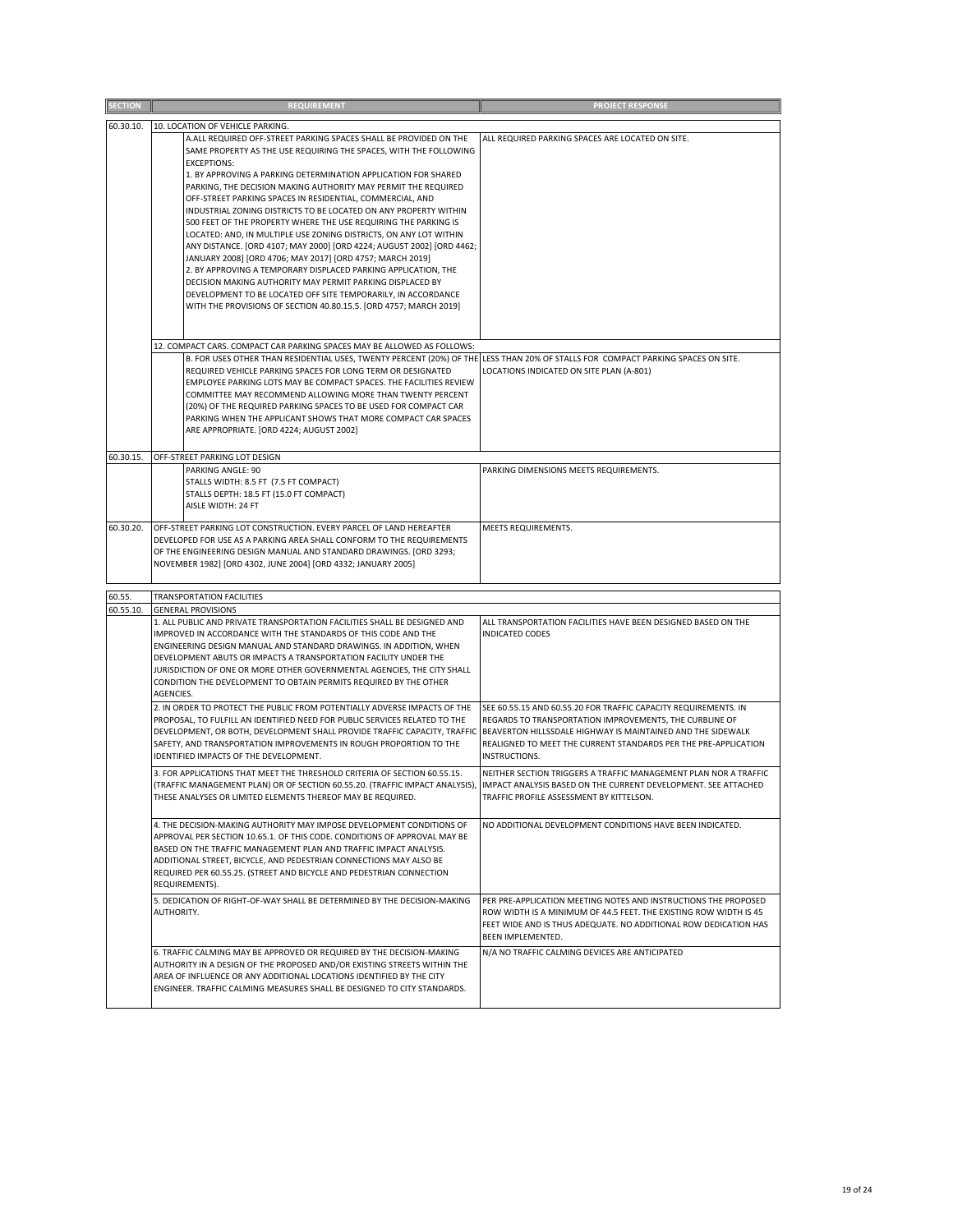| <b>SECTION</b> | <b>REQUIREMENT</b>                                                                                                                                                                              | <b>PROJECT RESPONSE</b>                                                                                                              |
|----------------|-------------------------------------------------------------------------------------------------------------------------------------------------------------------------------------------------|--------------------------------------------------------------------------------------------------------------------------------------|
| 60.30.10.      | 10. LOCATION OF VEHICLE PARKING.                                                                                                                                                                |                                                                                                                                      |
|                | A.ALL REQUIRED OFF-STREET PARKING SPACES SHALL BE PROVIDED ON THE<br>SAME PROPERTY AS THE USE REQUIRING THE SPACES, WITH THE FOLLOWING                                                          | ALL REQUIRED PARKING SPACES ARE LOCATED ON SITE.                                                                                     |
|                | <b>EXCEPTIONS:</b><br>1. BY APPROVING A PARKING DETERMINATION APPLICATION FOR SHARED                                                                                                            |                                                                                                                                      |
|                | PARKING, THE DECISION MAKING AUTHORITY MAY PERMIT THE REQUIRED                                                                                                                                  |                                                                                                                                      |
|                | OFF-STREET PARKING SPACES IN RESIDENTIAL, COMMERCIAL, AND<br>INDUSTRIAL ZONING DISTRICTS TO BE LOCATED ON ANY PROPERTY WITHIN                                                                   |                                                                                                                                      |
|                | 500 FEET OF THE PROPERTY WHERE THE USE REQUIRING THE PARKING IS<br>LOCATED: AND, IN MULTIPLE USE ZONING DISTRICTS, ON ANY LOT WITHIN                                                            |                                                                                                                                      |
|                | ANY DISTANCE. [ORD 4107; MAY 2000] [ORD 4224; AUGUST 2002] [ORD 4462;                                                                                                                           |                                                                                                                                      |
|                | JANUARY 2008] [ORD 4706; MAY 2017] [ORD 4757; MARCH 2019]<br>2. BY APPROVING A TEMPORARY DISPLACED PARKING APPLICATION, THE                                                                     |                                                                                                                                      |
|                | DECISION MAKING AUTHORITY MAY PERMIT PARKING DISPLACED BY<br>DEVELOPMENT TO BE LOCATED OFF SITE TEMPORARILY, IN ACCORDANCE                                                                      |                                                                                                                                      |
|                | WITH THE PROVISIONS OF SECTION 40.80.15.5. [ORD 4757; MARCH 2019]                                                                                                                               |                                                                                                                                      |
|                |                                                                                                                                                                                                 |                                                                                                                                      |
|                | 12. COMPACT CARS. COMPACT CAR PARKING SPACES MAY BE ALLOWED AS FOLLOWS:                                                                                                                         |                                                                                                                                      |
|                | B. FOR USES OTHER THAN RESIDENTIAL USES, TWENTY PERCENT (20%) OF THE LESS THAN 20% OF STALLS FOR COMPACT PARKING SPACES ON SITE.<br>REQUIRED VEHICLE PARKING SPACES FOR LONG TERM OR DESIGNATED | LOCATIONS INDICATED ON SITE PLAN (A-801)                                                                                             |
|                | EMPLOYEE PARKING LOTS MAY BE COMPACT SPACES. THE FACILITIES REVIEW<br>COMMITTEE MAY RECOMMEND ALLOWING MORE THAN TWENTY PERCENT                                                                 |                                                                                                                                      |
|                | (20%) OF THE REQUIRED PARKING SPACES TO BE USED FOR COMPACT CAR                                                                                                                                 |                                                                                                                                      |
|                | PARKING WHEN THE APPLICANT SHOWS THAT MORE COMPACT CAR SPACES<br>ARE APPROPRIATE. [ORD 4224; AUGUST 2002]                                                                                       |                                                                                                                                      |
| 60.30.15       | OFF-STREET PARKING LOT DESIGN                                                                                                                                                                   |                                                                                                                                      |
|                | PARKING ANGLE: 90                                                                                                                                                                               | PARKING DIMENSIONS MEETS REQUIREMENTS.                                                                                               |
|                | STALLS WIDTH: 8.5 FT (7.5 FT COMPACT)<br>STALLS DEPTH: 18.5 FT (15.0 FT COMPACT)                                                                                                                |                                                                                                                                      |
|                | AISLE WIDTH: 24 FT                                                                                                                                                                              |                                                                                                                                      |
| 60.30.20.      | OFF-STREET PARKING LOT CONSTRUCTION. EVERY PARCEL OF LAND HEREAFTER<br>DEVELOPED FOR USE AS A PARKING AREA SHALL CONFORM TO THE REQUIREMENTS                                                    | MEETS REQUIREMENTS.                                                                                                                  |
|                | OF THE ENGINEERING DESIGN MANUAL AND STANDARD DRAWINGS. [ORD 3293;                                                                                                                              |                                                                                                                                      |
|                | NOVEMBER 1982] [ORD 4302, JUNE 2004] [ORD 4332; JANUARY 2005]                                                                                                                                   |                                                                                                                                      |
| 60.55.         | TRANSPORTATION FACILITIES                                                                                                                                                                       |                                                                                                                                      |
| 60.55.10.      | <b>GENERAL PROVISIONS</b>                                                                                                                                                                       |                                                                                                                                      |
|                | 1. ALL PUBLIC AND PRIVATE TRANSPORTATION FACILITIES SHALL BE DESIGNED AND<br>IMPROVED IN ACCORDANCE WITH THE STANDARDS OF THIS CODE AND THE                                                     | ALL TRANSPORTATION FACILITIES HAVE BEEN DESIGNED BASED ON THE<br><b>INDICATED CODES</b>                                              |
|                | ENGINEERING DESIGN MANUAL AND STANDARD DRAWINGS. IN ADDITION, WHEN<br>DEVELOPMENT ABUTS OR IMPACTS A TRANSPORTATION FACILITY UNDER THE                                                          |                                                                                                                                      |
|                | JURISDICTION OF ONE OR MORE OTHER GOVERNMENTAL AGENCIES, THE CITY SHALL                                                                                                                         |                                                                                                                                      |
|                | CONDITION THE DEVELOPMENT TO OBTAIN PERMITS REQUIRED BY THE OTHER<br>AGENCIES.                                                                                                                  |                                                                                                                                      |
|                | 2. IN ORDER TO PROTECT THE PUBLIC FROM POTENTIALLY ADVERSE IMPACTS OF THE<br>PROPOSAL, TO FULFILL AN IDENTIFIED NEED FOR PUBLIC SERVICES RELATED TO THE                                         | SEE 60.55.15 AND 60.55.20 FOR TRAFFIC CAPACITY REQUIREMENTS. IN                                                                      |
|                | DEVELOPMENT, OR BOTH, DEVELOPMENT SHALL PROVIDE TRAFFIC CAPACITY, TRAFFIC                                                                                                                       | REGARDS TO TRANSPORTATION IMPROVEMENTS, THE CURBLINE OF<br>BEAVERTON HILLSSDALE HIGHWAY IS MAINTAINED AND THE SIDEWALK               |
|                | SAFETY, AND TRANSPORTATION IMPROVEMENTS IN ROUGH PROPORTION TO THE<br>IDENTIFIED IMPACTS OF THE DEVELOPMENT.                                                                                    | REALIGNED TO MEET THE CURRENT STANDARDS PER THE PRE-APPLICATION<br><b>INSTRUCTIONS.</b>                                              |
|                | 3. FOR APPLICATIONS THAT MEET THE THRESHOLD CRITERIA OF SECTION 60.55.15.                                                                                                                       | NEITHER SECTION TRIGGERS A TRAFFIC MANAGEMENT PLAN NOR A TRAFFIC                                                                     |
|                | (TRAFFIC MANAGEMENT PLAN) OR OF SECTION 60.55.20. (TRAFFIC IMPACT ANALYSIS),<br>THESE ANALYSES OR LIMITED ELEMENTS THEREOF MAY BE REQUIRED.                                                     | IMPACT ANALYSIS BASED ON THE CURRENT DEVELOPMENT. SEE ATTACHED<br>TRAFFIC PROFILE ASSESSMENT BY KITTELSON.                           |
|                | 4. THE DECISION-MAKING AUTHORITY MAY IMPOSE DEVELOPMENT CONDITIONS OF                                                                                                                           | NO ADDITIONAL DEVELOPMENT CONDITIONS HAVE BEEN INDICATED.                                                                            |
|                | APPROVAL PER SECTION 10.65.1. OF THIS CODE. CONDITIONS OF APPROVAL MAY BE                                                                                                                       |                                                                                                                                      |
|                | BASED ON THE TRAFFIC MANAGEMENT PLAN AND TRAFFIC IMPACT ANALYSIS.<br>ADDITIONAL STREET, BICYCLE, AND PEDESTRIAN CONNECTIONS MAY ALSO BE                                                         |                                                                                                                                      |
|                | REQUIRED PER 60.55.25. (STREET AND BICYCLE AND PEDESTRIAN CONNECTION<br>REQUIREMENTS).                                                                                                          |                                                                                                                                      |
|                | 5. DEDICATION OF RIGHT-OF-WAY SHALL BE DETERMINED BY THE DECISION-MAKING<br>AUTHORITY.                                                                                                          | PER PRE-APPLICATION MEETING NOTES AND INSTRUCTIONS THE PROPOSED<br>ROW WIDTH IS A MINIMUM OF 44.5 FEET. THE EXISTING ROW WIDTH IS 45 |
|                |                                                                                                                                                                                                 | FEET WIDE AND IS THUS ADEQUATE. NO ADDITIONAL ROW DEDICATION HAS<br>BEEN IMPLEMENTED.                                                |
|                | 6. TRAFFIC CALMING MAY BE APPROVED OR REQUIRED BY THE DECISION-MAKING                                                                                                                           | N/A NO TRAFFIC CALMING DEVICES ARE ANTICIPATED                                                                                       |
|                | AUTHORITY IN A DESIGN OF THE PROPOSED AND/OR EXISTING STREETS WITHIN THE<br>AREA OF INFLUENCE OR ANY ADDITIONAL LOCATIONS IDENTIFIED BY THE CITY                                                |                                                                                                                                      |
|                | ENGINEER. TRAFFIC CALMING MEASURES SHALL BE DESIGNED TO CITY STANDARDS.                                                                                                                         |                                                                                                                                      |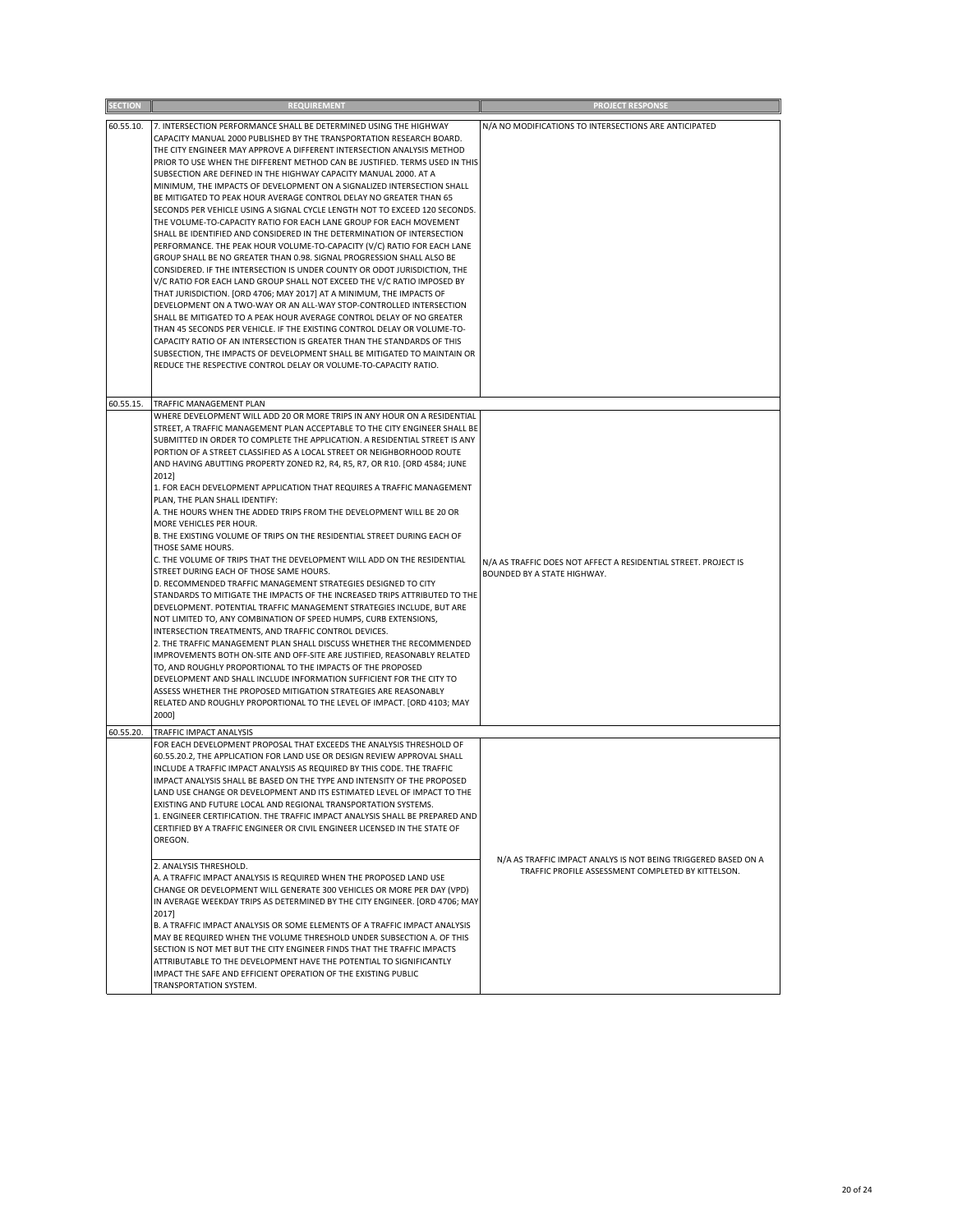| <b>SECTION</b> | <b>REQUIREMENT</b>                                                                                                                                                                                                                                                                                                                                                                                                                                                                                                                                                                                                                                                                                                                                                                                                                                                                                                                                                                                                                                                                                                                                                                                                                                                                                                                                                                                                                                                                                                                                                                                                                                   | <b>PROJECT RESPONSE</b>                                                                                              |
|----------------|------------------------------------------------------------------------------------------------------------------------------------------------------------------------------------------------------------------------------------------------------------------------------------------------------------------------------------------------------------------------------------------------------------------------------------------------------------------------------------------------------------------------------------------------------------------------------------------------------------------------------------------------------------------------------------------------------------------------------------------------------------------------------------------------------------------------------------------------------------------------------------------------------------------------------------------------------------------------------------------------------------------------------------------------------------------------------------------------------------------------------------------------------------------------------------------------------------------------------------------------------------------------------------------------------------------------------------------------------------------------------------------------------------------------------------------------------------------------------------------------------------------------------------------------------------------------------------------------------------------------------------------------------|----------------------------------------------------------------------------------------------------------------------|
| 60.55.10.      | 7. INTERSECTION PERFORMANCE SHALL BE DETERMINED USING THE HIGHWAY<br>CAPACITY MANUAL 2000 PUBLISHED BY THE TRANSPORTATION RESEARCH BOARD.<br>THE CITY ENGINEER MAY APPROVE A DIFFERENT INTERSECTION ANALYSIS METHOD<br>PRIOR TO USE WHEN THE DIFFERENT METHOD CAN BE JUSTIFIED. TERMS USED IN THIS<br>SUBSECTION ARE DEFINED IN THE HIGHWAY CAPACITY MANUAL 2000. AT A<br>MINIMUM, THE IMPACTS OF DEVELOPMENT ON A SIGNALIZED INTERSECTION SHALL<br>BE MITIGATED TO PEAK HOUR AVERAGE CONTROL DELAY NO GREATER THAN 65<br>SECONDS PER VEHICLE USING A SIGNAL CYCLE LENGTH NOT TO EXCEED 120 SECONDS.<br>THE VOLUME-TO-CAPACITY RATIO FOR EACH LANE GROUP FOR EACH MOVEMENT<br>SHALL BE IDENTIFIED AND CONSIDERED IN THE DETERMINATION OF INTERSECTION<br>PERFORMANCE. THE PEAK HOUR VOLUME-TO-CAPACITY (V/C) RATIO FOR EACH LANE<br>GROUP SHALL BE NO GREATER THAN 0.98. SIGNAL PROGRESSION SHALL ALSO BE<br>CONSIDERED. IF THE INTERSECTION IS UNDER COUNTY OR ODOT JURISDICTION, THE<br>V/C RATIO FOR EACH LAND GROUP SHALL NOT EXCEED THE V/C RATIO IMPOSED BY<br>THAT JURISDICTION. [ORD 4706; MAY 2017] AT A MINIMUM, THE IMPACTS OF<br>DEVELOPMENT ON A TWO-WAY OR AN ALL-WAY STOP-CONTROLLED INTERSECTION<br>SHALL BE MITIGATED TO A PEAK HOUR AVERAGE CONTROL DELAY OF NO GREATER<br>THAN 45 SECONDS PER VEHICLE. IF THE EXISTING CONTROL DELAY OR VOLUME-TO-<br>CAPACITY RATIO OF AN INTERSECTION IS GREATER THAN THE STANDARDS OF THIS<br>SUBSECTION, THE IMPACTS OF DEVELOPMENT SHALL BE MITIGATED TO MAINTAIN OR<br>REDUCE THE RESPECTIVE CONTROL DELAY OR VOLUME-TO-CAPACITY RATIO.                                                     | N/A NO MODIFICATIONS TO INTERSECTIONS ARE ANTICIPATED                                                                |
| 60.55.15.      | TRAFFIC MANAGEMENT PLAN                                                                                                                                                                                                                                                                                                                                                                                                                                                                                                                                                                                                                                                                                                                                                                                                                                                                                                                                                                                                                                                                                                                                                                                                                                                                                                                                                                                                                                                                                                                                                                                                                              |                                                                                                                      |
|                | WHERE DEVELOPMENT WILL ADD 20 OR MORE TRIPS IN ANY HOUR ON A RESIDENTIAL<br>STREET, A TRAFFIC MANAGEMENT PLAN ACCEPTABLE TO THE CITY ENGINEER SHALL BE<br>SUBMITTED IN ORDER TO COMPLETE THE APPLICATION. A RESIDENTIAL STREET IS ANY<br>PORTION OF A STREET CLASSIFIED AS A LOCAL STREET OR NEIGHBORHOOD ROUTE<br>AND HAVING ABUTTING PROPERTY ZONED R2, R4, R5, R7, OR R10. [ORD 4584; JUNE<br>2012]<br>1. FOR EACH DEVELOPMENT APPLICATION THAT REQUIRES A TRAFFIC MANAGEMENT<br>PLAN, THE PLAN SHALL IDENTIFY:<br>A. THE HOURS WHEN THE ADDED TRIPS FROM THE DEVELOPMENT WILL BE 20 OR<br>MORE VEHICLES PER HOUR.<br>B. THE EXISTING VOLUME OF TRIPS ON THE RESIDENTIAL STREET DURING EACH OF<br>THOSE SAME HOURS.<br>C. THE VOLUME OF TRIPS THAT THE DEVELOPMENT WILL ADD ON THE RESIDENTIAL<br>STREET DURING EACH OF THOSE SAME HOURS.<br>D. RECOMMENDED TRAFFIC MANAGEMENT STRATEGIES DESIGNED TO CITY<br>STANDARDS TO MITIGATE THE IMPACTS OF THE INCREASED TRIPS ATTRIBUTED TO THE<br>DEVELOPMENT. POTENTIAL TRAFFIC MANAGEMENT STRATEGIES INCLUDE, BUT ARE<br>NOT LIMITED TO, ANY COMBINATION OF SPEED HUMPS, CURB EXTENSIONS,<br>INTERSECTION TREATMENTS, AND TRAFFIC CONTROL DEVICES.<br>2. THE TRAFFIC MANAGEMENT PLAN SHALL DISCUSS WHETHER THE RECOMMENDED<br>IMPROVEMENTS BOTH ON-SITE AND OFF-SITE ARE JUSTIFIED, REASONABLY RELATED<br>TO, AND ROUGHLY PROPORTIONAL TO THE IMPACTS OF THE PROPOSED<br>DEVELOPMENT AND SHALL INCLUDE INFORMATION SUFFICIENT FOR THE CITY TO<br>ASSESS WHETHER THE PROPOSED MITIGATION STRATEGIES ARE REASONABLY<br>RELATED AND ROUGHLY PROPORTIONAL TO THE LEVEL OF IMPACT. [ORD 4103; MAY<br>2000] | N/A AS TRAFFIC DOES NOT AFFECT A RESIDENTIAL STREET. PROJECT IS<br>BOUNDED BY A STATE HIGHWAY.                       |
| 60.55.20.      | TRAFFIC IMPACT ANALYSIS<br>FOR EACH DEVELOPMENT PROPOSAL THAT EXCEEDS THE ANALYSIS THRESHOLD OF                                                                                                                                                                                                                                                                                                                                                                                                                                                                                                                                                                                                                                                                                                                                                                                                                                                                                                                                                                                                                                                                                                                                                                                                                                                                                                                                                                                                                                                                                                                                                      |                                                                                                                      |
|                | 60.55.20.2, THE APPLICATION FOR LAND USE OR DESIGN REVIEW APPROVAL SHALL<br>INCLUDE A TRAFFIC IMPACT ANALYSIS AS REQUIRED BY THIS CODE. THE TRAFFIC<br>IMPACT ANALYSIS SHALL BE BASED ON THE TYPE AND INTENSITY OF THE PROPOSED<br>LAND USE CHANGE OR DEVELOPMENT AND ITS ESTIMATED LEVEL OF IMPACT TO THE<br>EXISTING AND FUTURE LOCAL AND REGIONAL TRANSPORTATION SYSTEMS.<br>1. ENGINEER CERTIFICATION. THE TRAFFIC IMPACT ANALYSIS SHALL BE PREPARED AND<br>CERTIFIED BY A TRAFFIC ENGINEER OR CIVIL ENGINEER LICENSED IN THE STATE OF<br>OREGON.<br>2. ANALYSIS THRESHOLD.<br>A. A TRAFFIC IMPACT ANALYSIS IS REQUIRED WHEN THE PROPOSED LAND USE<br>CHANGE OR DEVELOPMENT WILL GENERATE 300 VEHICLES OR MORE PER DAY (VPD)<br>IN AVERAGE WEEKDAY TRIPS AS DETERMINED BY THE CITY ENGINEER. [ORD 4706; MAY<br>2017]<br>B. A TRAFFIC IMPACT ANALYSIS OR SOME ELEMENTS OF A TRAFFIC IMPACT ANALYSIS<br>MAY BE REQUIRED WHEN THE VOLUME THRESHOLD UNDER SUBSECTION A. OF THIS<br>SECTION IS NOT MET BUT THE CITY ENGINEER FINDS THAT THE TRAFFIC IMPACTS<br>ATTRIBUTABLE TO THE DEVELOPMENT HAVE THE POTENTIAL TO SIGNIFICANTLY<br>IMPACT THE SAFE AND EFFICIENT OPERATION OF THE EXISTING PUBLIC<br>TRANSPORTATION SYSTEM.                                                                                                                                                                                                                                                                                                                                                                                                                        | N/A AS TRAFFIC IMPACT ANALYS IS NOT BEING TRIGGERED BASED ON A<br>TRAFFIC PROFILE ASSESSMENT COMPLETED BY KITTELSON. |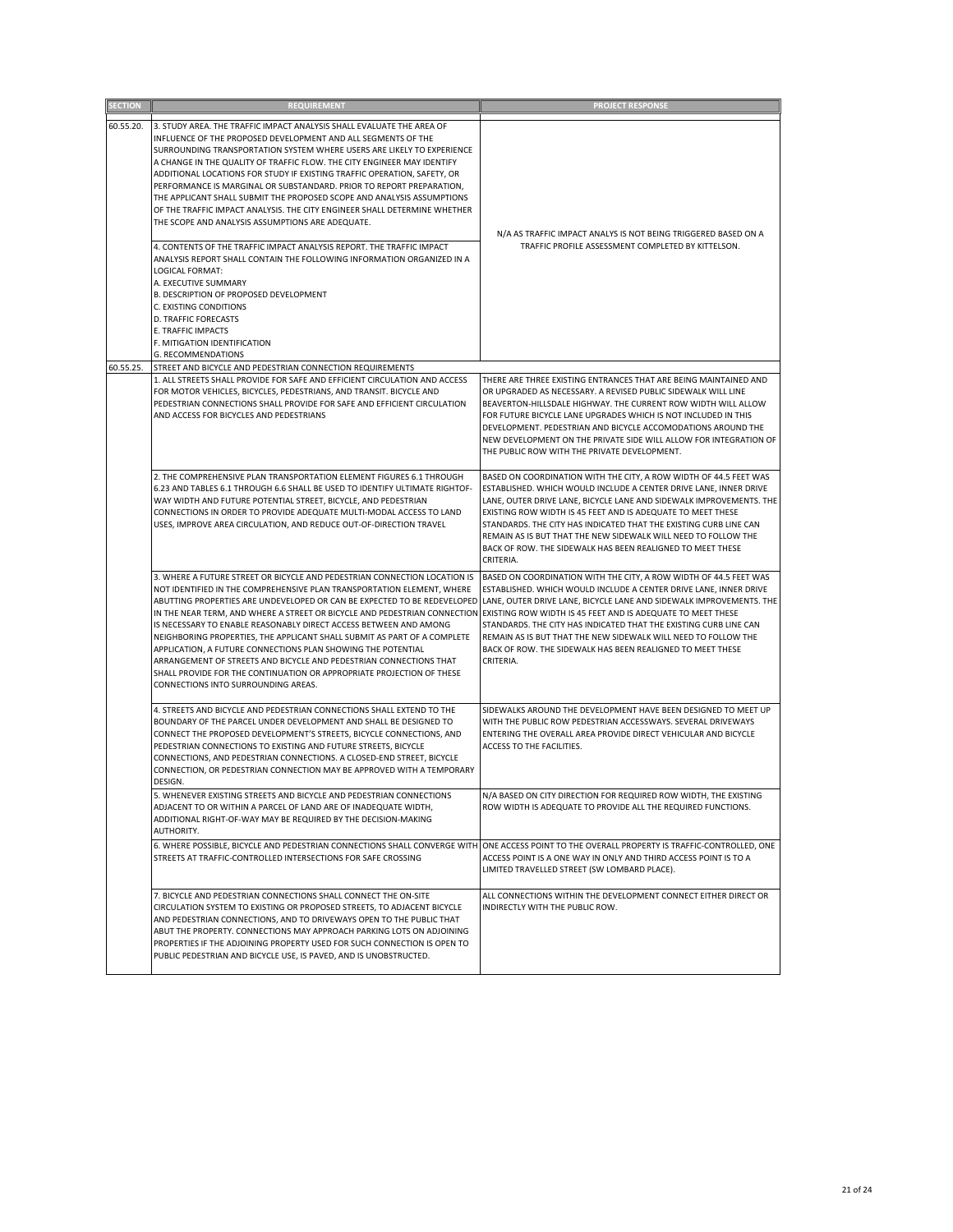| <b>SECTION</b> | <b>REQUIREMENT</b>                                                                                                                                                                                                                                                                                                                                                                                                                                                                                                                                                                                                                                                                                                                                                                                                                                                                                                                                                                                                                             | <b>PROJECT RESPONSE</b>                                                                                                                                                                                                                                                                                                                                                                                                                                                                        |
|----------------|------------------------------------------------------------------------------------------------------------------------------------------------------------------------------------------------------------------------------------------------------------------------------------------------------------------------------------------------------------------------------------------------------------------------------------------------------------------------------------------------------------------------------------------------------------------------------------------------------------------------------------------------------------------------------------------------------------------------------------------------------------------------------------------------------------------------------------------------------------------------------------------------------------------------------------------------------------------------------------------------------------------------------------------------|------------------------------------------------------------------------------------------------------------------------------------------------------------------------------------------------------------------------------------------------------------------------------------------------------------------------------------------------------------------------------------------------------------------------------------------------------------------------------------------------|
| 60.55.20.      | 3. STUDY AREA. THE TRAFFIC IMPACT ANALYSIS SHALL EVALUATE THE AREA OF<br>INFLUENCE OF THE PROPOSED DEVELOPMENT AND ALL SEGMENTS OF THE<br>SURROUNDING TRANSPORTATION SYSTEM WHERE USERS ARE LIKELY TO EXPERIENCE<br>A CHANGE IN THE QUALITY OF TRAFFIC FLOW. THE CITY ENGINEER MAY IDENTIFY<br>ADDITIONAL LOCATIONS FOR STUDY IF EXISTING TRAFFIC OPERATION, SAFETY, OR<br>PERFORMANCE IS MARGINAL OR SUBSTANDARD. PRIOR TO REPORT PREPARATION,<br>THE APPLICANT SHALL SUBMIT THE PROPOSED SCOPE AND ANALYSIS ASSUMPTIONS<br>OF THE TRAFFIC IMPACT ANALYSIS. THE CITY ENGINEER SHALL DETERMINE WHETHER<br>THE SCOPE AND ANALYSIS ASSUMPTIONS ARE ADEQUATE.<br>4. CONTENTS OF THE TRAFFIC IMPACT ANALYSIS REPORT. THE TRAFFIC IMPACT<br>ANALYSIS REPORT SHALL CONTAIN THE FOLLOWING INFORMATION ORGANIZED IN A<br><b>LOGICAL FORMAT:</b><br>A. EXECUTIVE SUMMARY<br>B. DESCRIPTION OF PROPOSED DEVELOPMENT<br>C. EXISTING CONDITIONS<br><b>D. TRAFFIC FORECASTS</b><br>E. TRAFFIC IMPACTS<br>F. MITIGATION IDENTIFICATION<br>G. RECOMMENDATIONS | N/A AS TRAFFIC IMPACT ANALYS IS NOT BEING TRIGGERED BASED ON A<br>TRAFFIC PROFILE ASSESSMENT COMPLETED BY KITTELSON.                                                                                                                                                                                                                                                                                                                                                                           |
| 60.55.25.      | STREET AND BICYCLE AND PEDESTRIAN CONNECTION REQUIREMENTS<br>1. ALL STREETS SHALL PROVIDE FOR SAFE AND EFFICIENT CIRCULATION AND ACCESS<br>FOR MOTOR VEHICLES, BICYCLES, PEDESTRIANS, AND TRANSIT. BICYCLE AND<br>PEDESTRIAN CONNECTIONS SHALL PROVIDE FOR SAFE AND EFFICIENT CIRCULATION<br>AND ACCESS FOR BICYCLES AND PEDESTRIANS                                                                                                                                                                                                                                                                                                                                                                                                                                                                                                                                                                                                                                                                                                           | THERE ARE THREE EXISTING ENTRANCES THAT ARE BEING MAINTAINED AND<br>OR UPGRADED AS NECESSARY. A REVISED PUBLIC SIDEWALK WILL LINE<br>BEAVERTON-HILLSDALE HIGHWAY. THE CURRENT ROW WIDTH WILL ALLOW<br>FOR FUTURE BICYCLE LANE UPGRADES WHICH IS NOT INCLUDED IN THIS<br>DEVELOPMENT. PEDESTRIAN AND BICYCLE ACCOMODATIONS AROUND THE<br>NEW DEVELOPMENT ON THE PRIVATE SIDE WILL ALLOW FOR INTEGRATION OF<br>THE PUBLIC ROW WITH THE PRIVATE DEVELOPMENT.                                      |
|                | 2. THE COMPREHENSIVE PLAN TRANSPORTATION ELEMENT FIGURES 6.1 THROUGH<br>6.23 AND TABLES 6.1 THROUGH 6.6 SHALL BE USED TO IDENTIFY ULTIMATE RIGHTOF-<br>WAY WIDTH AND FUTURE POTENTIAL STREET, BICYCLE, AND PEDESTRIAN<br>CONNECTIONS IN ORDER TO PROVIDE ADEQUATE MULTI-MODAL ACCESS TO LAND<br>USES, IMPROVE AREA CIRCULATION, AND REDUCE OUT-OF-DIRECTION TRAVEL                                                                                                                                                                                                                                                                                                                                                                                                                                                                                                                                                                                                                                                                             | BASED ON COORDINATION WITH THE CITY, A ROW WIDTH OF 44.5 FEET WAS<br>ESTABLISHED. WHICH WOULD INCLUDE A CENTER DRIVE LANE, INNER DRIVE<br>LANE, OUTER DRIVE LANE, BICYCLE LANE AND SIDEWALK IMPROVEMENTS. THE<br>EXISTING ROW WIDTH IS 45 FEET AND IS ADEQUATE TO MEET THESE<br>STANDARDS. THE CITY HAS INDICATED THAT THE EXISTING CURB LINE CAN<br>REMAIN AS IS BUT THAT THE NEW SIDEWALK WILL NEED TO FOLLOW THE<br>BACK OF ROW. THE SIDEWALK HAS BEEN REALIGNED TO MEET THESE<br>CRITERIA. |
|                | 3. WHERE A FUTURE STREET OR BICYCLE AND PEDESTRIAN CONNECTION LOCATION IS<br>NOT IDENTIFIED IN THE COMPREHENSIVE PLAN TRANSPORTATION ELEMENT, WHERE<br>ABUTTING PROPERTIES ARE UNDEVELOPED OR CAN BE EXPECTED TO BE REDEVELOPED LANE, OUTER DRIVE LANE, BICYCLE LANE AND SIDEWALK IMPROVEMENTS. THE<br>IN THE NEAR TERM, AND WHERE A STREET OR BICYCLE AND PEDESTRIAN CONNECTION EXISTING ROW WIDTH IS 45 FEET AND IS ADEQUATE TO MEET THESE<br>IS NECESSARY TO ENABLE REASONABLY DIRECT ACCESS BETWEEN AND AMONG<br>NEIGHBORING PROPERTIES, THE APPLICANT SHALL SUBMIT AS PART OF A COMPLETE<br>APPLICATION, A FUTURE CONNECTIONS PLAN SHOWING THE POTENTIAL<br>ARRANGEMENT OF STREETS AND BICYCLE AND PEDESTRIAN CONNECTIONS THAT<br>SHALL PROVIDE FOR THE CONTINUATION OR APPROPRIATE PROJECTION OF THESE<br>CONNECTIONS INTO SURROUNDING AREAS.                                                                                                                                                                                            | BASED ON COORDINATION WITH THE CITY, A ROW WIDTH OF 44.5 FEET WAS<br>ESTABLISHED. WHICH WOULD INCLUDE A CENTER DRIVE LANE, INNER DRIVE<br>STANDARDS. THE CITY HAS INDICATED THAT THE EXISTING CURB LINE CAN<br>REMAIN AS IS BUT THAT THE NEW SIDEWALK WILL NEED TO FOLLOW THE<br>BACK OF ROW. THE SIDEWALK HAS BEEN REALIGNED TO MEET THESE<br>CRITERIA.                                                                                                                                       |
|                | 4. STREETS AND BICYCLE AND PEDESTRIAN CONNECTIONS SHALL EXTEND TO THE<br>BOUNDARY OF THE PARCEL UNDER DEVELOPMENT AND SHALL BE DESIGNED TO<br>CONNECT THE PROPOSED DEVELOPMENT'S STREETS, BICYCLE CONNECTIONS, AND<br>PEDESTRIAN CONNECTIONS TO EXISTING AND FUTURE STREETS, BICYCLE<br>CONNECTIONS, AND PEDESTRIAN CONNECTIONS. A CLOSED-END STREET, BICYCLE<br>CONNECTION, OR PEDESTRIAN CONNECTION MAY BE APPROVED WITH A TEMPORARY<br>DESIGN.                                                                                                                                                                                                                                                                                                                                                                                                                                                                                                                                                                                              | SIDEWALKS AROUND THE DEVELOPMENT HAVE BEEN DESIGNED TO MEET UP<br>WITH THE PUBLIC ROW PEDESTRIAN ACCESSWAYS. SEVERAL DRIVEWAYS<br>ENTERING THE OVERALL AREA PROVIDE DIRECT VEHICULAR AND BICYCLE<br>ACCESS TO THE FACILITIES.                                                                                                                                                                                                                                                                  |
|                | 5. WHENEVER EXISTING STREETS AND BICYCLE AND PEDESTRIAN CONNECTIONS<br>ADJACENT TO OR WITHIN A PARCEL OF LAND ARE OF INADEQUATE WIDTH,<br>ADDITIONAL RIGHT-OF-WAY MAY BE REQUIRED BY THE DECISION-MAKING<br>AUTHORITY.                                                                                                                                                                                                                                                                                                                                                                                                                                                                                                                                                                                                                                                                                                                                                                                                                         | N/A BASED ON CITY DIRECTION FOR REQUIRED ROW WIDTH, THE EXISTING<br>ROW WIDTH IS ADEQUATE TO PROVIDE ALL THE REQUIRED FUNCTIONS.                                                                                                                                                                                                                                                                                                                                                               |
|                | 6. WHERE POSSIBLE, BICYCLE AND PEDESTRIAN CONNECTIONS SHALL CONVERGE WITH ONE ACCESS POINT TO THE OVERALL PROPERTY IS TRAFFIC-CONTROLLED, ONE<br>STREETS AT TRAFFIC-CONTROLLED INTERSECTIONS FOR SAFE CROSSING                                                                                                                                                                                                                                                                                                                                                                                                                                                                                                                                                                                                                                                                                                                                                                                                                                 | ACCESS POINT IS A ONE WAY IN ONLY AND THIRD ACCESS POINT IS TO A<br>LIMITED TRAVELLED STREET (SW LOMBARD PLACE).                                                                                                                                                                                                                                                                                                                                                                               |
|                | 7. BICYCLE AND PEDESTRIAN CONNECTIONS SHALL CONNECT THE ON-SITE<br>CIRCULATION SYSTEM TO EXISTING OR PROPOSED STREETS, TO ADJACENT BICYCLE<br>AND PEDESTRIAN CONNECTIONS, AND TO DRIVEWAYS OPEN TO THE PUBLIC THAT<br>ABUT THE PROPERTY. CONNECTIONS MAY APPROACH PARKING LOTS ON ADJOINING<br>PROPERTIES IF THE ADJOINING PROPERTY USED FOR SUCH CONNECTION IS OPEN TO<br>PUBLIC PEDESTRIAN AND BICYCLE USE, IS PAVED, AND IS UNOBSTRUCTED.                                                                                                                                                                                                                                                                                                                                                                                                                                                                                                                                                                                                   | ALL CONNECTIONS WITHIN THE DEVELOPMENT CONNECT EITHER DIRECT OR<br>INDIRECTLY WITH THE PUBLIC ROW.                                                                                                                                                                                                                                                                                                                                                                                             |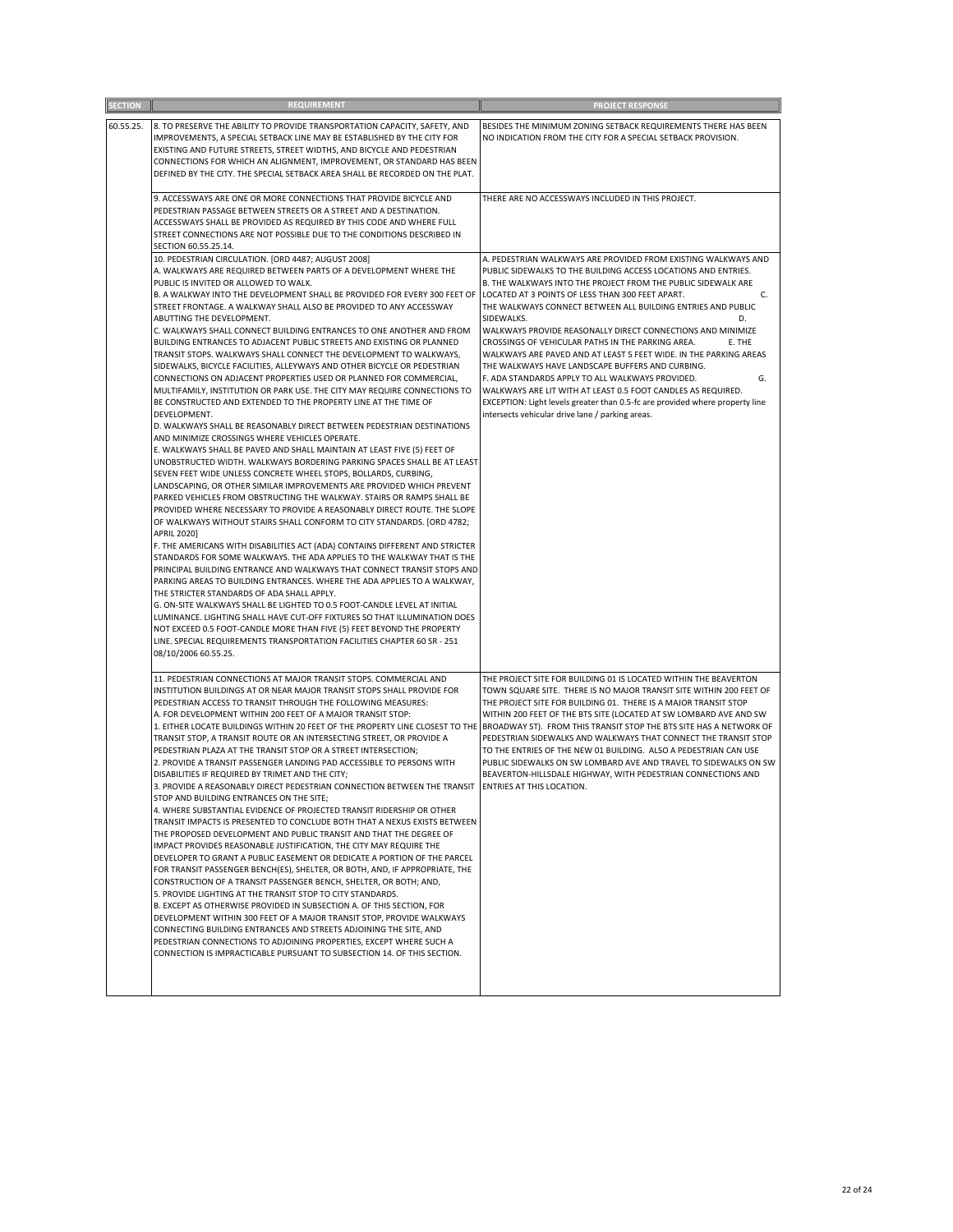| <b>SECTION</b> | <b>REQUIREMENT</b>                                                                                                                                                                                                                                                                                                                                                                                                                                                                                                                                                                                                                                                                                                                                                                                                                                                                                                                                                                                                                                                                                                                                                                                                                                                                                                                                                                                                                                                                                                                                                                                                                                                                                                                                                                                                                                                                                                                                                                                                                                                                                                                                                                                                                                                                    | <b>PROJECT RESPONSE</b>                                                                                                                                                                                                                                                                                                                                                                                                                                                                                                                                                                                                                                                                                                                                                                                                                                              |
|----------------|---------------------------------------------------------------------------------------------------------------------------------------------------------------------------------------------------------------------------------------------------------------------------------------------------------------------------------------------------------------------------------------------------------------------------------------------------------------------------------------------------------------------------------------------------------------------------------------------------------------------------------------------------------------------------------------------------------------------------------------------------------------------------------------------------------------------------------------------------------------------------------------------------------------------------------------------------------------------------------------------------------------------------------------------------------------------------------------------------------------------------------------------------------------------------------------------------------------------------------------------------------------------------------------------------------------------------------------------------------------------------------------------------------------------------------------------------------------------------------------------------------------------------------------------------------------------------------------------------------------------------------------------------------------------------------------------------------------------------------------------------------------------------------------------------------------------------------------------------------------------------------------------------------------------------------------------------------------------------------------------------------------------------------------------------------------------------------------------------------------------------------------------------------------------------------------------------------------------------------------------------------------------------------------|----------------------------------------------------------------------------------------------------------------------------------------------------------------------------------------------------------------------------------------------------------------------------------------------------------------------------------------------------------------------------------------------------------------------------------------------------------------------------------------------------------------------------------------------------------------------------------------------------------------------------------------------------------------------------------------------------------------------------------------------------------------------------------------------------------------------------------------------------------------------|
| 60.55.25.      | 8. TO PRESERVE THE ABILITY TO PROVIDE TRANSPORTATION CAPACITY, SAFETY, AND<br>IMPROVEMENTS, A SPECIAL SETBACK LINE MAY BE ESTABLISHED BY THE CITY FOR<br>EXISTING AND FUTURE STREETS, STREET WIDTHS, AND BICYCLE AND PEDESTRIAN<br>CONNECTIONS FOR WHICH AN ALIGNMENT, IMPROVEMENT, OR STANDARD HAS BEEN<br>DEFINED BY THE CITY. THE SPECIAL SETBACK AREA SHALL BE RECORDED ON THE PLAT.                                                                                                                                                                                                                                                                                                                                                                                                                                                                                                                                                                                                                                                                                                                                                                                                                                                                                                                                                                                                                                                                                                                                                                                                                                                                                                                                                                                                                                                                                                                                                                                                                                                                                                                                                                                                                                                                                              | BESIDES THE MINIMUM ZONING SETBACK REQUIREMENTS THERE HAS BEEN<br>NO INDICATION FROM THE CITY FOR A SPECIAL SETBACK PROVISION.                                                                                                                                                                                                                                                                                                                                                                                                                                                                                                                                                                                                                                                                                                                                       |
|                | 9. ACCESSWAYS ARE ONE OR MORE CONNECTIONS THAT PROVIDE BICYCLE AND<br>PEDESTRIAN PASSAGE BETWEEN STREETS OR A STREET AND A DESTINATION.<br>ACCESSWAYS SHALL BE PROVIDED AS REQUIRED BY THIS CODE AND WHERE FULL<br>STREET CONNECTIONS ARE NOT POSSIBLE DUE TO THE CONDITIONS DESCRIBED IN<br>SECTION 60.55.25.14.                                                                                                                                                                                                                                                                                                                                                                                                                                                                                                                                                                                                                                                                                                                                                                                                                                                                                                                                                                                                                                                                                                                                                                                                                                                                                                                                                                                                                                                                                                                                                                                                                                                                                                                                                                                                                                                                                                                                                                     | THERE ARE NO ACCESSWAYS INCLUDED IN THIS PROJECT.                                                                                                                                                                                                                                                                                                                                                                                                                                                                                                                                                                                                                                                                                                                                                                                                                    |
|                | 10. PEDESTRIAN CIRCULATION. [ORD 4487; AUGUST 2008]<br>A. WALKWAYS ARE REQUIRED BETWEEN PARTS OF A DEVELOPMENT WHERE THE<br>PUBLIC IS INVITED OR ALLOWED TO WALK.<br>B. A WALKWAY INTO THE DEVELOPMENT SHALL BE PROVIDED FOR EVERY 300 FEET OF<br>STREET FRONTAGE. A WALKWAY SHALL ALSO BE PROVIDED TO ANY ACCESSWAY<br>ABUTTING THE DEVELOPMENT.<br>C. WALKWAYS SHALL CONNECT BUILDING ENTRANCES TO ONE ANOTHER AND FROM<br>BUILDING ENTRANCES TO ADJACENT PUBLIC STREETS AND EXISTING OR PLANNED<br>TRANSIT STOPS. WALKWAYS SHALL CONNECT THE DEVELOPMENT TO WALKWAYS,<br>SIDEWALKS, BICYCLE FACILITIES, ALLEYWAYS AND OTHER BICYCLE OR PEDESTRIAN<br>CONNECTIONS ON ADJACENT PROPERTIES USED OR PLANNED FOR COMMERCIAL,<br>MULTIFAMILY, INSTITUTION OR PARK USE. THE CITY MAY REQUIRE CONNECTIONS TO<br>BE CONSTRUCTED AND EXTENDED TO THE PROPERTY LINE AT THE TIME OF<br>DEVELOPMENT.<br>D. WALKWAYS SHALL BE REASONABLY DIRECT BETWEEN PEDESTRIAN DESTINATIONS<br>AND MINIMIZE CROSSINGS WHERE VEHICLES OPERATE.<br>E. WALKWAYS SHALL BE PAVED AND SHALL MAINTAIN AT LEAST FIVE (5) FEET OF<br>UNOBSTRUCTED WIDTH. WALKWAYS BORDERING PARKING SPACES SHALL BE AT LEAST<br>SEVEN FEET WIDE UNLESS CONCRETE WHEEL STOPS, BOLLARDS, CURBING,<br>LANDSCAPING, OR OTHER SIMILAR IMPROVEMENTS ARE PROVIDED WHICH PREVENT<br>PARKED VEHICLES FROM OBSTRUCTING THE WALKWAY. STAIRS OR RAMPS SHALL BE<br>PROVIDED WHERE NECESSARY TO PROVIDE A REASONABLY DIRECT ROUTE. THE SLOPE<br>OF WALKWAYS WITHOUT STAIRS SHALL CONFORM TO CITY STANDARDS. [ORD 4782;<br><b>APRIL 2020]</b><br>F. THE AMERICANS WITH DISABILITIES ACT (ADA) CONTAINS DIFFERENT AND STRICTER<br>STANDARDS FOR SOME WALKWAYS. THE ADA APPLIES TO THE WALKWAY THAT IS THE<br>PRINCIPAL BUILDING ENTRANCE AND WALKWAYS THAT CONNECT TRANSIT STOPS AND<br>PARKING AREAS TO BUILDING ENTRANCES. WHERE THE ADA APPLIES TO A WALKWAY,<br>THE STRICTER STANDARDS OF ADA SHALL APPLY.<br>G. ON-SITE WALKWAYS SHALL BE LIGHTED TO 0.5 FOOT-CANDLE LEVEL AT INITIAL<br>LUMINANCE. LIGHTING SHALL HAVE CUT-OFF FIXTURES SO THAT ILLUMINATION DOES<br>NOT EXCEED 0.5 FOOT-CANDLE MORE THAN FIVE (5) FEET BEYOND THE PROPERTY<br>LINE. SPECIAL REQUIREMENTS TRANSPORTATION FACILITIES CHAPTER 60 SR - 251<br>08/10/2006 60.55.25. | A. PEDESTRIAN WALKWAYS ARE PROVIDED FROM EXISTING WALKWAYS AND<br>PUBLIC SIDEWALKS TO THE BUILDING ACCESS LOCATIONS AND ENTRIES.<br>B. THE WALKWAYS INTO THE PROJECT FROM THE PUBLIC SIDEWALK ARE<br>LOCATED AT 3 POINTS OF LESS THAN 300 FEET APART.<br>C.<br>THE WALKWAYS CONNECT BETWEEN ALL BUILDING ENTRIES AND PUBLIC<br>SIDEWALKS.<br>D.<br>WALKWAYS PROVIDE REASONALLY DIRECT CONNECTIONS AND MINIMIZE<br>CROSSINGS OF VEHICULAR PATHS IN THE PARKING AREA.<br>E. THE<br>WALKWAYS ARE PAVED AND AT LEAST 5 FEET WIDE. IN THE PARKING AREAS<br>THE WALKWAYS HAVE LANDSCAPE BUFFERS AND CURBING.<br>F. ADA STANDARDS APPLY TO ALL WALKWAYS PROVIDED.<br>G.<br>WALKWAYS ARE LIT WITH AT LEAST 0.5 FOOT CANDLES AS REQUIRED.<br>EXCEPTION: Light levels greater than 0.5-fc are provided where property line<br>intersects vehicular drive lane / parking areas. |
|                | 11. PEDESTRIAN CONNECTIONS AT MAJOR TRANSIT STOPS. COMMERCIAL AND<br>INSTITUTION BUILDINGS AT OR NEAR MAJOR TRANSIT STOPS SHALL PROVIDE FOR<br>PEDESTRIAN ACCESS TO TRANSIT THROUGH THE FOLLOWING MEASURES:<br>A. FOR DEVELOPMENT WITHIN 200 FEET OF A MAJOR TRANSIT STOP:<br>1. EITHER LOCATE BUILDINGS WITHIN 20 FEET OF THE PROPERTY LINE CLOSEST TO THE BROADWAY ST). FROM THIS TRANSIT STOP THE BTS SITE HAS A NETWORK OF<br>TRANSIT STOP, A TRANSIT ROUTE OR AN INTERSECTING STREET, OR PROVIDE A<br>PEDESTRIAN PLAZA AT THE TRANSIT STOP OR A STREET INTERSECTION;<br>2. PROVIDE A TRANSIT PASSENGER LANDING PAD ACCESSIBLE TO PERSONS WITH<br>DISABILITIES IF REQUIRED BY TRIMET AND THE CITY;<br>3. PROVIDE A REASONABLY DIRECT PEDESTRIAN CONNECTION BETWEEN THE TRANSIT<br>STOP AND BUILDING ENTRANCES ON THE SITE;<br>4. WHERE SUBSTANTIAL EVIDENCE OF PROJECTED TRANSIT RIDERSHIP OR OTHER<br>TRANSIT IMPACTS IS PRESENTED TO CONCLUDE BOTH THAT A NEXUS EXISTS BETWEEN<br>THE PROPOSED DEVELOPMENT AND PUBLIC TRANSIT AND THAT THE DEGREE OF<br>IMPACT PROVIDES REASONABLE JUSTIFICATION, THE CITY MAY REQUIRE THE<br>DEVELOPER TO GRANT A PUBLIC EASEMENT OR DEDICATE A PORTION OF THE PARCEL<br>FOR TRANSIT PASSENGER BENCH(ES), SHELTER, OR BOTH, AND, IF APPROPRIATE, THE<br>CONSTRUCTION OF A TRANSIT PASSENGER BENCH, SHELTER, OR BOTH; AND,<br>5. PROVIDE LIGHTING AT THE TRANSIT STOP TO CITY STANDARDS.<br>B. EXCEPT AS OTHERWISE PROVIDED IN SUBSECTION A. OF THIS SECTION, FOR<br>DEVELOPMENT WITHIN 300 FEET OF A MAJOR TRANSIT STOP, PROVIDE WALKWAYS<br>CONNECTING BUILDING ENTRANCES AND STREETS ADJOINING THE SITE, AND<br>PEDESTRIAN CONNECTIONS TO ADJOINING PROPERTIES, EXCEPT WHERE SUCH A<br>CONNECTION IS IMPRACTICABLE PURSUANT TO SUBSECTION 14. OF THIS SECTION.                                                                                                                                                                                                                                                                                                                                                                                                                                                                               | THE PROJECT SITE FOR BUILDING 01 IS LOCATED WITHIN THE BEAVERTON<br>TOWN SQUARE SITE. THERE IS NO MAJOR TRANSIT SITE WITHIN 200 FEET OF<br>THE PROJECT SITE FOR BUILDING 01. THERE IS A MAJOR TRANSIT STOP<br>WITHIN 200 FEET OF THE BTS SITE (LOCATED AT SW LOMBARD AVE AND SW<br>PEDESTRIAN SIDEWALKS AND WALKWAYS THAT CONNECT THE TRANSIT STOP<br>TO THE ENTRIES OF THE NEW 01 BUILDING. ALSO A PEDESTRIAN CAN USE<br>PUBLIC SIDEWALKS ON SW LOMBARD AVE AND TRAVEL TO SIDEWALKS ON SW<br>BEAVERTON-HILLSDALE HIGHWAY, WITH PEDESTRIAN CONNECTIONS AND<br>ENTRIES AT THIS LOCATION.                                                                                                                                                                                                                                                                              |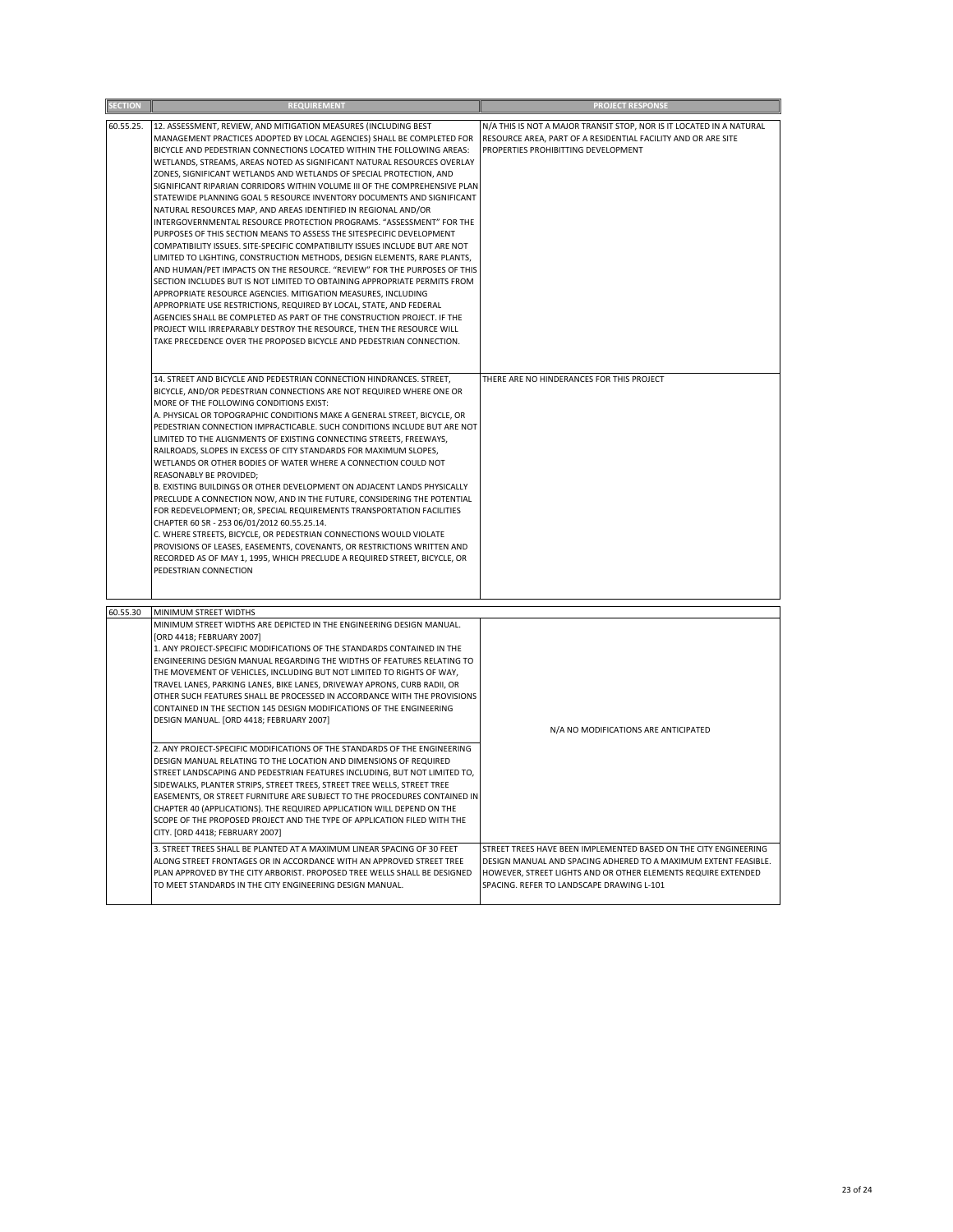| <b>SECTION</b> | <b>REQUIREMENT</b>                                                                                                                                                                                                                                                                                                                                                                                                                                                                                                                                                                                                                                                                                                                                                                                                                                                                                                                                                                                                                                                                                                                                                                                                                                                                                                                                                                                                                        | <b>PROJECT RESPONSE</b>                                                                                                                                                                                                                           |
|----------------|-------------------------------------------------------------------------------------------------------------------------------------------------------------------------------------------------------------------------------------------------------------------------------------------------------------------------------------------------------------------------------------------------------------------------------------------------------------------------------------------------------------------------------------------------------------------------------------------------------------------------------------------------------------------------------------------------------------------------------------------------------------------------------------------------------------------------------------------------------------------------------------------------------------------------------------------------------------------------------------------------------------------------------------------------------------------------------------------------------------------------------------------------------------------------------------------------------------------------------------------------------------------------------------------------------------------------------------------------------------------------------------------------------------------------------------------|---------------------------------------------------------------------------------------------------------------------------------------------------------------------------------------------------------------------------------------------------|
| 60.55.25.      | 12. ASSESSMENT, REVIEW, AND MITIGATION MEASURES (INCLUDING BEST<br>MANAGEMENT PRACTICES ADOPTED BY LOCAL AGENCIES) SHALL BE COMPLETED FOR<br>BICYCLE AND PEDESTRIAN CONNECTIONS LOCATED WITHIN THE FOLLOWING AREAS:<br>WETLANDS, STREAMS, AREAS NOTED AS SIGNIFICANT NATURAL RESOURCES OVERLAY<br>ZONES, SIGNIFICANT WETLANDS AND WETLANDS OF SPECIAL PROTECTION, AND<br>SIGNIFICANT RIPARIAN CORRIDORS WITHIN VOLUME III OF THE COMPREHENSIVE PLAN<br>STATEWIDE PLANNING GOAL 5 RESOURCE INVENTORY DOCUMENTS AND SIGNIFICANT<br>NATURAL RESOURCES MAP, AND AREAS IDENTIFIED IN REGIONAL AND/OR<br>INTERGOVERNMENTAL RESOURCE PROTECTION PROGRAMS. "ASSESSMENT" FOR THE<br>PURPOSES OF THIS SECTION MEANS TO ASSESS THE SITESPECIFIC DEVELOPMENT<br>COMPATIBILITY ISSUES. SITE-SPECIFIC COMPATIBILITY ISSUES INCLUDE BUT ARE NOT<br>LIMITED TO LIGHTING, CONSTRUCTION METHODS, DESIGN ELEMENTS, RARE PLANTS,<br>AND HUMAN/PET IMPACTS ON THE RESOURCE. "REVIEW" FOR THE PURPOSES OF THIS<br>SECTION INCLUDES BUT IS NOT LIMITED TO OBTAINING APPROPRIATE PERMITS FROM<br>APPROPRIATE RESOURCE AGENCIES. MITIGATION MEASURES, INCLUDING<br>APPROPRIATE USE RESTRICTIONS, REQUIRED BY LOCAL, STATE, AND FEDERAL<br>AGENCIES SHALL BE COMPLETED AS PART OF THE CONSTRUCTION PROJECT. IF THE<br>PROJECT WILL IRREPARABLY DESTROY THE RESOURCE, THEN THE RESOURCE WILL<br>TAKE PRECEDENCE OVER THE PROPOSED BICYCLE AND PEDESTRIAN CONNECTION. | N/A THIS IS NOT A MAJOR TRANSIT STOP, NOR IS IT LOCATED IN A NATURAL<br>RESOURCE AREA, PART OF A RESIDENTIAL FACILITY AND OR ARE SITE<br>PROPERTIES PROHIBITTING DEVELOPMENT                                                                      |
|                | 14. STREET AND BICYCLE AND PEDESTRIAN CONNECTION HINDRANCES. STREET,<br>BICYCLE, AND/OR PEDESTRIAN CONNECTIONS ARE NOT REQUIRED WHERE ONE OR<br>MORE OF THE FOLLOWING CONDITIONS EXIST:<br>A. PHYSICAL OR TOPOGRAPHIC CONDITIONS MAKE A GENERAL STREET, BICYCLE, OR<br>PEDESTRIAN CONNECTION IMPRACTICABLE. SUCH CONDITIONS INCLUDE BUT ARE NOT<br>LIMITED TO THE ALIGNMENTS OF EXISTING CONNECTING STREETS, FREEWAYS,<br>RAILROADS, SLOPES IN EXCESS OF CITY STANDARDS FOR MAXIMUM SLOPES,<br>WETLANDS OR OTHER BODIES OF WATER WHERE A CONNECTION COULD NOT<br>REASONABLY BE PROVIDED:<br>B. EXISTING BUILDINGS OR OTHER DEVELOPMENT ON ADJACENT LANDS PHYSICALLY<br>PRECLUDE A CONNECTION NOW, AND IN THE FUTURE, CONSIDERING THE POTENTIAL<br>FOR REDEVELOPMENT; OR, SPECIAL REQUIREMENTS TRANSPORTATION FACILITIES<br>CHAPTER 60 SR - 253 06/01/2012 60.55.25.14.<br>C. WHERE STREETS, BICYCLE, OR PEDESTRIAN CONNECTIONS WOULD VIOLATE<br>PROVISIONS OF LEASES, EASEMENTS, COVENANTS, OR RESTRICTIONS WRITTEN AND<br>RECORDED AS OF MAY 1, 1995, WHICH PRECLUDE A REQUIRED STREET, BICYCLE, OR<br>PEDESTRIAN CONNECTION                                                                                                                                                                                                                                                                                                             | THERE ARE NO HINDERANCES FOR THIS PROJECT                                                                                                                                                                                                         |
| 60.55.30       | MINIMUM STREET WIDTHS                                                                                                                                                                                                                                                                                                                                                                                                                                                                                                                                                                                                                                                                                                                                                                                                                                                                                                                                                                                                                                                                                                                                                                                                                                                                                                                                                                                                                     |                                                                                                                                                                                                                                                   |
|                | MINIMUM STREET WIDTHS ARE DEPICTED IN THE ENGINEERING DESIGN MANUAL.<br>[ORD 4418; FEBRUARY 2007]<br>1. ANY PROJECT-SPECIFIC MODIFICATIONS OF THE STANDARDS CONTAINED IN THE<br>ENGINEERING DESIGN MANUAL REGARDING THE WIDTHS OF FEATURES RELATING TO<br>THE MOVEMENT OF VEHICLES, INCLUDING BUT NOT LIMITED TO RIGHTS OF WAY,<br>TRAVEL LANES, PARKING LANES, BIKE LANES, DRIVEWAY APRONS, CURB RADII, OR<br>OTHER SUCH FEATURES SHALL BE PROCESSED IN ACCORDANCE WITH THE PROVISIONS<br>CONTAINED IN THE SECTION 145 DESIGN MODIFICATIONS OF THE ENGINEERING<br>DESIGN MANUAL. [ORD 4418; FEBRUARY 2007]<br>2. ANY PROJECT-SPECIFIC MODIFICATIONS OF THE STANDARDS OF THE ENGINEERING<br>DESIGN MANUAL RELATING TO THE LOCATION AND DIMENSIONS OF REQUIRED<br>STREET LANDSCAPING AND PEDESTRIAN FEATURES INCLUDING, BUT NOT LIMITED TO,<br>SIDEWALKS, PLANTER STRIPS, STREET TREES, STREET TREE WELLS, STREET TREE<br>EASEMENTS, OR STREET FURNITURE ARE SUBJECT TO THE PROCEDURES CONTAINED IN                                                                                                                                                                                                                                                                                                                                                                                                                                        | N/A NO MODIFICATIONS ARE ANTICIPATED                                                                                                                                                                                                              |
|                | CHAPTER 40 (APPLICATIONS). THE REQUIRED APPLICATION WILL DEPEND ON THE<br>SCOPE OF THE PROPOSED PROJECT AND THE TYPE OF APPLICATION FILED WITH THE<br>CITY. [ORD 4418; FEBRUARY 2007]<br>3. STREET TREES SHALL BE PLANTED AT A MAXIMUM LINEAR SPACING OF 30 FEET<br>ALONG STREET FRONTAGES OR IN ACCORDANCE WITH AN APPROVED STREET TREE<br>PLAN APPROVED BY THE CITY ARBORIST. PROPOSED TREE WELLS SHALL BE DESIGNED<br>TO MEET STANDARDS IN THE CITY ENGINEERING DESIGN MANUAL.                                                                                                                                                                                                                                                                                                                                                                                                                                                                                                                                                                                                                                                                                                                                                                                                                                                                                                                                                         | STREET TREES HAVE BEEN IMPLEMENTED BASED ON THE CITY ENGINEERING<br>DESIGN MANUAL AND SPACING ADHERED TO A MAXIMUM EXTENT FEASIBLE.<br>HOWEVER, STREET LIGHTS AND OR OTHER ELEMENTS REQUIRE EXTENDED<br>SPACING. REFER TO LANDSCAPE DRAWING L-101 |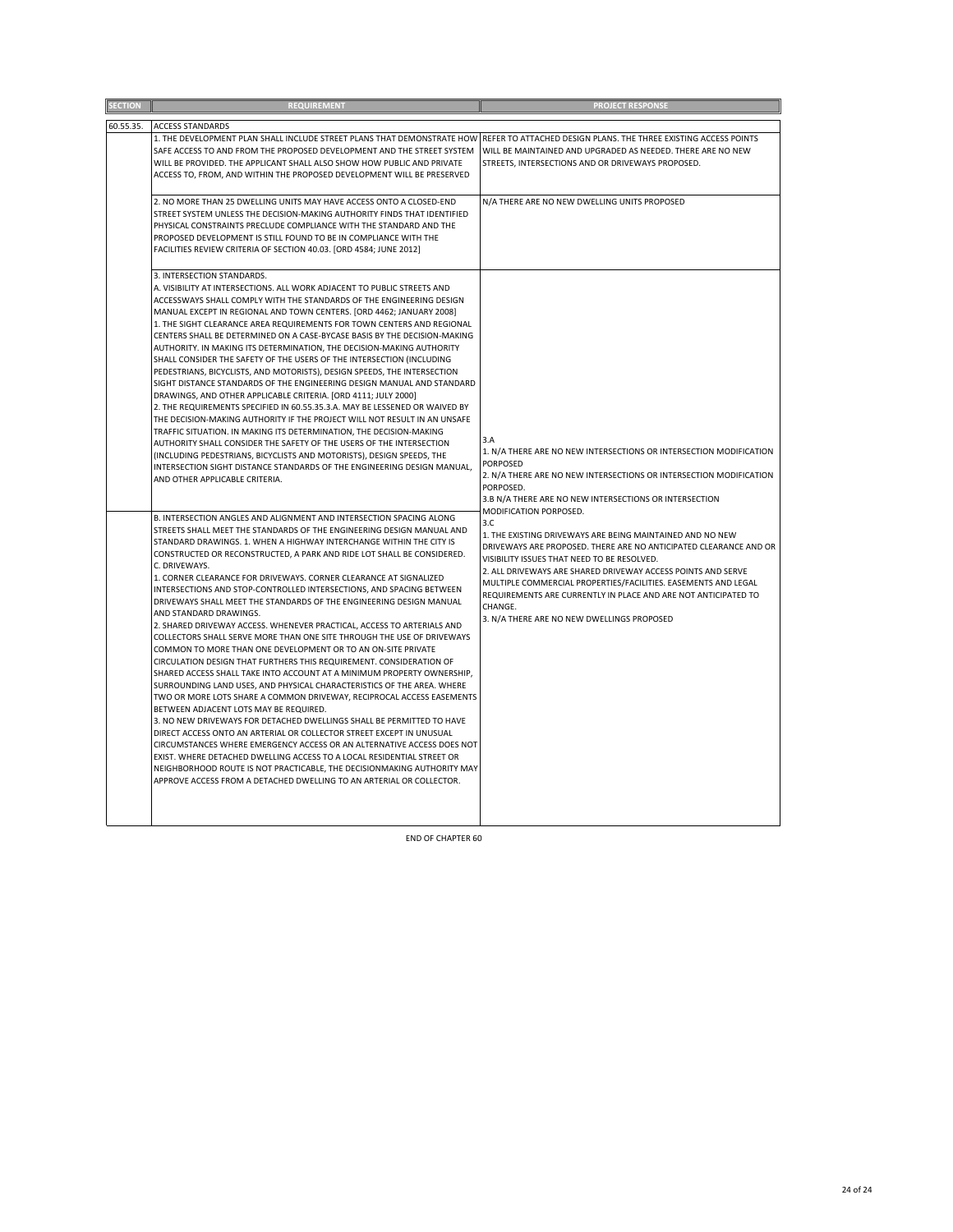| <b>SECTION</b> | <b>REQUIREMENT</b>                                                                                                                                                                                                                                                                                                                                                                                                                                                                                                                                                                                                                                                                                                                                                                                                                                                                                                                                                                                                                                                                                                                                                                                                                                                                                                                                                                                                                                                                                              | <b>PROJECT RESPONSE</b>                                                                                                                                                                                                                                                                                                                                                                                                                           |
|----------------|-----------------------------------------------------------------------------------------------------------------------------------------------------------------------------------------------------------------------------------------------------------------------------------------------------------------------------------------------------------------------------------------------------------------------------------------------------------------------------------------------------------------------------------------------------------------------------------------------------------------------------------------------------------------------------------------------------------------------------------------------------------------------------------------------------------------------------------------------------------------------------------------------------------------------------------------------------------------------------------------------------------------------------------------------------------------------------------------------------------------------------------------------------------------------------------------------------------------------------------------------------------------------------------------------------------------------------------------------------------------------------------------------------------------------------------------------------------------------------------------------------------------|---------------------------------------------------------------------------------------------------------------------------------------------------------------------------------------------------------------------------------------------------------------------------------------------------------------------------------------------------------------------------------------------------------------------------------------------------|
| 60.55.35.      | <b>ACCESS STANDARDS</b>                                                                                                                                                                                                                                                                                                                                                                                                                                                                                                                                                                                                                                                                                                                                                                                                                                                                                                                                                                                                                                                                                                                                                                                                                                                                                                                                                                                                                                                                                         |                                                                                                                                                                                                                                                                                                                                                                                                                                                   |
|                | 1. THE DEVELOPMENT PLAN SHALL INCLUDE STREET PLANS THAT DEMONSTRATE HOW<br>SAFE ACCESS TO AND FROM THE PROPOSED DEVELOPMENT AND THE STREET SYSTEM<br>WILL BE PROVIDED. THE APPLICANT SHALL ALSO SHOW HOW PUBLIC AND PRIVATE<br>ACCESS TO, FROM, AND WITHIN THE PROPOSED DEVELOPMENT WILL BE PRESERVED                                                                                                                                                                                                                                                                                                                                                                                                                                                                                                                                                                                                                                                                                                                                                                                                                                                                                                                                                                                                                                                                                                                                                                                                           | REFER TO ATTACHED DESIGN PLANS. THE THREE EXISTING ACCESS POINTS<br>WILL BE MAINTAINED AND UPGRADED AS NEEDED. THERE ARE NO NEW<br>STREETS, INTERSECTIONS AND OR DRIVEWAYS PROPOSED.                                                                                                                                                                                                                                                              |
|                | 2. NO MORE THAN 25 DWELLING UNITS MAY HAVE ACCESS ONTO A CLOSED-END<br>STREET SYSTEM UNLESS THE DECISION-MAKING AUTHORITY FINDS THAT IDENTIFIED<br>PHYSICAL CONSTRAINTS PRECLUDE COMPLIANCE WITH THE STANDARD AND THE<br>PROPOSED DEVELOPMENT IS STILL FOUND TO BE IN COMPLIANCE WITH THE<br>FACILITIES REVIEW CRITERIA OF SECTION 40.03. [ORD 4584; JUNE 2012]                                                                                                                                                                                                                                                                                                                                                                                                                                                                                                                                                                                                                                                                                                                                                                                                                                                                                                                                                                                                                                                                                                                                                 | N/A THERE ARE NO NEW DWELLING UNITS PROPOSED                                                                                                                                                                                                                                                                                                                                                                                                      |
|                | 3. INTERSECTION STANDARDS.<br>A. VISIBILITY AT INTERSECTIONS. ALL WORK ADJACENT TO PUBLIC STREETS AND<br>ACCESSWAYS SHALL COMPLY WITH THE STANDARDS OF THE ENGINEERING DESIGN<br>MANUAL EXCEPT IN REGIONAL AND TOWN CENTERS. [ORD 4462; JANUARY 2008]<br>1. THE SIGHT CLEARANCE AREA REQUIREMENTS FOR TOWN CENTERS AND REGIONAL<br>CENTERS SHALL BE DETERMINED ON A CASE-BYCASE BASIS BY THE DECISION-MAKING<br>AUTHORITY. IN MAKING ITS DETERMINATION, THE DECISION-MAKING AUTHORITY<br>SHALL CONSIDER THE SAFETY OF THE USERS OF THE INTERSECTION (INCLUDING<br>PEDESTRIANS, BICYCLISTS, AND MOTORISTS), DESIGN SPEEDS, THE INTERSECTION<br>SIGHT DISTANCE STANDARDS OF THE ENGINEERING DESIGN MANUAL AND STANDARD<br>DRAWINGS, AND OTHER APPLICABLE CRITERIA. [ORD 4111; JULY 2000]<br>2. THE REQUIREMENTS SPECIFIED IN 60.55.35.3.A. MAY BE LESSENED OR WAIVED BY<br>THE DECISION-MAKING AUTHORITY IF THE PROJECT WILL NOT RESULT IN AN UNSAFE<br>TRAFFIC SITUATION. IN MAKING ITS DETERMINATION, THE DECISION-MAKING<br>AUTHORITY SHALL CONSIDER THE SAFETY OF THE USERS OF THE INTERSECTION<br>(INCLUDING PEDESTRIANS, BICYCLISTS AND MOTORISTS), DESIGN SPEEDS, THE<br>INTERSECTION SIGHT DISTANCE STANDARDS OF THE ENGINEERING DESIGN MANUAL,<br>AND OTHER APPLICABLE CRITERIA.<br>B. INTERSECTION ANGLES AND ALIGNMENT AND INTERSECTION SPACING ALONG                                                                                                                                                  | 3.A<br>1. N/A THERE ARE NO NEW INTERSECTIONS OR INTERSECTION MODIFICATION<br><b>PORPOSED</b><br>2. N/A THERE ARE NO NEW INTERSECTIONS OR INTERSECTION MODIFICATION<br>PORPOSED.<br>3.B N/A THERE ARE NO NEW INTERSECTIONS OR INTERSECTION<br>MODIFICATION PORPOSED.                                                                                                                                                                               |
|                | STREETS SHALL MEET THE STANDARDS OF THE ENGINEERING DESIGN MANUAL AND<br>STANDARD DRAWINGS. 1. WHEN A HIGHWAY INTERCHANGE WITHIN THE CITY IS<br>CONSTRUCTED OR RECONSTRUCTED, A PARK AND RIDE LOT SHALL BE CONSIDERED.<br>C. DRIVEWAYS.<br>1. CORNER CLEARANCE FOR DRIVEWAYS. CORNER CLEARANCE AT SIGNALIZED<br>INTERSECTIONS AND STOP-CONTROLLED INTERSECTIONS, AND SPACING BETWEEN<br>DRIVEWAYS SHALL MEET THE STANDARDS OF THE ENGINEERING DESIGN MANUAL<br>AND STANDARD DRAWINGS.<br>2. SHARED DRIVEWAY ACCESS. WHENEVER PRACTICAL, ACCESS TO ARTERIALS AND<br>COLLECTORS SHALL SERVE MORE THAN ONE SITE THROUGH THE USE OF DRIVEWAYS<br>COMMON TO MORE THAN ONE DEVELOPMENT OR TO AN ON-SITE PRIVATE<br>CIRCULATION DESIGN THAT FURTHERS THIS REQUIREMENT. CONSIDERATION OF<br>SHARED ACCESS SHALL TAKE INTO ACCOUNT AT A MINIMUM PROPERTY OWNERSHIP,<br>SURROUNDING LAND USES, AND PHYSICAL CHARACTERISTICS OF THE AREA. WHERE<br>TWO OR MORE LOTS SHARE A COMMON DRIVEWAY, RECIPROCAL ACCESS EASEMENTS<br>BETWEEN ADJACENT LOTS MAY BE REQUIRED.<br>3. NO NEW DRIVEWAYS FOR DETACHED DWELLINGS SHALL BE PERMITTED TO HAVE<br>DIRECT ACCESS ONTO AN ARTERIAL OR COLLECTOR STREET EXCEPT IN UNUSUAL<br>CIRCUMSTANCES WHERE EMERGENCY ACCESS OR AN ALTERNATIVE ACCESS DOES NOT<br>EXIST. WHERE DETACHED DWELLING ACCESS TO A LOCAL RESIDENTIAL STREET OR<br>NEIGHBORHOOD ROUTE IS NOT PRACTICABLE, THE DECISIONMAKING AUTHORITY MAY<br>APPROVE ACCESS FROM A DETACHED DWELLING TO AN ARTERIAL OR COLLECTOR. | 3.C<br>1. THE EXISTING DRIVEWAYS ARE BEING MAINTAINED AND NO NEW<br>DRIVEWAYS ARE PROPOSED. THERE ARE NO ANTICIPATED CLEARANCE AND OR<br>VISIBILITY ISSUES THAT NEED TO BE RESOLVED.<br>2. ALL DRIVEWAYS ARE SHARED DRIVEWAY ACCESS POINTS AND SERVE<br>MULTIPLE COMMERCIAL PROPERTIES/FACILITIES. EASEMENTS AND LEGAL<br>REQUIREMENTS ARE CURRENTLY IN PLACE AND ARE NOT ANTICIPATED TO<br>CHANGE.<br>3. N/A THERE ARE NO NEW DWELLINGS PROPOSED |

END OF CHAPTER 60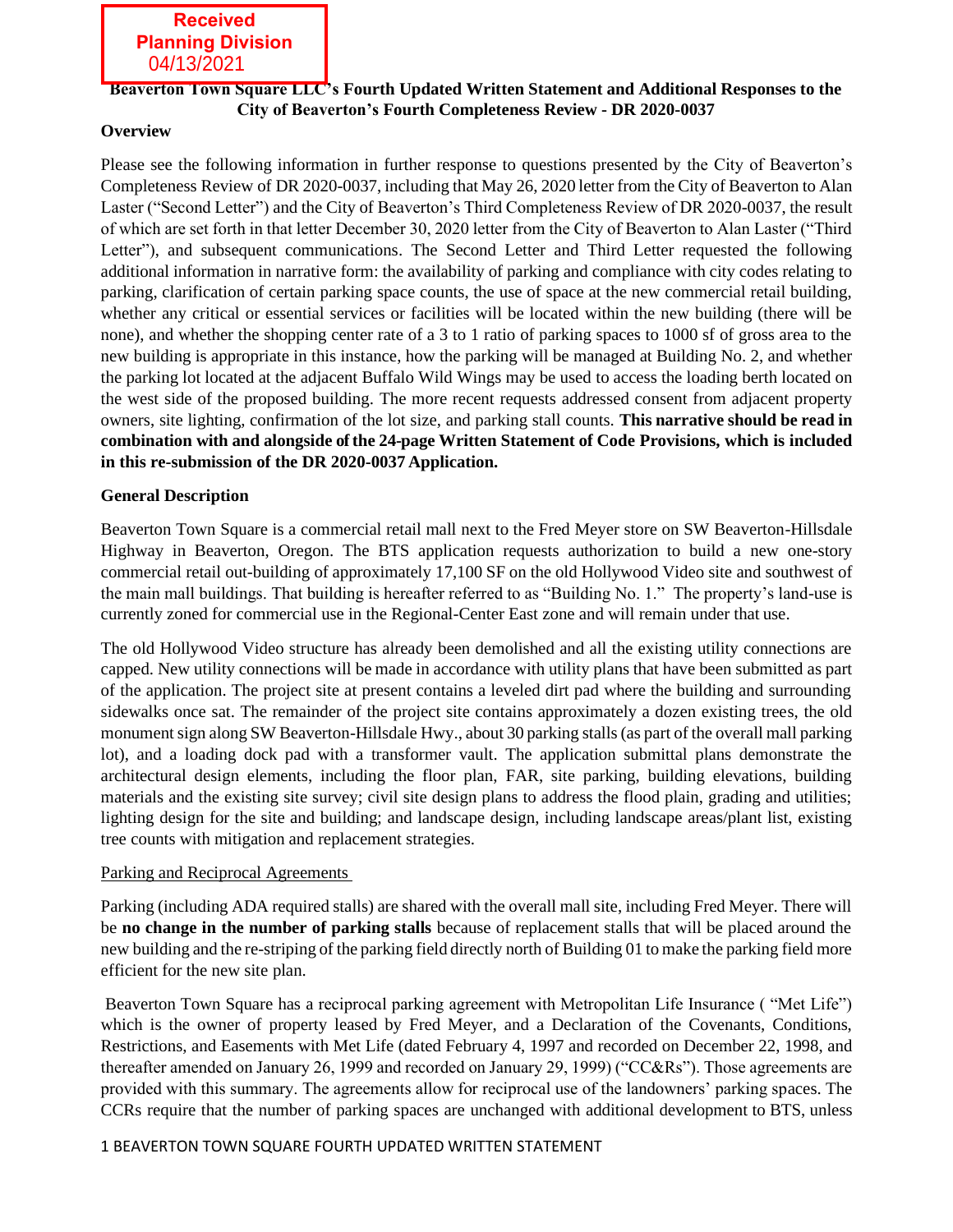**Received Planning Division** 04/13/2021

# **Beaverton Town Square LLC's Fourth Updated Written Statement and Additional Responses to the City of Beaverton's Fourth Completeness Review - DR 2020-0037**

# **Overview**

Please see the following information in further response to questions presented by the City of Beaverton's Completeness Review of DR 2020-0037, including that May 26, 2020 letter from the City of Beaverton to Alan Laster ("Second Letter") and the City of Beaverton's Third Completeness Review of DR 2020-0037, the result of which are set forth in that letter December 30, 2020 letter from the City of Beaverton to Alan Laster ("Third Letter"), and subsequent communications. The Second Letter and Third Letter requested the following additional information in narrative form: the availability of parking and compliance with city codes relating to parking, clarification of certain parking space counts, the use of space at the new commercial retail building, whether any critical or essential services or facilities will be located within the new building (there will be none), and whether the shopping center rate of a 3 to 1 ratio of parking spaces to 1000 sf of gross area to the new building is appropriate in this instance, how the parking will be managed at Building No. 2, and whether the parking lot located at the adjacent Buffalo Wild Wings may be used to access the loading berth located on the west side of the proposed building. The more recent requests addressed consent from adjacent property owners, site lighting, confirmation of the lot size, and parking stall counts. **This narrative should be read in combination with and alongside of the 24-page Written Statement of Code Provisions, which is included in this re-submission of the DR 2020-0037 Application.**

# **General Description**

Beaverton Town Square is a commercial retail mall next to the Fred Meyer store on SW Beaverton-Hillsdale Highway in Beaverton, Oregon. The BTS application requests authorization to build a new one-story commercial retail out-building of approximately 17,100 SF on the old Hollywood Video site and southwest of the main mall buildings. That building is hereafter referred to as "Building No. 1." The property's land-use is currently zoned for commercial use in the Regional-Center East zone and will remain under that use.

The old Hollywood Video structure has already been demolished and all the existing utility connections are capped. New utility connections will be made in accordance with utility plans that have been submitted as part of the application. The project site at present contains a leveled dirt pad where the building and surrounding sidewalks once sat. The remainder of the project site contains approximately a dozen existing trees, the old monument sign along SW Beaverton-Hillsdale Hwy., about 30 parking stalls (as part of the overall mall parking lot), and a loading dock pad with a transformer vault. The application submittal plans demonstrate the architectural design elements, including the floor plan, FAR, site parking, building elevations, building materials and the existing site survey; civil site design plans to address the flood plain, grading and utilities; lighting design for the site and building; and landscape design, including landscape areas/plant list, existing tree counts with mitigation and replacement strategies.

# Parking and Reciprocal Agreements

Parking (including ADA required stalls) are shared with the overall mall site, including Fred Meyer. There will be **no change in the number of parking stalls** because of replacement stalls that will be placed around the new building and the re-striping of the parking field directly north of Building 01 to make the parking field more efficient for the new site plan.

Beaverton Town Square has a reciprocal parking agreement with Metropolitan Life Insurance ( "Met Life") which is the owner of property leased by Fred Meyer, and a Declaration of the Covenants, Conditions, Restrictions, and Easements with Met Life (dated February 4, 1997 and recorded on December 22, 1998, and thereafter amended on January 26, 1999 and recorded on January 29, 1999) ("CC&Rs"). Those agreements are provided with this summary. The agreements allow for reciprocal use of the landowners' parking spaces. The CCRs require that the number of parking spaces are unchanged with additional development to BTS, unless

# 1 BEAVERTON TOWN SQUARE FOURTH UPDATED WRITTEN STATEMENT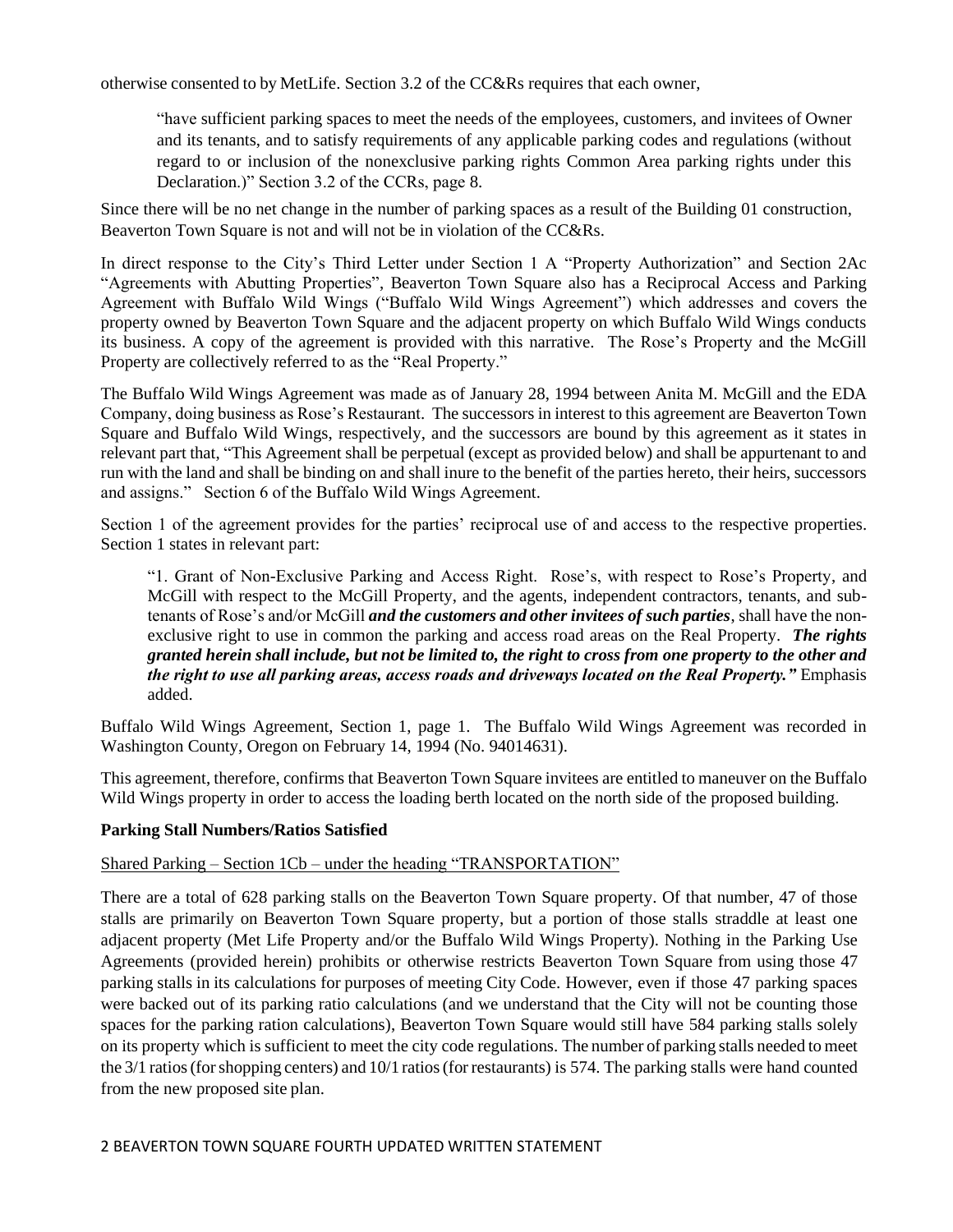otherwise consented to by MetLife. Section 3.2 of the CC&Rs requires that each owner,

"have sufficient parking spaces to meet the needs of the employees, customers, and invitees of Owner and its tenants, and to satisfy requirements of any applicable parking codes and regulations (without regard to or inclusion of the nonexclusive parking rights Common Area parking rights under this Declaration.)" Section 3.2 of the CCRs, page 8.

Since there will be no net change in the number of parking spaces as a result of the Building 01 construction, Beaverton Town Square is not and will not be in violation of the CC&Rs.

In direct response to the City's Third Letter under Section 1 A "Property Authorization" and Section 2Ac "Agreements with Abutting Properties", Beaverton Town Square also has a Reciprocal Access and Parking Agreement with Buffalo Wild Wings ("Buffalo Wild Wings Agreement") which addresses and covers the property owned by Beaverton Town Square and the adjacent property on which Buffalo Wild Wings conducts its business. A copy of the agreement is provided with this narrative. The Rose's Property and the McGill Property are collectively referred to as the "Real Property."

The Buffalo Wild Wings Agreement was made as of January 28, 1994 between Anita M. McGill and the EDA Company, doing business as Rose's Restaurant. The successors in interest to this agreement are Beaverton Town Square and Buffalo Wild Wings, respectively, and the successors are bound by this agreement as it states in relevant part that, "This Agreement shall be perpetual (except as provided below) and shall be appurtenant to and run with the land and shall be binding on and shall inure to the benefit of the parties hereto, their heirs, successors and assigns." Section 6 of the Buffalo Wild Wings Agreement.

Section 1 of the agreement provides for the parties' reciprocal use of and access to the respective properties. Section 1 states in relevant part:

"1. Grant of Non-Exclusive Parking and Access Right. Rose's, with respect to Rose's Property, and McGill with respect to the McGill Property, and the agents, independent contractors, tenants, and subtenants of Rose's and/or McGill *and the customers and other invitees of such parties*, shall have the nonexclusive right to use in common the parking and access road areas on the Real Property. *The rights granted herein shall include, but not be limited to, the right to cross from one property to the other and the right to use all parking areas, access roads and driveways located on the Real Property."* Emphasis added.

Buffalo Wild Wings Agreement, Section 1, page 1. The Buffalo Wild Wings Agreement was recorded in Washington County, Oregon on February 14, 1994 (No. 94014631).

This agreement, therefore, confirms that Beaverton Town Square invitees are entitled to maneuver on the Buffalo Wild Wings property in order to access the loading berth located on the north side of the proposed building.

# **Parking Stall Numbers/Ratios Satisfied**

Shared Parking – Section 1Cb – under the heading "TRANSPORTATION"

There are a total of 628 parking stalls on the Beaverton Town Square property. Of that number, 47 of those stalls are primarily on Beaverton Town Square property, but a portion of those stalls straddle at least one adjacent property (Met Life Property and/or the Buffalo Wild Wings Property). Nothing in the Parking Use Agreements (provided herein) prohibits or otherwise restricts Beaverton Town Square from using those 47 parking stalls in its calculations for purposes of meeting City Code. However, even if those 47 parking spaces were backed out of its parking ratio calculations (and we understand that the City will not be counting those spaces for the parking ration calculations), Beaverton Town Square would still have 584 parking stalls solely on its property which is sufficient to meet the city code regulations. The number of parking stalls needed to meet the 3/1 ratios(forshopping centers) and 10/1 ratios(for restaurants) is 574. The parking stalls were hand counted from the new proposed site plan.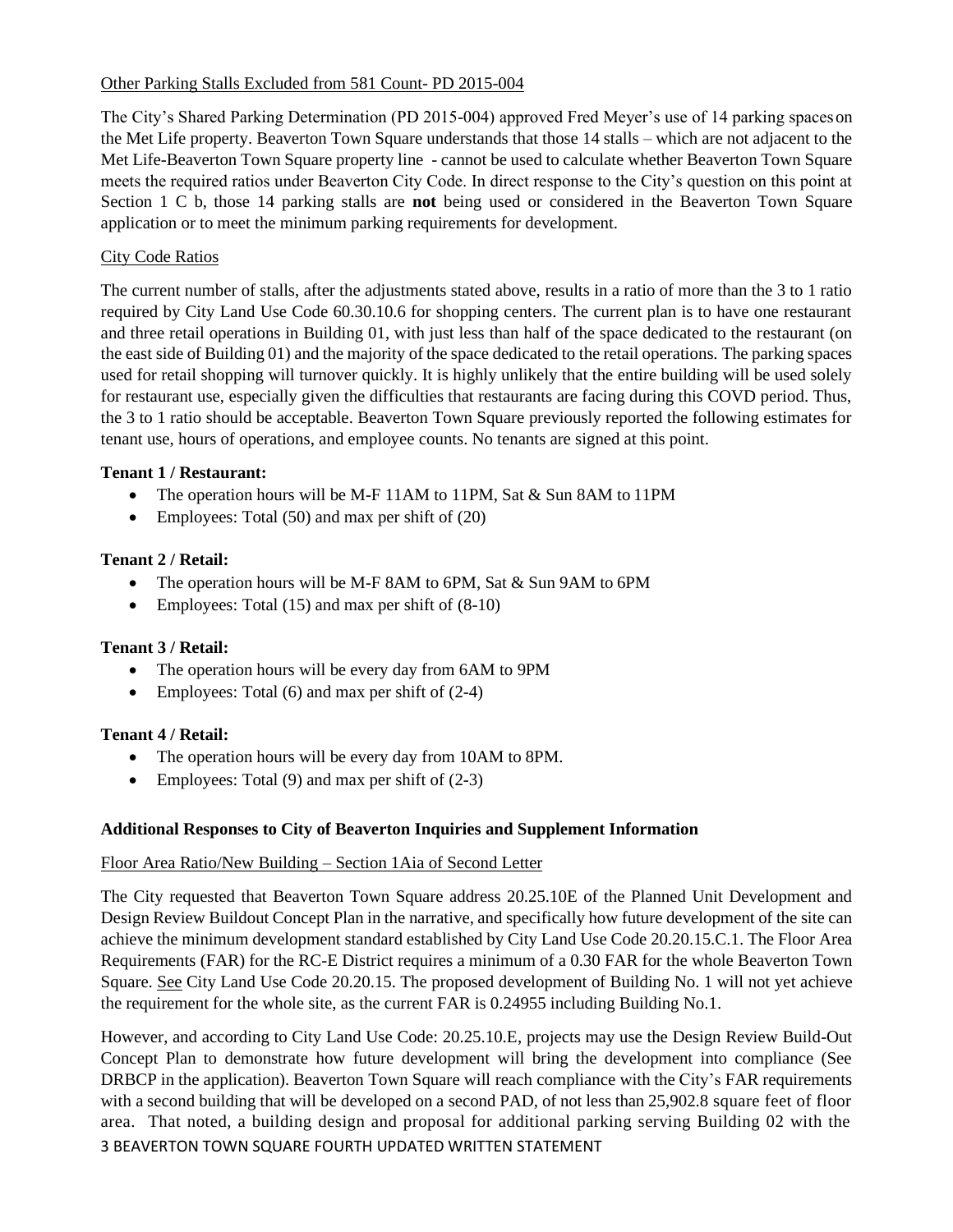# Other Parking Stalls Excluded from 581 Count- PD 2015-004

The City's Shared Parking Determination (PD 2015-004) approved Fred Meyer's use of 14 parking spaceson the Met Life property. Beaverton Town Square understands that those 14 stalls – which are not adjacent to the Met Life-Beaverton Town Square property line - cannot be used to calculate whether Beaverton Town Square meets the required ratios under Beaverton City Code. In direct response to the City's question on this point at Section 1 C b, those 14 parking stalls are **not** being used or considered in the Beaverton Town Square application or to meet the minimum parking requirements for development.

# **City Code Ratios**

The current number of stalls, after the adjustments stated above, results in a ratio of more than the 3 to 1 ratio required by City Land Use Code 60.30.10.6 for shopping centers. The current plan is to have one restaurant and three retail operations in Building 01, with just less than half of the space dedicated to the restaurant (on the east side of Building 01) and the majority of the space dedicated to the retail operations. The parking spaces used for retail shopping will turnover quickly. It is highly unlikely that the entire building will be used solely for restaurant use, especially given the difficulties that restaurants are facing during this COVD period. Thus, the 3 to 1 ratio should be acceptable. Beaverton Town Square previously reported the following estimates for tenant use, hours of operations, and employee counts. No tenants are signed at this point.

# **Tenant 1 / Restaurant:**

- The operation hours will be M-F 11AM to 11PM, Sat & Sun 8AM to 11PM
- Employees: Total (50) and max per shift of (20)

# **Tenant 2 / Retail:**

- The operation hours will be M-F 8AM to 6PM, Sat & Sun 9AM to 6PM
- Employees: Total  $(15)$  and max per shift of  $(8-10)$

# **Tenant 3 / Retail:**

- The operation hours will be every day from 6AM to 9PM
- Employees: Total (6) and max per shift of (2-4)

# **Tenant 4 / Retail:**

- The operation hours will be every day from 10AM to 8PM.
- Employees: Total  $(9)$  and max per shift of  $(2-3)$

# **Additional Responses to City of Beaverton Inquiries and Supplement Information**

# Floor Area Ratio/New Building – Section 1Aia of Second Letter

The City requested that Beaverton Town Square address 20.25.10E of the Planned Unit Development and Design Review Buildout Concept Plan in the narrative, and specifically how future development of the site can achieve the minimum development standard established by City Land Use Code 20.20.15.C.1. The Floor Area Requirements (FAR) for the RC-E District requires a minimum of a 0.30 FAR for the whole Beaverton Town Square. See City Land Use Code 20.20.15. The proposed development of Building No. 1 will not yet achieve the requirement for the whole site, as the current FAR is 0.24955 including Building No.1.

3 BEAVERTON TOWN SQUARE FOURTH UPDATED WRITTEN STATEMENT However, and according to City Land Use Code: 20.25.10.E, projects may use the Design Review Build-Out Concept Plan to demonstrate how future development will bring the development into compliance (See DRBCP in the application). Beaverton Town Square will reach compliance with the City's FAR requirements with a second building that will be developed on a second PAD, of not less than 25,902.8 square feet of floor area. That noted, a building design and proposal for additional parking serving Building 02 with the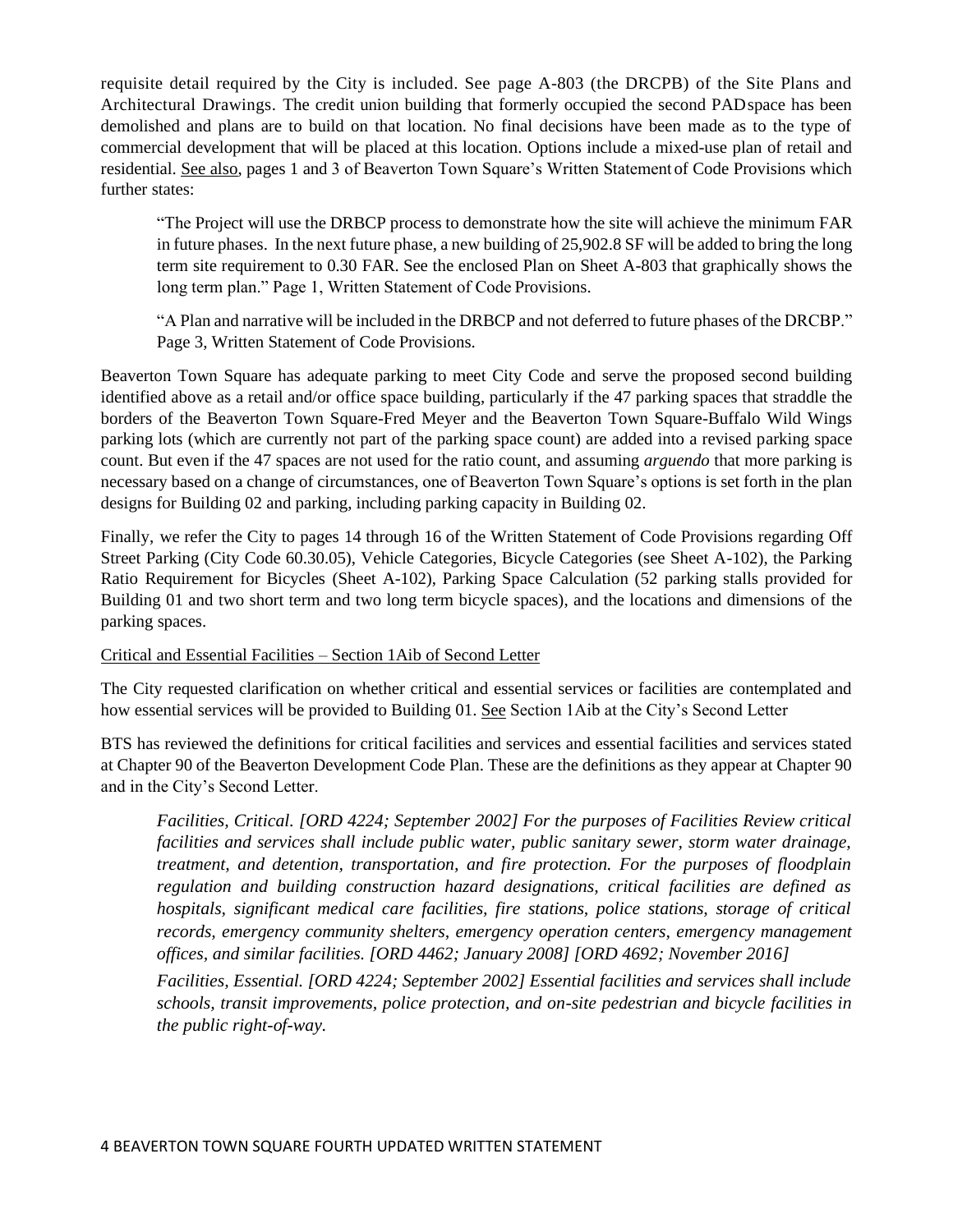requisite detail required by the City is included. See page A-803 (the DRCPB) of the Site Plans and Architectural Drawings. The credit union building that formerly occupied the second PADspace has been demolished and plans are to build on that location. No final decisions have been made as to the type of commercial development that will be placed at this location. Options include a mixed-use plan of retail and residential. See also, pages 1 and 3 of Beaverton Town Square's Written Statement of Code Provisions which further states:

"The Project will use the DRBCP process to demonstrate how the site will achieve the minimum FAR in future phases. In the next future phase, a new building of 25,902.8 SF will be added to bring the long term site requirement to 0.30 FAR. See the enclosed Plan on Sheet A-803 that graphically shows the long term plan." Page 1, Written Statement of Code Provisions.

"A Plan and narrative will be included in the DRBCP and not deferred to future phases of the DRCBP." Page 3, Written Statement of Code Provisions.

Beaverton Town Square has adequate parking to meet City Code and serve the proposed second building identified above as a retail and/or office space building, particularly if the 47 parking spaces that straddle the borders of the Beaverton Town Square-Fred Meyer and the Beaverton Town Square-Buffalo Wild Wings parking lots (which are currently not part of the parking space count) are added into a revised parking space count. But even if the 47 spaces are not used for the ratio count, and assuming *arguendo* that more parking is necessary based on a change of circumstances, one of Beaverton Town Square's options is set forth in the plan designs for Building 02 and parking, including parking capacity in Building 02.

Finally, we refer the City to pages 14 through 16 of the Written Statement of Code Provisions regarding Off Street Parking (City Code 60.30.05), Vehicle Categories, Bicycle Categories (see Sheet A-102), the Parking Ratio Requirement for Bicycles (Sheet A-102), Parking Space Calculation (52 parking stalls provided for Building 01 and two short term and two long term bicycle spaces), and the locations and dimensions of the parking spaces.

# Critical and Essential Facilities – Section 1Aib of Second Letter

The City requested clarification on whether critical and essential services or facilities are contemplated and how essential services will be provided to Building 01. See Section 1Aib at the City's Second Letter

BTS has reviewed the definitions for critical facilities and services and essential facilities and services stated at Chapter 90 of the Beaverton Development Code Plan. These are the definitions as they appear at Chapter 90 and in the City's Second Letter.

*Facilities, Critical. [ORD 4224; September 2002] For the purposes of Facilities Review critical facilities and services shall include public water, public sanitary sewer, storm water drainage, treatment, and detention, transportation, and fire protection. For the purposes of floodplain regulation and building construction hazard designations, critical facilities are defined as hospitals, significant medical care facilities, fire stations, police stations, storage of critical records, emergency community shelters, emergency operation centers, emergency management offices, and similar facilities. [ORD 4462; January 2008] [ORD 4692; November 2016]*

*Facilities, Essential. [ORD 4224; September 2002] Essential facilities and services shall include schools, transit improvements, police protection, and on-site pedestrian and bicycle facilities in the public right-of-way.*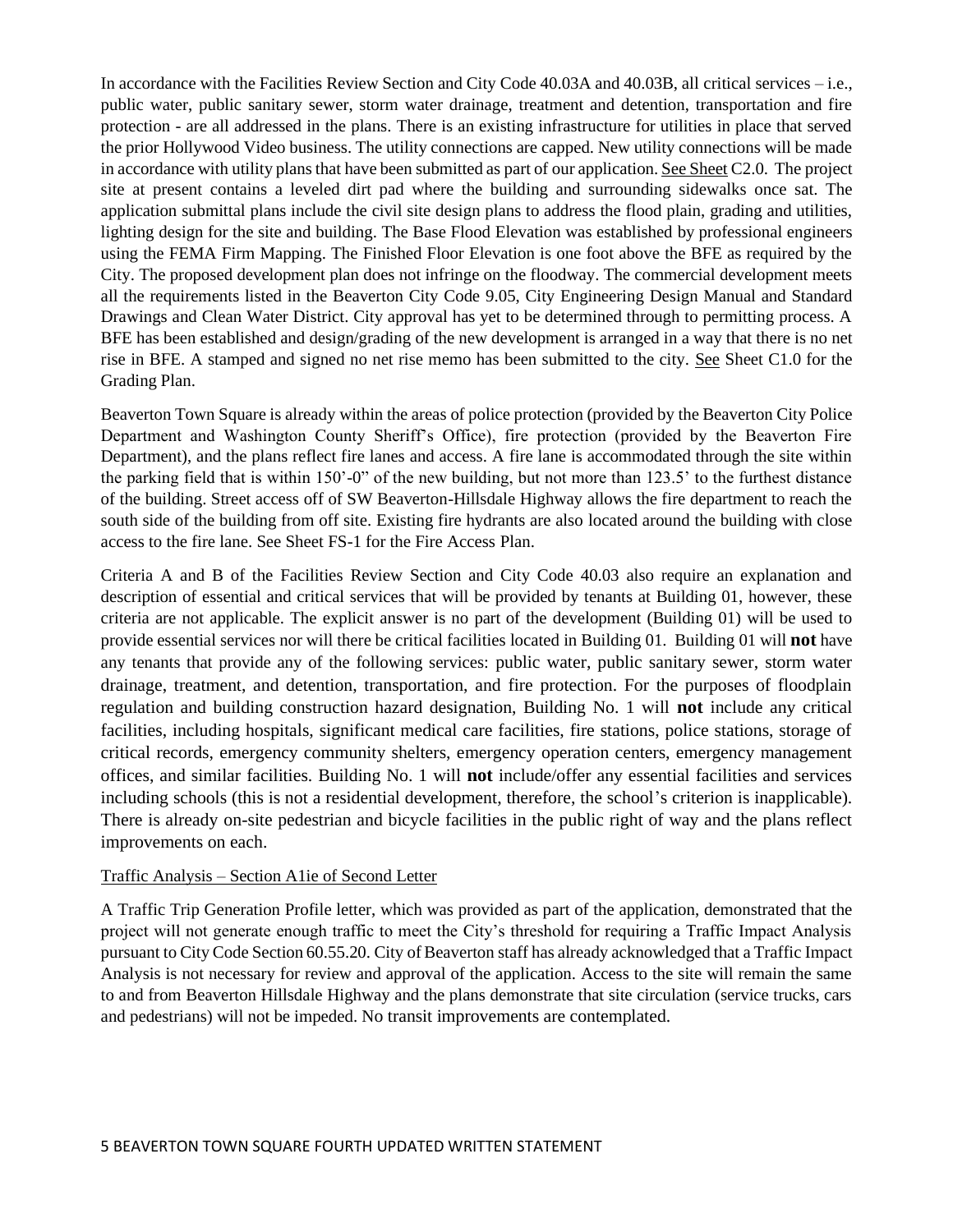In accordance with the Facilities Review Section and City Code 40.03A and 40.03B, all critical services – i.e., public water, public sanitary sewer, storm water drainage, treatment and detention, transportation and fire protection - are all addressed in the plans. There is an existing infrastructure for utilities in place that served the prior Hollywood Video business. The utility connections are capped. New utility connections will be made in accordance with utility plans that have been submitted as part of our application. See Sheet C2.0. The project site at present contains a leveled dirt pad where the building and surrounding sidewalks once sat. The application submittal plans include the civil site design plans to address the flood plain, grading and utilities, lighting design for the site and building. The Base Flood Elevation was established by professional engineers using the FEMA Firm Mapping. The Finished Floor Elevation is one foot above the BFE as required by the City. The proposed development plan does not infringe on the floodway. The commercial development meets all the requirements listed in the Beaverton City Code 9.05, City Engineering Design Manual and Standard Drawings and Clean Water District. City approval has yet to be determined through to permitting process. A BFE has been established and design/grading of the new development is arranged in a way that there is no net rise in BFE. A stamped and signed no net rise memo has been submitted to the city. See Sheet C1.0 for the Grading Plan.

Beaverton Town Square is already within the areas of police protection (provided by the Beaverton City Police Department and Washington County Sheriff's Office), fire protection (provided by the Beaverton Fire Department), and the plans reflect fire lanes and access. A fire lane is accommodated through the site within the parking field that is within 150'-0" of the new building, but not more than 123.5' to the furthest distance of the building. Street access off of SW Beaverton-Hillsdale Highway allows the fire department to reach the south side of the building from off site. Existing fire hydrants are also located around the building with close access to the fire lane. See Sheet FS-1 for the Fire Access Plan.

Criteria A and B of the Facilities Review Section and City Code 40.03 also require an explanation and description of essential and critical services that will be provided by tenants at Building 01, however, these criteria are not applicable. The explicit answer is no part of the development (Building 01) will be used to provide essential services nor will there be critical facilities located in Building 01. Building 01 will **not** have any tenants that provide any of the following services: public water, public sanitary sewer, storm water drainage, treatment, and detention, transportation, and fire protection. For the purposes of floodplain regulation and building construction hazard designation, Building No. 1 will **not** include any critical facilities, including hospitals, significant medical care facilities, fire stations, police stations, storage of critical records, emergency community shelters, emergency operation centers, emergency management offices, and similar facilities. Building No. 1 will **not** include/offer any essential facilities and services including schools (this is not a residential development, therefore, the school's criterion is inapplicable). There is already on-site pedestrian and bicycle facilities in the public right of way and the plans reflect improvements on each.

# Traffic Analysis – Section A1ie of Second Letter

A Traffic Trip Generation Profile letter, which was provided as part of the application, demonstrated that the project will not generate enough traffic to meet the City's threshold for requiring a Traffic Impact Analysis pursuant to City Code Section 60.55.20. City of Beaverton staff has already acknowledged that a Traffic Impact Analysis is not necessary for review and approval of the application. Access to the site will remain the same to and from Beaverton Hillsdale Highway and the plans demonstrate that site circulation (service trucks, cars and pedestrians) will not be impeded. No transit improvements are contemplated.